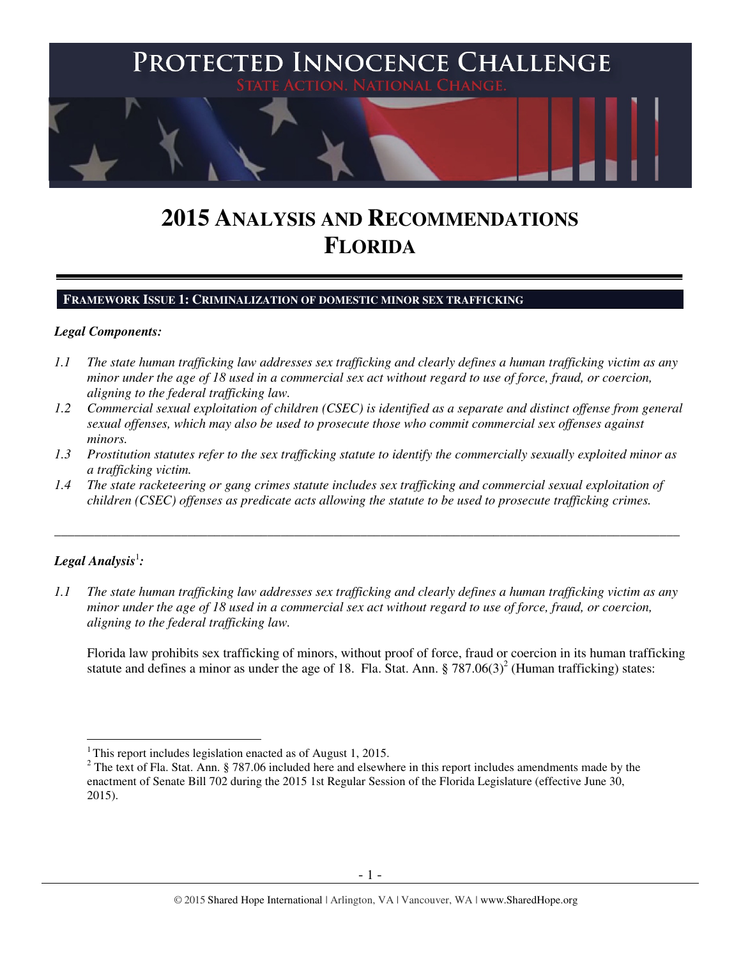

# **2015 ANALYSIS AND RECOMMENDATIONS FLORIDA**

## **FRAMEWORK ISSUE 1: CRIMINALIZATION OF DOMESTIC MINOR SEX TRAFFICKING**

#### *Legal Components:*

- *1.1 The state human trafficking law addresses sex trafficking and clearly defines a human trafficking victim as any minor under the age of 18 used in a commercial sex act without regard to use of force, fraud, or coercion, aligning to the federal trafficking law.*
- *1.2 Commercial sexual exploitation of children (CSEC) is identified as a separate and distinct offense from general sexual offenses, which may also be used to prosecute those who commit commercial sex offenses against minors.*
- *1.3 Prostitution statutes refer to the sex trafficking statute to identify the commercially sexually exploited minor as a trafficking victim.*
- *1.4 The state racketeering or gang crimes statute includes sex trafficking and commercial sexual exploitation of children (CSEC) offenses as predicate acts allowing the statute to be used to prosecute trafficking crimes.*

\_\_\_\_\_\_\_\_\_\_\_\_\_\_\_\_\_\_\_\_\_\_\_\_\_\_\_\_\_\_\_\_\_\_\_\_\_\_\_\_\_\_\_\_\_\_\_\_\_\_\_\_\_\_\_\_\_\_\_\_\_\_\_\_\_\_\_\_\_\_\_\_\_\_\_\_\_\_\_\_\_\_\_\_\_\_\_\_\_\_\_\_\_\_

# $\bm{\mathit{Legal\, Analysis}^{\text{!}}:}$

 $\overline{a}$ 

*1.1 The state human trafficking law addresses sex trafficking and clearly defines a human trafficking victim as any minor under the age of 18 used in a commercial sex act without regard to use of force, fraud, or coercion, aligning to the federal trafficking law.* 

Florida law prohibits sex trafficking of minors, without proof of force, fraud or coercion in its human trafficking statute and defines a minor as under the age of 18. Fla. Stat. Ann.  $\S 787.06(3)^2$  (Human trafficking) states:

 $1$ <sup>1</sup> This report includes legislation enacted as of August 1, 2015.

 $2^2$  The text of Fla. Stat. Ann. § 787.06 included here and elsewhere in this report includes amendments made by the enactment of Senate Bill 702 during the 2015 1st Regular Session of the Florida Legislature (effective June 30, 2015).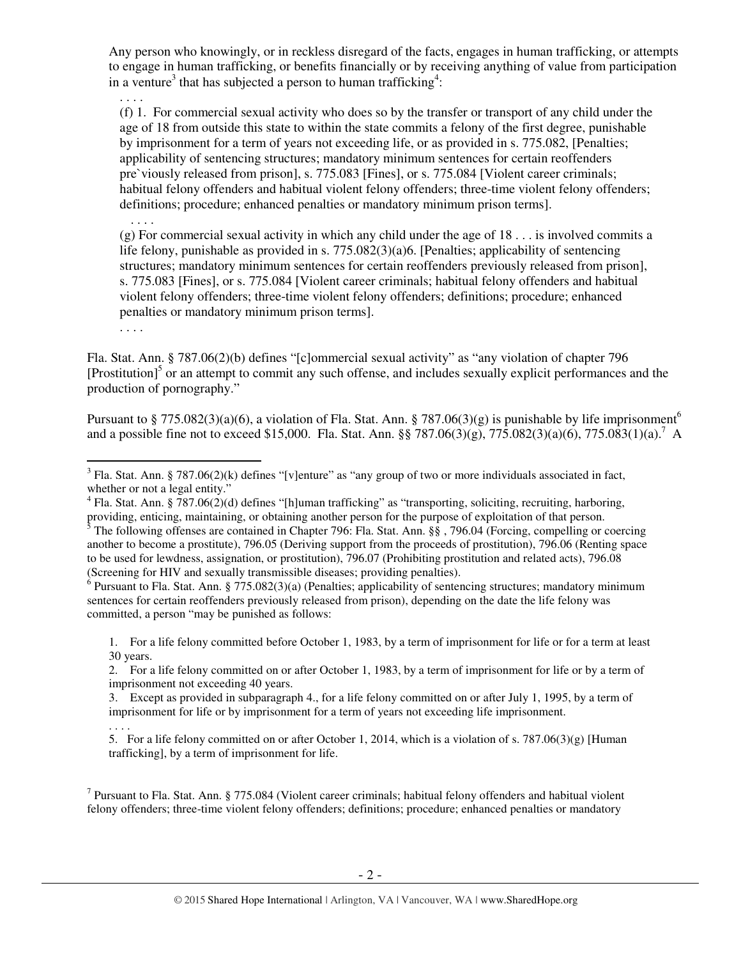Any person who knowingly, or in reckless disregard of the facts, engages in human trafficking, or attempts to engage in human trafficking, or benefits financially or by receiving anything of value from participation in a venture<sup>3</sup> that has subjected a person to human trafficking<sup>4</sup>:

. . . . (f) 1. For commercial sexual activity who does so by the transfer or transport of any child under the age of 18 from outside this state to within the state commits a felony of the first degree, punishable by imprisonment for a term of years not exceeding life, or as provided in s. 775.082, [Penalties; applicability of sentencing structures; mandatory minimum sentences for certain reoffenders pre`viously released from prison], s. 775.083 [Fines], or s. 775.084 [Violent career criminals; habitual felony offenders and habitual violent felony offenders; three-time violent felony offenders; definitions; procedure; enhanced penalties or mandatory minimum prison terms].

(g) For commercial sexual activity in which any child under the age of 18 . . . is involved commits a life felony, punishable as provided in s. 775.082(3)(a)6. [Penalties; applicability of sentencing structures; mandatory minimum sentences for certain reoffenders previously released from prison], s. 775.083 [Fines], or s. 775.084 [Violent career criminals; habitual felony offenders and habitual violent felony offenders; three-time violent felony offenders; definitions; procedure; enhanced penalties or mandatory minimum prison terms].

. . . .

. . . .

Fla. Stat. Ann. § 787.06(2)(b) defines "[c]ommercial sexual activity" as "any violation of chapter 796 [Prostitution]<sup>5</sup> or an attempt to commit any such offense, and includes sexually explicit performances and the production of pornography."

Pursuant to § 775.082(3)(a)(6), a violation of Fla. Stat. Ann. § 787.06(3)(g) is punishable by life imprisonment<sup>6</sup> and a possible fine not to exceed \$15,000. Fla. Stat. Ann. §§ 787.06(3)(g), 775.082(3)(a)(6), 775.083(1)(a).<sup>7</sup> A

1. For a life felony committed before October 1, 1983, by a term of imprisonment for life or for a term at least 30 years.

2. For a life felony committed on or after October 1, 1983, by a term of imprisonment for life or by a term of imprisonment not exceeding 40 years.

3. Except as provided in subparagraph 4., for a life felony committed on or after July 1, 1995, by a term of imprisonment for life or by imprisonment for a term of years not exceeding life imprisonment.

. . . . 5. For a life felony committed on or after October 1, 2014, which is a violation of s. 787.06(3)(g) [Human trafficking], by a term of imprisonment for life.

<sup>7</sup> Pursuant to Fla. Stat. Ann. § 775.084 (Violent career criminals; habitual felony offenders and habitual violent felony offenders; three-time violent felony offenders; definitions; procedure; enhanced penalties or mandatory

 $\overline{a}$  $3$  Fla. Stat. Ann. § 787.06(2)(k) defines "[v]enture" as "any group of two or more individuals associated in fact, whether or not a legal entity."

<sup>&</sup>lt;sup>4</sup> Fla. Stat. Ann. § 787.06(2)(d) defines "[h]uman trafficking" as "transporting, soliciting, recruiting, harboring,

providing, enticing, maintaining, or obtaining another person for the purpose of exploitation of that person.<br><sup>5</sup> The following offenses are contained in Chapter 796: Fla. Stat. Ann. §§, 796.04 (Forcing, compelling or coer another to become a prostitute), 796.05 (Deriving support from the proceeds of prostitution), 796.06 (Renting space to be used for lewdness, assignation, or prostitution), 796.07 (Prohibiting prostitution and related acts), 796.08 (Screening for HIV and sexually transmissible diseases; providing penalties).

 $6$  Pursuant to Fla. Stat. Ann. § 775.082(3)(a) (Penalties; applicability of sentencing structures; mandatory minimum sentences for certain reoffenders previously released from prison), depending on the date the life felony was committed, a person "may be punished as follows: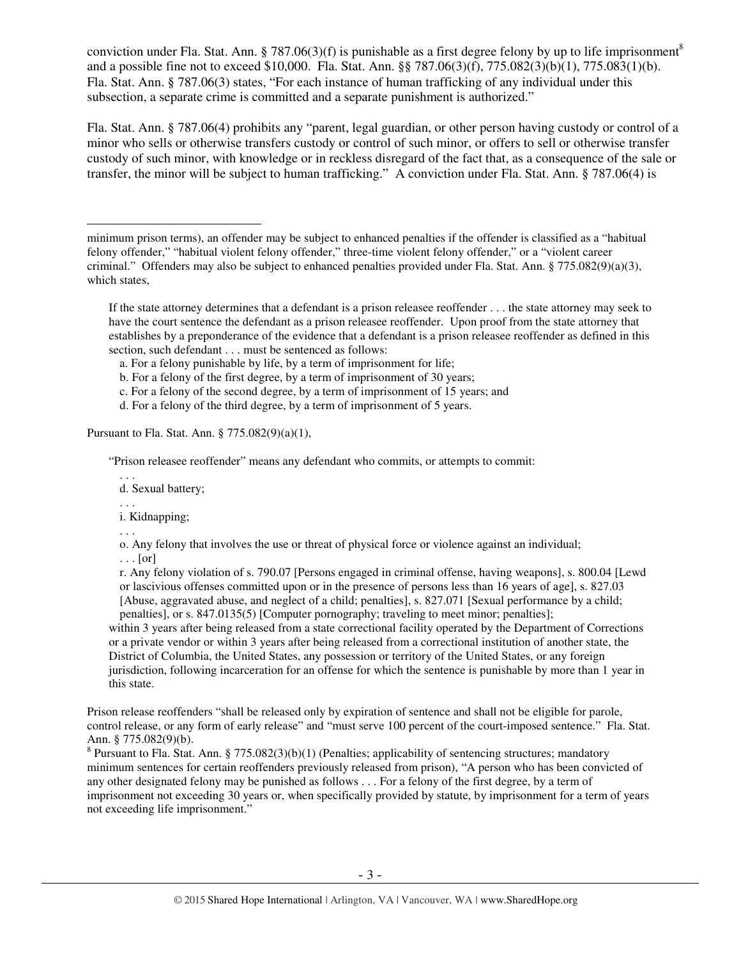conviction under Fla. Stat. Ann. § 787.06(3)(f) is punishable as a first degree felony by up to life imprisonment<sup>8</sup> and a possible fine not to exceed \$10,000. Fla. Stat. Ann. §§ 787.06(3)(f), 775.082(3)(b)(1), 775.083(1)(b). Fla. Stat. Ann. § 787.06(3) states, "For each instance of human trafficking of any individual under this subsection, a separate crime is committed and a separate punishment is authorized."

Fla. Stat. Ann. § 787.06(4) prohibits any "parent, legal guardian, or other person having custody or control of a minor who sells or otherwise transfers custody or control of such minor, or offers to sell or otherwise transfer custody of such minor, with knowledge or in reckless disregard of the fact that, as a consequence of the sale or transfer, the minor will be subject to human trafficking." A conviction under Fla. Stat. Ann. § 787.06(4) is

Pursuant to Fla. Stat. Ann. § 775.082(9)(a)(1),

"Prison releasee reoffender" means any defendant who commits, or attempts to commit:

d. Sexual battery;

. . . i. Kidnapping;

. . .

. . .

 $\overline{a}$ 

o. Any felony that involves the use or threat of physical force or violence against an individual; . . . [or]

r. Any felony violation of s. 790.07 [Persons engaged in criminal offense, having weapons], s. 800.04 [Lewd or lascivious offenses committed upon or in the presence of persons less than 16 years of age], s. 827.03 [Abuse, aggravated abuse, and neglect of a child; penalties], s. 827.071 [Sexual performance by a child; penalties], or s. 847.0135(5) [Computer pornography; traveling to meet minor; penalties];

within 3 years after being released from a state correctional facility operated by the Department of Corrections or a private vendor or within 3 years after being released from a correctional institution of another state, the District of Columbia, the United States, any possession or territory of the United States, or any foreign jurisdiction, following incarceration for an offense for which the sentence is punishable by more than 1 year in this state.

Prison release reoffenders "shall be released only by expiration of sentence and shall not be eligible for parole, control release, or any form of early release" and "must serve 100 percent of the court-imposed sentence." Fla. Stat. Ann. § 775.082(9)(b).

<sup>8</sup> Pursuant to Fla. Stat. Ann. § 775.082(3)(b)(1) (Penalties; applicability of sentencing structures; mandatory minimum sentences for certain reoffenders previously released from prison), "A person who has been convicted of any other designated felony may be punished as follows . . . For a felony of the first degree, by a term of imprisonment not exceeding 30 years or, when specifically provided by statute, by imprisonment for a term of years not exceeding life imprisonment."

minimum prison terms), an offender may be subject to enhanced penalties if the offender is classified as a "habitual felony offender," "habitual violent felony offender," three-time violent felony offender," or a "violent career criminal." Offenders may also be subject to enhanced penalties provided under Fla. Stat. Ann. § 775.082(9)(a)(3), which states,

If the state attorney determines that a defendant is a prison releasee reoffender . . . the state attorney may seek to have the court sentence the defendant as a prison releasee reoffender. Upon proof from the state attorney that establishes by a preponderance of the evidence that a defendant is a prison releasee reoffender as defined in this section, such defendant . . . must be sentenced as follows:

a. For a felony punishable by life, by a term of imprisonment for life;

b. For a felony of the first degree, by a term of imprisonment of 30 years;

c. For a felony of the second degree, by a term of imprisonment of 15 years; and

d. For a felony of the third degree, by a term of imprisonment of 5 years.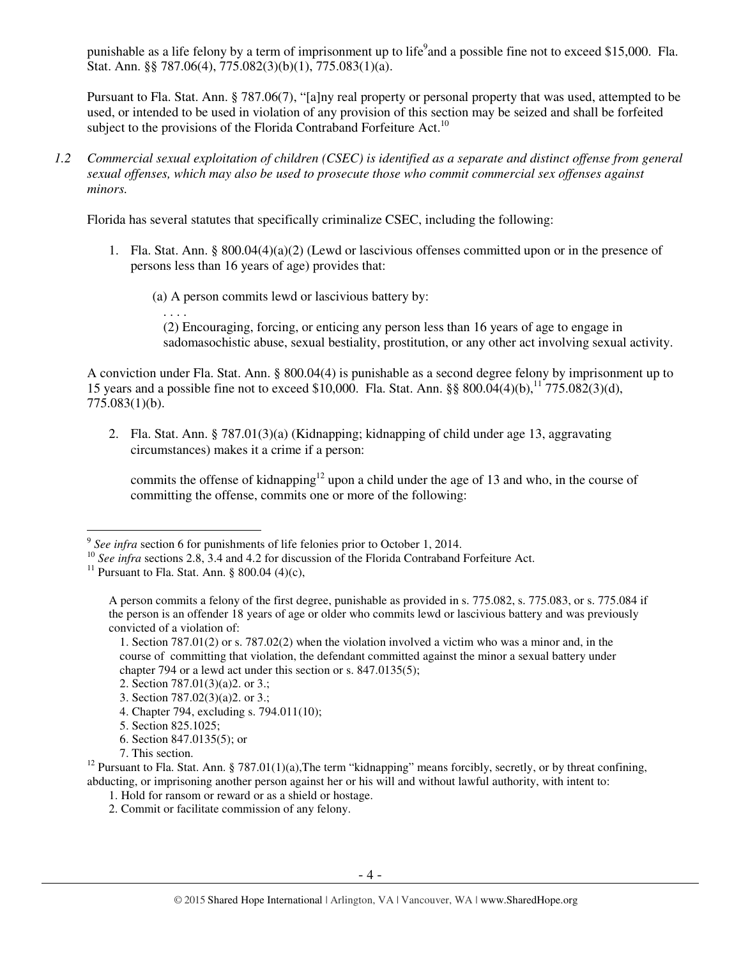punishable as a life felony by a term of imprisonment up to life<sup>9</sup> and a possible fine not to exceed \$15,000. Fla. Stat. Ann. §§ 787.06(4), 775.082(3)(b)(1), 775.083(1)(a).

Pursuant to Fla. Stat. Ann. § 787.06(7), "[a]ny real property or personal property that was used, attempted to be used, or intended to be used in violation of any provision of this section may be seized and shall be forfeited subject to the provisions of the Florida Contraband Forfeiture Act.<sup>10</sup>

*1.2 Commercial sexual exploitation of children (CSEC) is identified as a separate and distinct offense from general sexual offenses, which may also be used to prosecute those who commit commercial sex offenses against minors.* 

Florida has several statutes that specifically criminalize CSEC, including the following:

- 1. Fla. Stat. Ann. § 800.04(4)(a)(2) (Lewd or lascivious offenses committed upon or in the presence of persons less than 16 years of age) provides that:
	- (a) A person commits lewd or lascivious battery by:
		- (2) Encouraging, forcing, or enticing any person less than 16 years of age to engage in sadomasochistic abuse, sexual bestiality, prostitution, or any other act involving sexual activity.

A conviction under Fla. Stat. Ann. § 800.04(4) is punishable as a second degree felony by imprisonment up to 15 years and a possible fine not to exceed \$10,000. Fla. Stat. Ann. §§  $800.04(4)(b)$ ,  $11775.082(3)(d)$ , 775.083(1)(b).

2. Fla. Stat. Ann. § 787.01(3)(a) (Kidnapping; kidnapping of child under age 13, aggravating circumstances) makes it a crime if a person:

commits the offense of kidnapping<sup>12</sup> upon a child under the age of 13 and who, in the course of committing the offense, commits one or more of the following:

. . . .

- 6. Section 847.0135(5); or
- 7. This section.

<sup>&</sup>lt;sup>9</sup> See infra section 6 for punishments of life felonies prior to October 1, 2014.

<sup>&</sup>lt;sup>10</sup> See infra sections 2.8, 3.4 and 4.2 for discussion of the Florida Contraband Forfeiture Act.

<sup>&</sup>lt;sup>11</sup> Pursuant to Fla. Stat. Ann. § 800.04 (4)(c),

A person commits a felony of the first degree, punishable as provided in s. 775.082, s. 775.083, or s. 775.084 if the person is an offender 18 years of age or older who commits lewd or lascivious battery and was previously convicted of a violation of:

<sup>1.</sup> Section 787.01(2) or s. 787.02(2) when the violation involved a victim who was a minor and, in the course of committing that violation, the defendant committed against the minor a sexual battery under chapter 794 or a lewd act under this section or s. 847.0135(5);

<sup>2.</sup> Section 787.01(3)(a)2. or 3.;

<sup>3.</sup> Section 787.02(3)(a)2. or 3.;

<sup>4.</sup> Chapter 794, excluding s. 794.011(10);

<sup>5.</sup> Section 825.1025;

<sup>&</sup>lt;sup>12</sup> Pursuant to Fla. Stat. Ann. § 787.01(1)(a), The term "kidnapping" means forcibly, secretly, or by threat confining, abducting, or imprisoning another person against her or his will and without lawful authority, with intent to:

<sup>1.</sup> Hold for ransom or reward or as a shield or hostage.

<sup>2.</sup> Commit or facilitate commission of any felony.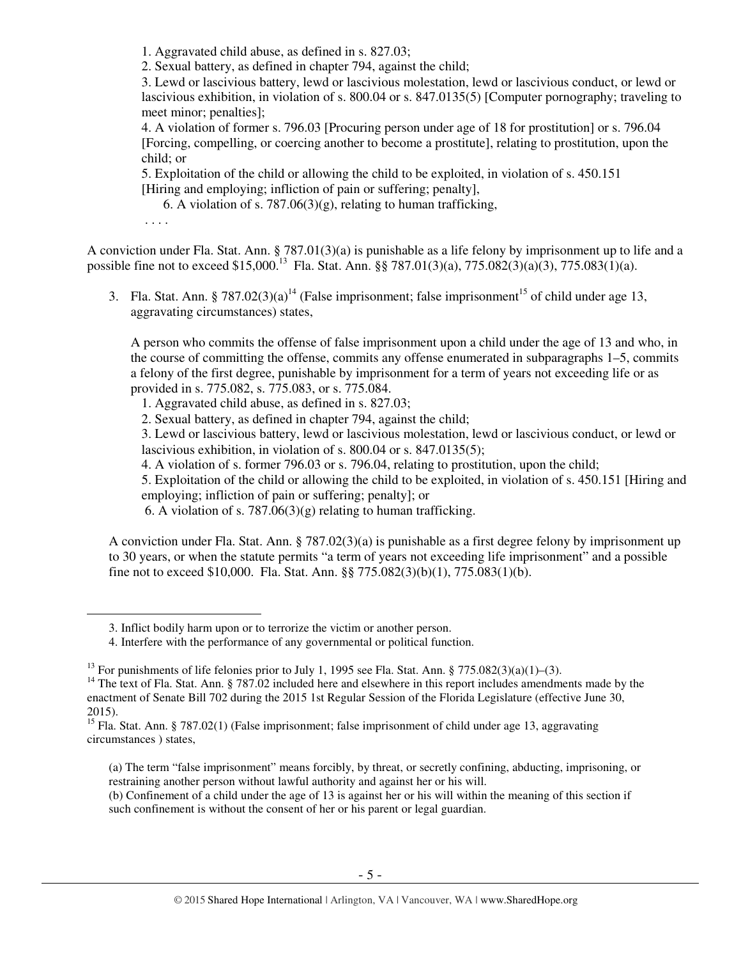1. Aggravated child abuse, as defined in s. 827.03;

2. Sexual battery, as defined in chapter 794, against the child;

3. Lewd or lascivious battery, lewd or lascivious molestation, lewd or lascivious conduct, or lewd or lascivious exhibition, in violation of s. 800.04 or s. 847.0135(5) [Computer pornography; traveling to meet minor; penalties];

4. A violation of former s. 796.03 [Procuring person under age of 18 for prostitution] or s. 796.04 [Forcing, compelling, or coercing another to become a prostitute], relating to prostitution, upon the child; or

5. Exploitation of the child or allowing the child to be exploited, in violation of s. 450.151 [Hiring and employing; infliction of pain or suffering; penalty],

6. A violation of s. 787.06(3)(g), relating to human trafficking,

. . . .

 $\overline{a}$ 

A conviction under Fla. Stat. Ann. § 787.01(3)(a) is punishable as a life felony by imprisonment up to life and a possible fine not to exceed \$15,000.<sup>13</sup> Fla. Stat. Ann. §§ 787.01(3)(a), 775.082(3)(a)(3), 775.083(1)(a).

3. Fla. Stat. Ann. § 787.02(3)(a)<sup>14</sup> (False imprisonment; false imprisonment<sup>15</sup> of child under age 13, aggravating circumstances) states,

A person who commits the offense of false imprisonment upon a child under the age of 13 and who, in the course of committing the offense, commits any offense enumerated in subparagraphs 1–5, commits a felony of the first degree, punishable by imprisonment for a term of years not exceeding life or as provided in s. 775.082, s. 775.083, or s. 775.084.

1. Aggravated child abuse, as defined in s. 827.03;

2. Sexual battery, as defined in chapter 794, against the child;

3. Lewd or lascivious battery, lewd or lascivious molestation, lewd or lascivious conduct, or lewd or lascivious exhibition, in violation of s. 800.04 or s. 847.0135(5);

4. A violation of s. former 796.03 or s. 796.04, relating to prostitution, upon the child;

5. Exploitation of the child or allowing the child to be exploited, in violation of s. 450.151 [Hiring and employing; infliction of pain or suffering; penalty]; or

6. A violation of s.  $787.06(3)(g)$  relating to human trafficking.

A conviction under Fla. Stat. Ann. § 787.02(3)(a) is punishable as a first degree felony by imprisonment up to 30 years, or when the statute permits "a term of years not exceeding life imprisonment" and a possible fine not to exceed \$10,000. Fla. Stat. Ann. §§ 775.082(3)(b)(1), 775.083(1)(b).

<sup>3.</sup> Inflict bodily harm upon or to terrorize the victim or another person.

<sup>4.</sup> Interfere with the performance of any governmental or political function.

<sup>&</sup>lt;sup>13</sup> For punishments of life felonies prior to July 1, 1995 see Fla. Stat. Ann. § 775.082(3)(a)(1)–(3).

<sup>&</sup>lt;sup>14</sup> The text of Fla. Stat. Ann. § 787.02 included here and elsewhere in this report includes amendments made by the enactment of Senate Bill 702 during the 2015 1st Regular Session of the Florida Legislature (effective June 30, 2015).

<sup>&</sup>lt;sup>15</sup> Fla. Stat. Ann. § 787.02(1) (False imprisonment; false imprisonment of child under age 13, aggravating circumstances ) states,

<sup>(</sup>a) The term "false imprisonment" means forcibly, by threat, or secretly confining, abducting, imprisoning, or restraining another person without lawful authority and against her or his will.

<sup>(</sup>b) Confinement of a child under the age of 13 is against her or his will within the meaning of this section if such confinement is without the consent of her or his parent or legal guardian.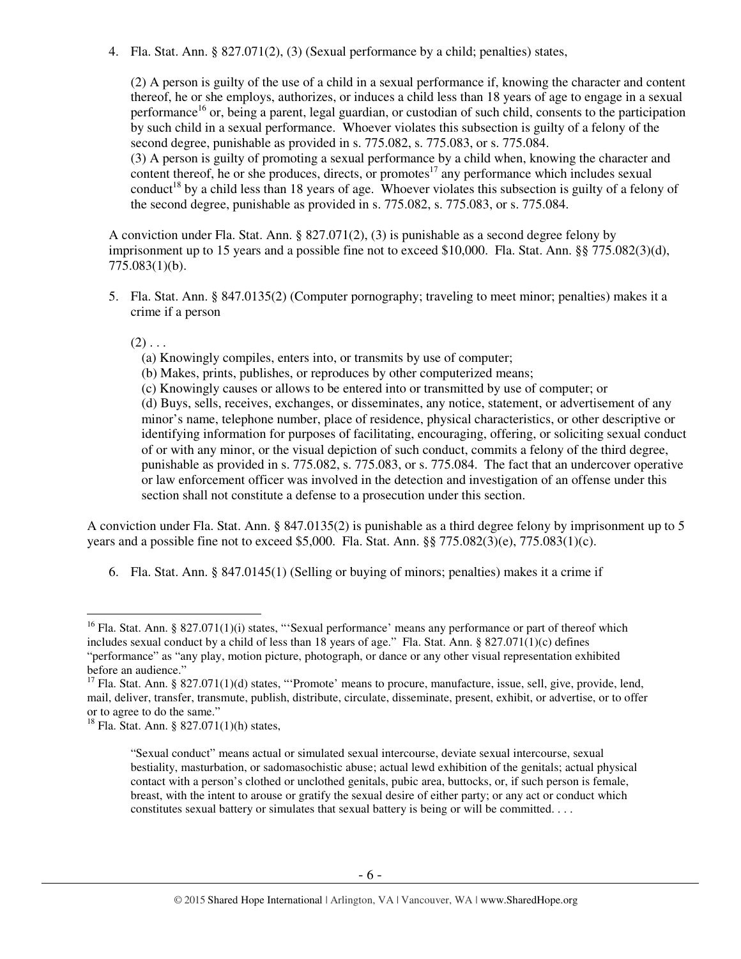4. Fla. Stat. Ann. § 827.071(2), (3) (Sexual performance by a child; penalties) states,

(2) A person is guilty of the use of a child in a sexual performance if, knowing the character and content thereof, he or she employs, authorizes, or induces a child less than 18 years of age to engage in a sexual performance<sup>16</sup> or, being a parent, legal guardian, or custodian of such child, consents to the participation by such child in a sexual performance. Whoever violates this subsection is guilty of a felony of the second degree, punishable as provided in s. 775.082, s. 775.083, or s. 775.084. (3) A person is guilty of promoting a sexual performance by a child when, knowing the character and content thereof, he or she produces, directs, or promotes<sup>17</sup> any performance which includes sexual conduct<sup>18</sup> by a child less than 18 years of age. Whoever violates this subsection is guilty of a felony of the second degree, punishable as provided in s. 775.082, s. 775.083, or s. 775.084.

A conviction under Fla. Stat. Ann. § 827.071(2), (3) is punishable as a second degree felony by imprisonment up to 15 years and a possible fine not to exceed \$10,000. Fla. Stat. Ann. §§ 775.082(3)(d), 775.083(1)(b).

5. Fla. Stat. Ann. § 847.0135(2) (Computer pornography; traveling to meet minor; penalties) makes it a crime if a person

 $(2)$  ...

 $\overline{a}$ 

(a) Knowingly compiles, enters into, or transmits by use of computer;

(b) Makes, prints, publishes, or reproduces by other computerized means;

(c) Knowingly causes or allows to be entered into or transmitted by use of computer; or (d) Buys, sells, receives, exchanges, or disseminates, any notice, statement, or advertisement of any minor's name, telephone number, place of residence, physical characteristics, or other descriptive or identifying information for purposes of facilitating, encouraging, offering, or soliciting sexual conduct

of or with any minor, or the visual depiction of such conduct, commits a felony of the third degree, punishable as provided in s. 775.082, s. 775.083, or s. 775.084. The fact that an undercover operative or law enforcement officer was involved in the detection and investigation of an offense under this section shall not constitute a defense to a prosecution under this section.

A conviction under Fla. Stat. Ann. § 847.0135(2) is punishable as a third degree felony by imprisonment up to 5 years and a possible fine not to exceed \$5,000. Fla. Stat. Ann.  $\S$ § 775.082(3)(e), 775.083(1)(c).

6. Fla. Stat. Ann. § 847.0145(1) (Selling or buying of minors; penalties) makes it a crime if

<sup>&</sup>lt;sup>16</sup> Fla. Stat. Ann. § 827.071(1)(i) states, "'Sexual performance' means any performance or part of thereof which includes sexual conduct by a child of less than 18 years of age." Fla. Stat. Ann. § 827.071(1)(c) defines "performance" as "any play, motion picture, photograph, or dance or any other visual representation exhibited before an audience."

<sup>&</sup>lt;sup>17</sup> Fla. Stat. Ann. § 827.071(1)(d) states, "Promote' means to procure, manufacture, issue, sell, give, provide, lend, mail, deliver, transfer, transmute, publish, distribute, circulate, disseminate, present, exhibit, or advertise, or to offer or to agree to do the same."

 $18$  Fla. Stat. Ann. § 827.071(1)(h) states,

<sup>&</sup>quot;Sexual conduct" means actual or simulated sexual intercourse, deviate sexual intercourse, sexual bestiality, masturbation, or sadomasochistic abuse; actual lewd exhibition of the genitals; actual physical contact with a person's clothed or unclothed genitals, pubic area, buttocks, or, if such person is female, breast, with the intent to arouse or gratify the sexual desire of either party; or any act or conduct which constitutes sexual battery or simulates that sexual battery is being or will be committed. . . .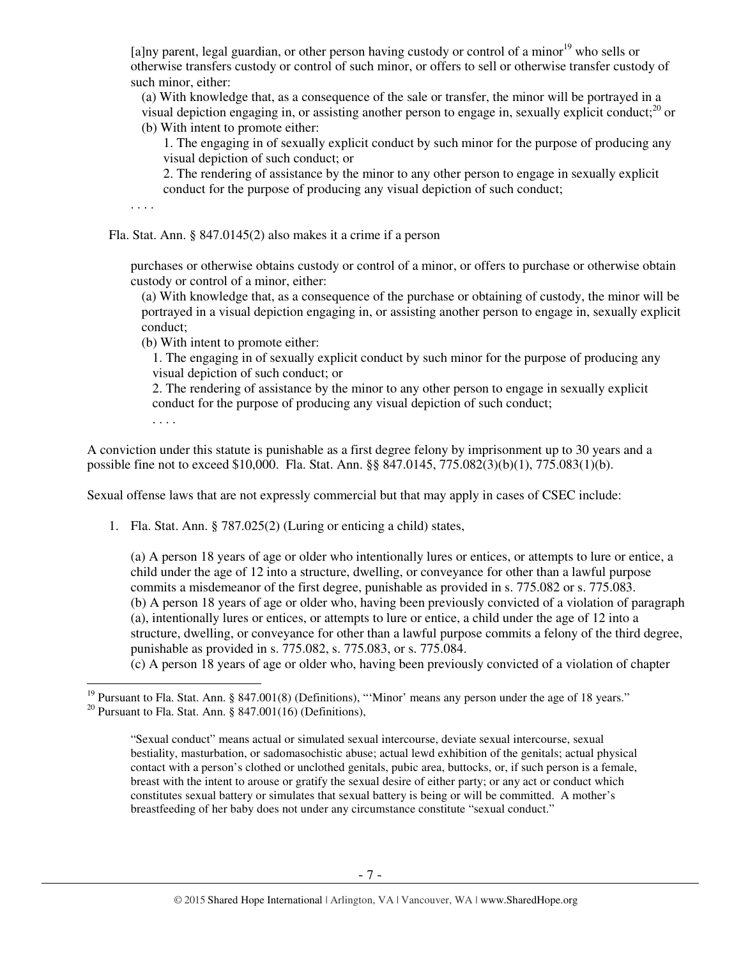[a]ny parent, legal guardian, or other person having custody or control of a minor<sup>19</sup> who sells or otherwise transfers custody or control of such minor, or offers to sell or otherwise transfer custody of such minor, either:

(a) With knowledge that, as a consequence of the sale or transfer, the minor will be portrayed in a visual depiction engaging in, or assisting another person to engage in, sexually explicit conduct;<sup>20</sup> or

(b) With intent to promote either:

1. The engaging in of sexually explicit conduct by such minor for the purpose of producing any visual depiction of such conduct; or

2. The rendering of assistance by the minor to any other person to engage in sexually explicit conduct for the purpose of producing any visual depiction of such conduct;

. . . .

Fla. Stat. Ann. § 847.0145(2) also makes it a crime if a person

purchases or otherwise obtains custody or control of a minor, or offers to purchase or otherwise obtain custody or control of a minor, either:

(a) With knowledge that, as a consequence of the purchase or obtaining of custody, the minor will be portrayed in a visual depiction engaging in, or assisting another person to engage in, sexually explicit conduct;

(b) With intent to promote either:

1. The engaging in of sexually explicit conduct by such minor for the purpose of producing any visual depiction of such conduct; or

2. The rendering of assistance by the minor to any other person to engage in sexually explicit conduct for the purpose of producing any visual depiction of such conduct;

. . . .

 $\overline{a}$ 

A conviction under this statute is punishable as a first degree felony by imprisonment up to 30 years and a possible fine not to exceed \$10,000. Fla. Stat. Ann. §§ 847.0145, 775.082(3)(b)(1), 775.083(1)(b).

Sexual offense laws that are not expressly commercial but that may apply in cases of CSEC include:

1. Fla. Stat. Ann. § 787.025(2) (Luring or enticing a child) states,

(a) A person 18 years of age or older who intentionally lures or entices, or attempts to lure or entice, a child under the age of 12 into a structure, dwelling, or conveyance for other than a lawful purpose commits a misdemeanor of the first degree, punishable as provided in s. 775.082 or s. 775.083. (b) A person 18 years of age or older who, having been previously convicted of a violation of paragraph (a), intentionally lures or entices, or attempts to lure or entice, a child under the age of 12 into a structure, dwelling, or conveyance for other than a lawful purpose commits a felony of the third degree, punishable as provided in s. 775.082, s. 775.083, or s. 775.084.

(c) A person 18 years of age or older who, having been previously convicted of a violation of chapter

<sup>&</sup>lt;sup>19</sup> Pursuant to Fla. Stat. Ann. § 847.001(8) (Definitions), "'Minor' means any person under the age of 18 years." <sup>20</sup> Pursuant to Fla. Stat. Ann. § 847.001(16) (Definitions),

<sup>&</sup>quot;Sexual conduct" means actual or simulated sexual intercourse, deviate sexual intercourse, sexual bestiality, masturbation, or sadomasochistic abuse; actual lewd exhibition of the genitals; actual physical contact with a person's clothed or unclothed genitals, pubic area, buttocks, or, if such person is a female, breast with the intent to arouse or gratify the sexual desire of either party; or any act or conduct which constitutes sexual battery or simulates that sexual battery is being or will be committed. A mother's breastfeeding of her baby does not under any circumstance constitute "sexual conduct."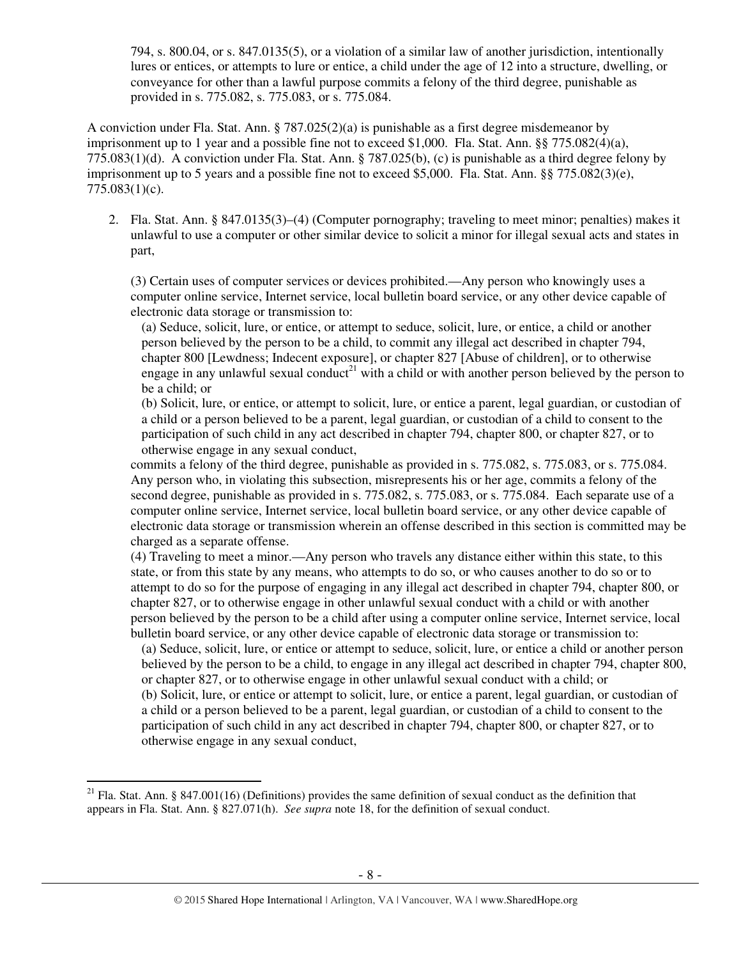794, s. 800.04, or s. 847.0135(5), or a violation of a similar law of another jurisdiction, intentionally lures or entices, or attempts to lure or entice, a child under the age of 12 into a structure, dwelling, or conveyance for other than a lawful purpose commits a felony of the third degree, punishable as provided in s. 775.082, s. 775.083, or s. 775.084.

A conviction under Fla. Stat. Ann. § 787.025(2)(a) is punishable as a first degree misdemeanor by imprisonment up to 1 year and a possible fine not to exceed \$1,000. Fla. Stat. Ann. §§ 775.082(4)(a), 775.083(1)(d). A conviction under Fla. Stat. Ann. § 787.025(b), (c) is punishable as a third degree felony by imprisonment up to 5 years and a possible fine not to exceed \$5,000. Fla. Stat. Ann. §§ 775.082(3)(e), 775.083(1)(c).

2. Fla. Stat. Ann. § 847.0135(3)–(4) (Computer pornography; traveling to meet minor; penalties) makes it unlawful to use a computer or other similar device to solicit a minor for illegal sexual acts and states in part,

(3) Certain uses of computer services or devices prohibited.—Any person who knowingly uses a computer online service, Internet service, local bulletin board service, or any other device capable of electronic data storage or transmission to:

(a) Seduce, solicit, lure, or entice, or attempt to seduce, solicit, lure, or entice, a child or another person believed by the person to be a child, to commit any illegal act described in chapter 794, chapter 800 [Lewdness; Indecent exposure], or chapter 827 [Abuse of children], or to otherwise engage in any unlawful sexual conduct<sup>21</sup> with a child or with another person believed by the person to be a child; or

(b) Solicit, lure, or entice, or attempt to solicit, lure, or entice a parent, legal guardian, or custodian of a child or a person believed to be a parent, legal guardian, or custodian of a child to consent to the participation of such child in any act described in chapter 794, chapter 800, or chapter 827, or to otherwise engage in any sexual conduct,

commits a felony of the third degree, punishable as provided in s. 775.082, s. 775.083, or s. 775.084. Any person who, in violating this subsection, misrepresents his or her age, commits a felony of the second degree, punishable as provided in s. 775.082, s. 775.083, or s. 775.084. Each separate use of a computer online service, Internet service, local bulletin board service, or any other device capable of electronic data storage or transmission wherein an offense described in this section is committed may be charged as a separate offense.

(4) Traveling to meet a minor.—Any person who travels any distance either within this state, to this state, or from this state by any means, who attempts to do so, or who causes another to do so or to attempt to do so for the purpose of engaging in any illegal act described in chapter 794, chapter 800, or chapter 827, or to otherwise engage in other unlawful sexual conduct with a child or with another person believed by the person to be a child after using a computer online service, Internet service, local bulletin board service, or any other device capable of electronic data storage or transmission to:

(a) Seduce, solicit, lure, or entice or attempt to seduce, solicit, lure, or entice a child or another person believed by the person to be a child, to engage in any illegal act described in chapter 794, chapter 800, or chapter 827, or to otherwise engage in other unlawful sexual conduct with a child; or (b) Solicit, lure, or entice or attempt to solicit, lure, or entice a parent, legal guardian, or custodian of a child or a person believed to be a parent, legal guardian, or custodian of a child to consent to the participation of such child in any act described in chapter 794, chapter 800, or chapter 827, or to otherwise engage in any sexual conduct,

<sup>&</sup>lt;sup>21</sup> Fla. Stat. Ann. § 847.001(16) (Definitions) provides the same definition of sexual conduct as the definition that appears in Fla. Stat. Ann. § 827.071(h). *See supra* note 18, for the definition of sexual conduct.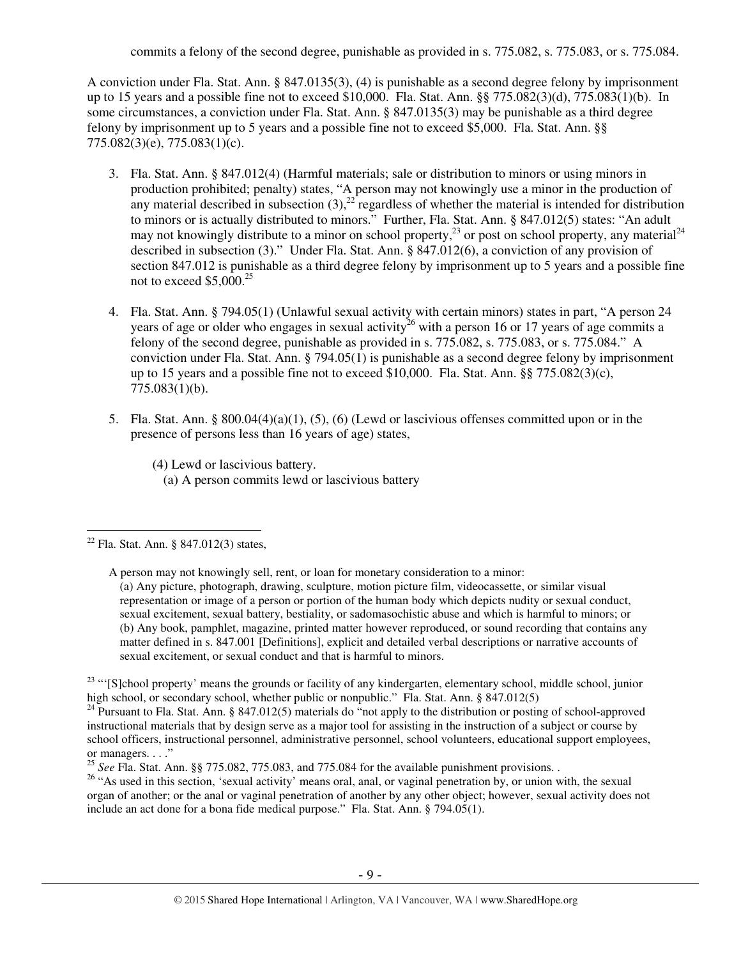A conviction under Fla. Stat. Ann. § 847.0135(3), (4) is punishable as a second degree felony by imprisonment up to 15 years and a possible fine not to exceed \$10,000. Fla. Stat. Ann. §§ 775.082(3)(d), 775.083(1)(b). In some circumstances, a conviction under Fla. Stat. Ann. § 847.0135(3) may be punishable as a third degree felony by imprisonment up to 5 years and a possible fine not to exceed \$5,000. Fla. Stat. Ann. §§ 775.082(3)(e), 775.083(1)(c).

- 3. Fla. Stat. Ann. § 847.012(4) (Harmful materials; sale or distribution to minors or using minors in production prohibited; penalty) states, "A person may not knowingly use a minor in the production of any material described in subsection  $(3)$ ,<sup>22</sup> regardless of whether the material is intended for distribution to minors or is actually distributed to minors." Further, Fla. Stat. Ann. § 847.012(5) states: "An adult may not knowingly distribute to a minor on school property,<sup>23</sup> or post on school property, any material<sup>24</sup> described in subsection (3)." Under Fla. Stat. Ann. § 847.012(6), a conviction of any provision of section 847.012 is punishable as a third degree felony by imprisonment up to 5 years and a possible fine not to exceed  $$5,000.<sup>25</sup>$
- 4. Fla. Stat. Ann. § 794.05(1) (Unlawful sexual activity with certain minors) states in part, "A person 24 years of age or older who engages in sexual activity<sup>26</sup> with a person 16 or 17 years of age commits a felony of the second degree, punishable as provided in s. 775.082, s. 775.083, or s. 775.084." A conviction under Fla. Stat. Ann. § 794.05(1) is punishable as a second degree felony by imprisonment up to 15 years and a possible fine not to exceed  $$10,000$ . Fla. Stat. Ann. §§ 775.082(3)(c), 775.083(1)(b).
- 5. Fla. Stat. Ann. § 800.04(4)(a)(1), (5), (6) (Lewd or lascivious offenses committed upon or in the presence of persons less than 16 years of age) states,
	- (4) Lewd or lascivious battery.
		- (a) A person commits lewd or lascivious battery

<sup>23</sup> "'[S]chool property' means the grounds or facility of any kindergarten, elementary school, middle school, junior high school, or secondary school, whether public or nonpublic." Fla. Stat. Ann. § 847.012(5)

 $^{24}$  Pursuant to Fla. Stat. Ann. § 847.012(5) materials do "not apply to the distribution or posting of school-approved instructional materials that by design serve as a major tool for assisting in the instruction of a subject or course by school officers, instructional personnel, administrative personnel, school volunteers, educational support employees, or managers. . . ."

<sup>25</sup> *See* Fla. Stat. Ann. §§ 775.082, 775.083, and 775.084 for the available punishment provisions. .

<sup>26</sup> "As used in this section, 'sexual activity' means oral, anal, or vaginal penetration by, or union with, the sexual organ of another; or the anal or vaginal penetration of another by any other object; however, sexual activity does not include an act done for a bona fide medical purpose." Fla. Stat. Ann. § 794.05(1).

 $\overline{a}$  $22$  Fla. Stat. Ann. § 847.012(3) states,

A person may not knowingly sell, rent, or loan for monetary consideration to a minor: (a) Any picture, photograph, drawing, sculpture, motion picture film, videocassette, or similar visual representation or image of a person or portion of the human body which depicts nudity or sexual conduct, sexual excitement, sexual battery, bestiality, or sadomasochistic abuse and which is harmful to minors; or (b) Any book, pamphlet, magazine, printed matter however reproduced, or sound recording that contains any matter defined in s. 847.001 [Definitions], explicit and detailed verbal descriptions or narrative accounts of sexual excitement, or sexual conduct and that is harmful to minors.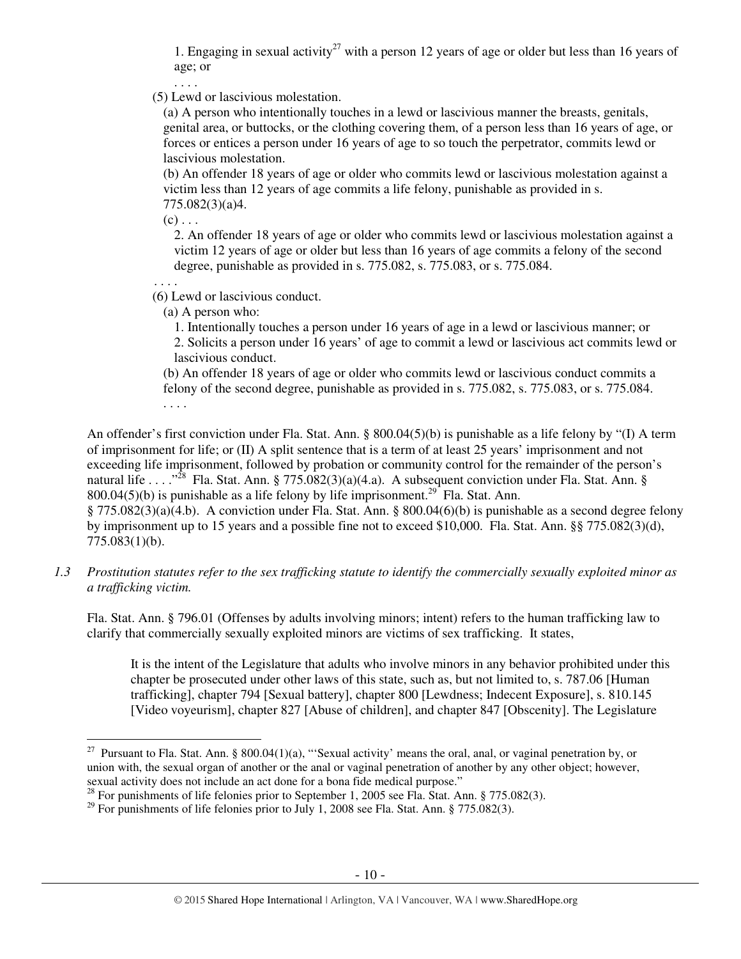1. Engaging in sexual activity<sup>27</sup> with a person 12 years of age or older but less than 16 years of age; or

. . . .

(5) Lewd or lascivious molestation.

(a) A person who intentionally touches in a lewd or lascivious manner the breasts, genitals, genital area, or buttocks, or the clothing covering them, of a person less than 16 years of age, or forces or entices a person under 16 years of age to so touch the perpetrator, commits lewd or lascivious molestation.

(b) An offender 18 years of age or older who commits lewd or lascivious molestation against a victim less than 12 years of age commits a life felony, punishable as provided in s. 775.082(3)(a)4.

 $(c)$ ...

2. An offender 18 years of age or older who commits lewd or lascivious molestation against a victim 12 years of age or older but less than 16 years of age commits a felony of the second degree, punishable as provided in s. 775.082, s. 775.083, or s. 775.084.

. . . .

(6) Lewd or lascivious conduct.

(a) A person who:

1. Intentionally touches a person under 16 years of age in a lewd or lascivious manner; or

2. Solicits a person under 16 years' of age to commit a lewd or lascivious act commits lewd or lascivious conduct.

(b) An offender 18 years of age or older who commits lewd or lascivious conduct commits a felony of the second degree, punishable as provided in s. 775.082, s. 775.083, or s. 775.084.

. . . .

An offender's first conviction under Fla. Stat. Ann. § 800.04(5)(b) is punishable as a life felony by "(I) A term of imprisonment for life; or (II) A split sentence that is a term of at least 25 years' imprisonment and not exceeding life imprisonment, followed by probation or community control for the remainder of the person's natural life . . . .<sup>328</sup> Fla. Stat. Ann. § 775.082(3)(a)(4.a). A subsequent conviction under Fla. Stat. Ann. § 800.04(5)(b) is punishable as a life felony by life imprisonment.<sup>29</sup> Fla. Stat. Ann. § 775.082(3)(a)(4.b). A conviction under Fla. Stat. Ann. § 800.04(6)(b) is punishable as a second degree felony by imprisonment up to 15 years and a possible fine not to exceed \$10,000. Fla. Stat. Ann. §§ 775.082(3)(d),

775.083(1)(b).

*1.3 Prostitution statutes refer to the sex trafficking statute to identify the commercially sexually exploited minor as a trafficking victim.* 

Fla. Stat. Ann. § 796.01 (Offenses by adults involving minors; intent) refers to the human trafficking law to clarify that commercially sexually exploited minors are victims of sex trafficking. It states,

It is the intent of the Legislature that adults who involve minors in any behavior prohibited under this chapter be prosecuted under other laws of this state, such as, but not limited to, s. 787.06 [Human trafficking], chapter 794 [Sexual battery], chapter 800 [Lewdness; Indecent Exposure], s. 810.145 [Video voyeurism], chapter 827 [Abuse of children], and chapter 847 [Obscenity]. The Legislature

 $\overline{a}$ <sup>27</sup> Pursuant to Fla. Stat. Ann. § 800.04(1)(a), "'Sexual activity' means the oral, anal, or vaginal penetration by, or union with, the sexual organ of another or the anal or vaginal penetration of another by any other object; however, sexual activity does not include an act done for a bona fide medical purpose."

<sup>&</sup>lt;sup>28</sup> For punishments of life felonies prior to September 1, 2005 see Fla. Stat. Ann. § 775.082(3).

<sup>&</sup>lt;sup>29</sup> For punishments of life felonies prior to July 1, 2008 see Fla. Stat. Ann. § 775.082(3).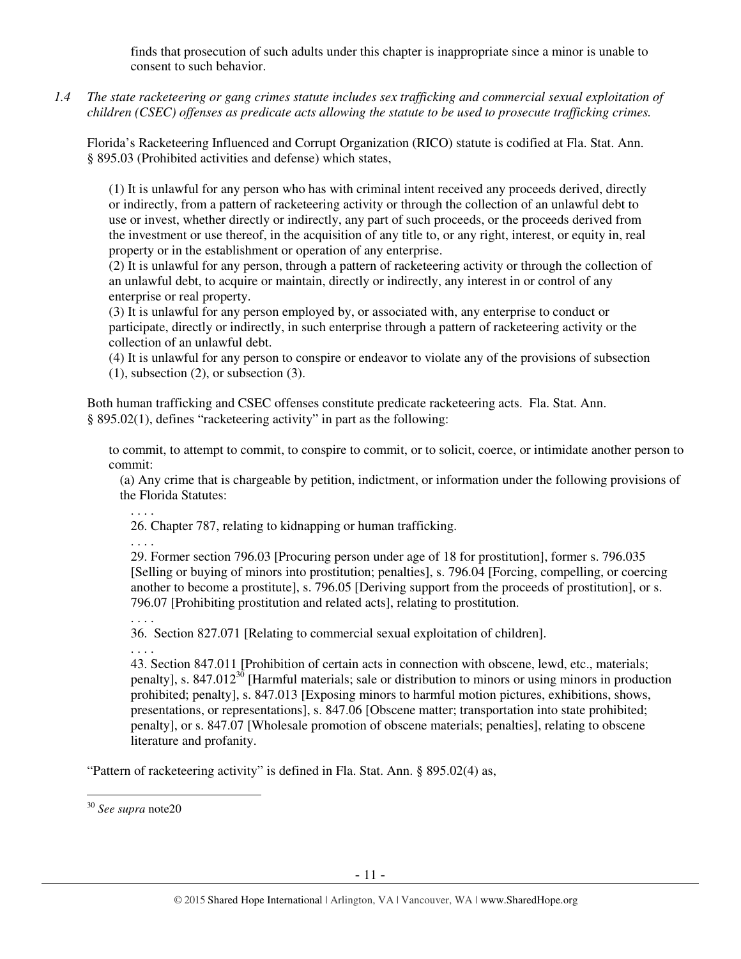finds that prosecution of such adults under this chapter is inappropriate since a minor is unable to consent to such behavior.

*1.4 The state racketeering or gang crimes statute includes sex trafficking and commercial sexual exploitation of children (CSEC) offenses as predicate acts allowing the statute to be used to prosecute trafficking crimes.* 

Florida's Racketeering Influenced and Corrupt Organization (RICO) statute is codified at Fla. Stat. Ann. § 895.03 (Prohibited activities and defense) which states,

(1) It is unlawful for any person who has with criminal intent received any proceeds derived, directly or indirectly, from a pattern of racketeering activity or through the collection of an unlawful debt to use or invest, whether directly or indirectly, any part of such proceeds, or the proceeds derived from the investment or use thereof, in the acquisition of any title to, or any right, interest, or equity in, real property or in the establishment or operation of any enterprise.

(2) It is unlawful for any person, through a pattern of racketeering activity or through the collection of an unlawful debt, to acquire or maintain, directly or indirectly, any interest in or control of any enterprise or real property.

(3) It is unlawful for any person employed by, or associated with, any enterprise to conduct or participate, directly or indirectly, in such enterprise through a pattern of racketeering activity or the collection of an unlawful debt.

(4) It is unlawful for any person to conspire or endeavor to violate any of the provisions of subsection  $(1)$ , subsection  $(2)$ , or subsection  $(3)$ .

Both human trafficking and CSEC offenses constitute predicate racketeering acts. Fla. Stat. Ann. § 895.02(1), defines "racketeering activity" in part as the following:

to commit, to attempt to commit, to conspire to commit, or to solicit, coerce, or intimidate another person to commit:

(a) Any crime that is chargeable by petition, indictment, or information under the following provisions of the Florida Statutes:

26. Chapter 787, relating to kidnapping or human trafficking.

. . . .

. . . .

29. Former section 796.03 [Procuring person under age of 18 for prostitution], former s. 796.035 [Selling or buying of minors into prostitution; penalties], s. 796.04 [Forcing, compelling, or coercing another to become a prostitute], s. 796.05 [Deriving support from the proceeds of prostitution], or s. 796.07 [Prohibiting prostitution and related acts], relating to prostitution.

. . . .

36. Section 827.071 [Relating to commercial sexual exploitation of children].

. . . .

43. Section 847.011 [Prohibition of certain acts in connection with obscene, lewd, etc., materials; penalty], s. 847.012<sup>30</sup> [Harmful materials; sale or distribution to minors or using minors in production prohibited; penalty], s. 847.013 [Exposing minors to harmful motion pictures, exhibitions, shows, presentations, or representations], s. 847.06 [Obscene matter; transportation into state prohibited; penalty], or s. 847.07 [Wholesale promotion of obscene materials; penalties], relating to obscene literature and profanity.

"Pattern of racketeering activity" is defined in Fla. Stat. Ann. § 895.02(4) as,

 $\overline{a}$ <sup>30</sup> *See supra* note20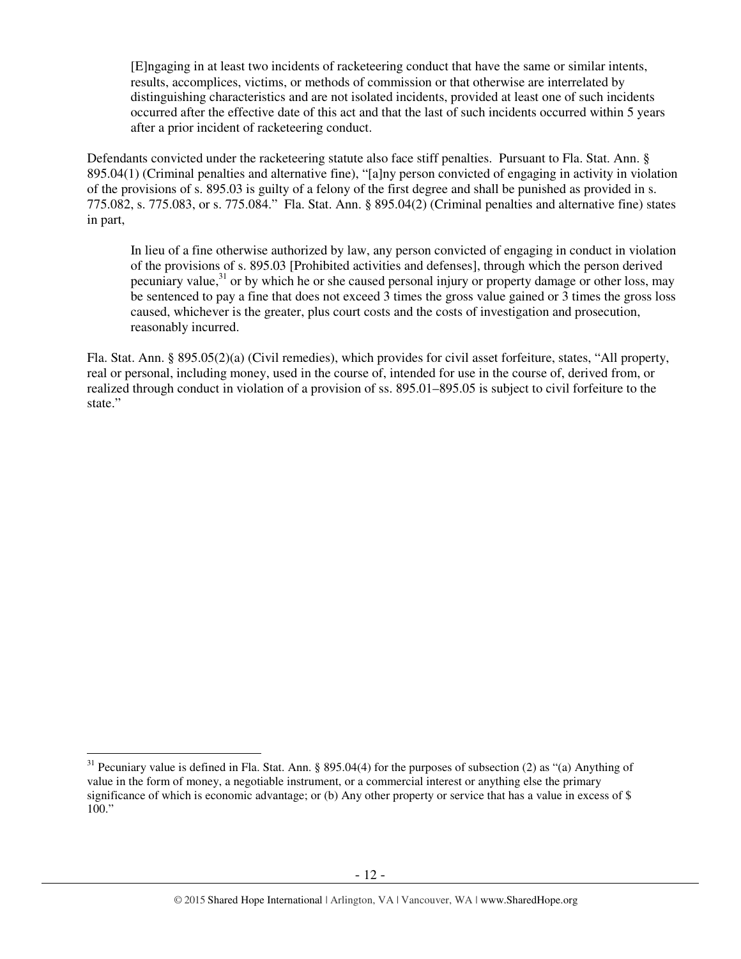[E]ngaging in at least two incidents of racketeering conduct that have the same or similar intents, results, accomplices, victims, or methods of commission or that otherwise are interrelated by distinguishing characteristics and are not isolated incidents, provided at least one of such incidents occurred after the effective date of this act and that the last of such incidents occurred within 5 years after a prior incident of racketeering conduct.

Defendants convicted under the racketeering statute also face stiff penalties. Pursuant to Fla. Stat. Ann. § 895.04(1) (Criminal penalties and alternative fine), "[a]ny person convicted of engaging in activity in violation of the provisions of s. 895.03 is guilty of a felony of the first degree and shall be punished as provided in s. 775.082, s. 775.083, or s. 775.084." Fla. Stat. Ann. § 895.04(2) (Criminal penalties and alternative fine) states in part,

In lieu of a fine otherwise authorized by law, any person convicted of engaging in conduct in violation of the provisions of s. 895.03 [Prohibited activities and defenses], through which the person derived pecuniary value, $31$  or by which he or she caused personal injury or property damage or other loss, may be sentenced to pay a fine that does not exceed 3 times the gross value gained or 3 times the gross loss caused, whichever is the greater, plus court costs and the costs of investigation and prosecution, reasonably incurred.

Fla. Stat. Ann. § 895.05(2)(a) (Civil remedies), which provides for civil asset forfeiture, states, "All property, real or personal, including money, used in the course of, intended for use in the course of, derived from, or realized through conduct in violation of a provision of ss. 895.01–895.05 is subject to civil forfeiture to the state."

 $31$  Pecuniary value is defined in Fla. Stat. Ann. § 895.04(4) for the purposes of subsection (2) as "(a) Anything of value in the form of money, a negotiable instrument, or a commercial interest or anything else the primary significance of which is economic advantage; or (b) Any other property or service that has a value in excess of \$  $100."$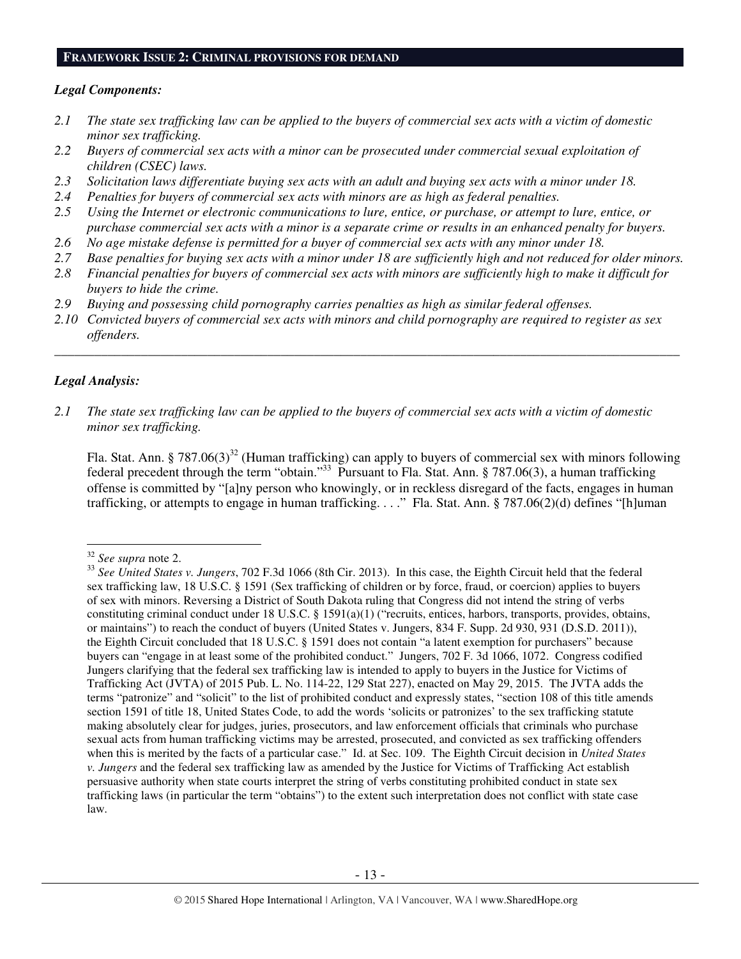#### **FRAMEWORK ISSUE 2: CRIMINAL PROVISIONS FOR DEMAND**

## *Legal Components:*

- *2.1 The state sex trafficking law can be applied to the buyers of commercial sex acts with a victim of domestic minor sex trafficking.*
- *2.2 Buyers of commercial sex acts with a minor can be prosecuted under commercial sexual exploitation of children (CSEC) laws.*
- *2.3 Solicitation laws differentiate buying sex acts with an adult and buying sex acts with a minor under 18.*
- *2.4 Penalties for buyers of commercial sex acts with minors are as high as federal penalties.*
- *2.5 Using the Internet or electronic communications to lure, entice, or purchase, or attempt to lure, entice, or purchase commercial sex acts with a minor is a separate crime or results in an enhanced penalty for buyers.*
- *2.6 No age mistake defense is permitted for a buyer of commercial sex acts with any minor under 18.*
- *2.7 Base penalties for buying sex acts with a minor under 18 are sufficiently high and not reduced for older minors.*
- *2.8 Financial penalties for buyers of commercial sex acts with minors are sufficiently high to make it difficult for buyers to hide the crime.*
- *2.9 Buying and possessing child pornography carries penalties as high as similar federal offenses.*
- *2.10 Convicted buyers of commercial sex acts with minors and child pornography are required to register as sex offenders.*

\_\_\_\_\_\_\_\_\_\_\_\_\_\_\_\_\_\_\_\_\_\_\_\_\_\_\_\_\_\_\_\_\_\_\_\_\_\_\_\_\_\_\_\_\_\_\_\_\_\_\_\_\_\_\_\_\_\_\_\_\_\_\_\_\_\_\_\_\_\_\_\_\_\_\_\_\_\_\_\_\_\_\_\_\_\_\_\_\_\_\_\_\_\_

## *Legal Analysis:*

*2.1 The state sex trafficking law can be applied to the buyers of commercial sex acts with a victim of domestic minor sex trafficking.* 

Fla. Stat. Ann. § 787.06(3)<sup>32</sup> (Human trafficking) can apply to buyers of commercial sex with minors following federal precedent through the term "obtain."<sup>33</sup> Pursuant to Fla. Stat. Ann. § 787.06(3), a human trafficking offense is committed by "[a]ny person who knowingly, or in reckless disregard of the facts, engages in human trafficking, or attempts to engage in human trafficking. . . ." Fla. Stat. Ann. § 787.06(2)(d) defines "[h]uman

 $\overline{a}$ <sup>32</sup> *See supra* note 2.

<sup>33</sup> *See United States v. Jungers*, 702 F.3d 1066 (8th Cir. 2013). In this case, the Eighth Circuit held that the federal sex trafficking law, 18 U.S.C. § 1591 (Sex trafficking of children or by force, fraud, or coercion) applies to buyers of sex with minors. Reversing a District of South Dakota ruling that Congress did not intend the string of verbs constituting criminal conduct under 18 U.S.C. § 1591(a)(1) ("recruits, entices, harbors, transports, provides, obtains, or maintains") to reach the conduct of buyers (United States v. Jungers, 834 F. Supp. 2d 930, 931 (D.S.D. 2011)), the Eighth Circuit concluded that 18 U.S.C. § 1591 does not contain "a latent exemption for purchasers" because buyers can "engage in at least some of the prohibited conduct." Jungers, 702 F. 3d 1066, 1072. Congress codified Jungers clarifying that the federal sex trafficking law is intended to apply to buyers in the Justice for Victims of Trafficking Act (JVTA) of 2015 Pub. L. No. 114-22, 129 Stat 227), enacted on May 29, 2015. The JVTA adds the terms "patronize" and "solicit" to the list of prohibited conduct and expressly states, "section 108 of this title amends section 1591 of title 18, United States Code, to add the words 'solicits or patronizes' to the sex trafficking statute making absolutely clear for judges, juries, prosecutors, and law enforcement officials that criminals who purchase sexual acts from human trafficking victims may be arrested, prosecuted, and convicted as sex trafficking offenders when this is merited by the facts of a particular case." Id. at Sec. 109. The Eighth Circuit decision in *United States v. Jungers* and the federal sex trafficking law as amended by the Justice for Victims of Trafficking Act establish persuasive authority when state courts interpret the string of verbs constituting prohibited conduct in state sex trafficking laws (in particular the term "obtains") to the extent such interpretation does not conflict with state case law.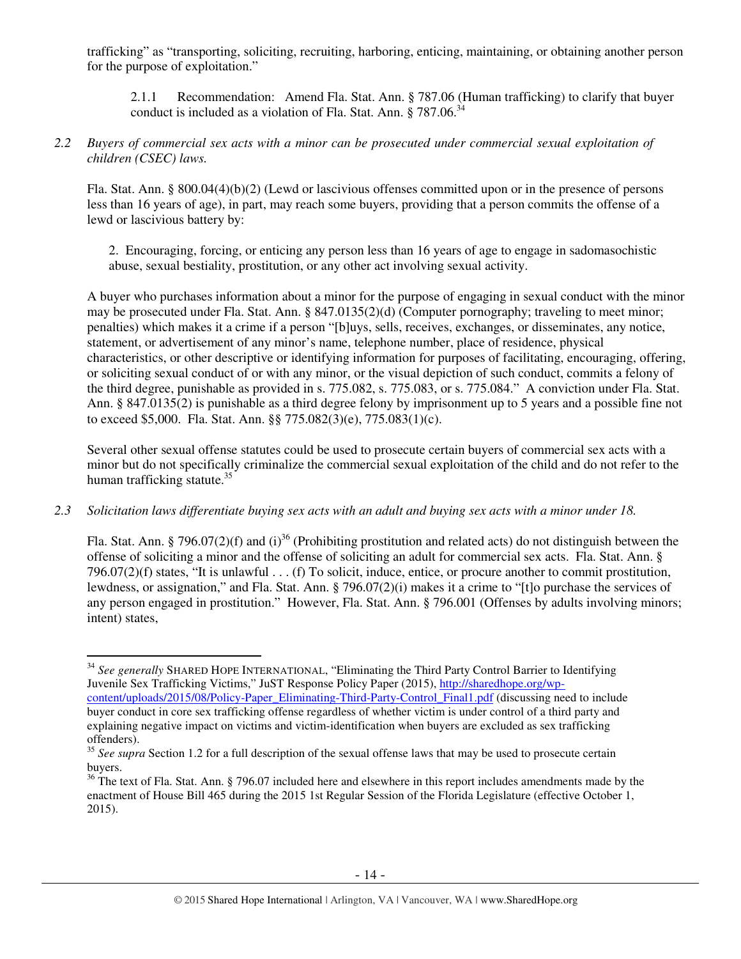trafficking" as "transporting, soliciting, recruiting, harboring, enticing, maintaining, or obtaining another person for the purpose of exploitation."

2.1.1 Recommendation: Amend Fla. Stat. Ann. § 787.06 (Human trafficking) to clarify that buyer conduct is included as a violation of Fla. Stat. Ann.  $8787.06^{34}$ 

*2.2 Buyers of commercial sex acts with a minor can be prosecuted under commercial sexual exploitation of children (CSEC) laws.* 

Fla. Stat. Ann. § 800.04(4)(b)(2) (Lewd or lascivious offenses committed upon or in the presence of persons less than 16 years of age), in part, may reach some buyers, providing that a person commits the offense of a lewd or lascivious battery by:

2. Encouraging, forcing, or enticing any person less than 16 years of age to engage in sadomasochistic abuse, sexual bestiality, prostitution, or any other act involving sexual activity.

A buyer who purchases information about a minor for the purpose of engaging in sexual conduct with the minor may be prosecuted under Fla. Stat. Ann. § 847.0135(2)(d) (Computer pornography; traveling to meet minor; penalties) which makes it a crime if a person "[b]uys, sells, receives, exchanges, or disseminates, any notice, statement, or advertisement of any minor's name, telephone number, place of residence, physical characteristics, or other descriptive or identifying information for purposes of facilitating, encouraging, offering, or soliciting sexual conduct of or with any minor, or the visual depiction of such conduct, commits a felony of the third degree, punishable as provided in s. 775.082, s. 775.083, or s. 775.084." A conviction under Fla. Stat. Ann. § 847.0135(2) is punishable as a third degree felony by imprisonment up to 5 years and a possible fine not to exceed \$5,000. Fla. Stat. Ann. §§ 775.082(3)(e), 775.083(1)(c).

Several other sexual offense statutes could be used to prosecute certain buyers of commercial sex acts with a minor but do not specifically criminalize the commercial sexual exploitation of the child and do not refer to the human trafficking statute. $35$ 

*2.3 Solicitation laws differentiate buying sex acts with an adult and buying sex acts with a minor under 18.* 

Fla. Stat. Ann. § 796.07(2)(f) and (i)<sup>36</sup> (Prohibiting prostitution and related acts) do not distinguish between the offense of soliciting a minor and the offense of soliciting an adult for commercial sex acts. Fla. Stat. Ann. §  $796.07(2)$ (f) states, "It is unlawful . . . (f) To solicit, induce, entice, or procure another to commit prostitution, lewdness, or assignation," and Fla. Stat. Ann. § 796.07(2)(i) makes it a crime to "[t]o purchase the services of any person engaged in prostitution." However, Fla. Stat. Ann. § 796.001 (Offenses by adults involving minors; intent) states,

<sup>34</sup> *See generally* SHARED HOPE INTERNATIONAL, "Eliminating the Third Party Control Barrier to Identifying Juvenile Sex Trafficking Victims," JuST Response Policy Paper (2015), http://sharedhope.org/wpcontent/uploads/2015/08/Policy-Paper\_Eliminating-Third-Party-Control\_Final1.pdf (discussing need to include buyer conduct in core sex trafficking offense regardless of whether victim is under control of a third party and explaining negative impact on victims and victim-identification when buyers are excluded as sex trafficking offenders).

<sup>&</sup>lt;sup>35</sup> See supra Section 1.2 for a full description of the sexual offense laws that may be used to prosecute certain buyers.

 $36$  The text of Fla. Stat. Ann. § 796.07 included here and elsewhere in this report includes amendments made by the enactment of House Bill 465 during the 2015 1st Regular Session of the Florida Legislature (effective October 1, 2015).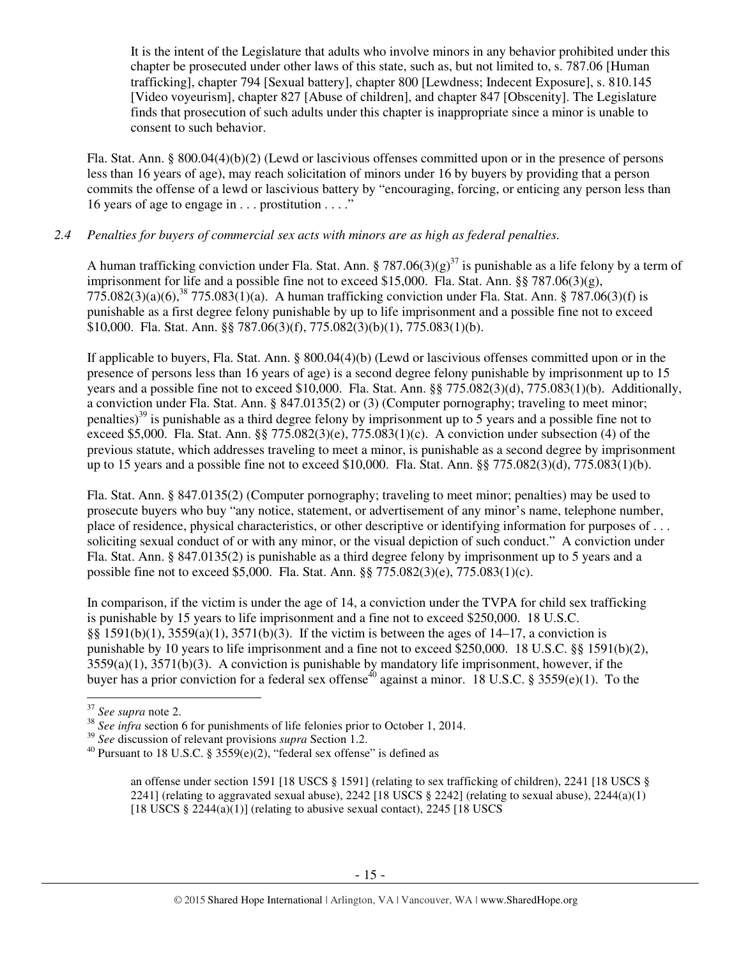It is the intent of the Legislature that adults who involve minors in any behavior prohibited under this chapter be prosecuted under other laws of this state, such as, but not limited to, s. 787.06 [Human trafficking], chapter 794 [Sexual battery], chapter 800 [Lewdness; Indecent Exposure], s. 810.145 [Video voyeurism], chapter 827 [Abuse of children], and chapter 847 [Obscenity]. The Legislature finds that prosecution of such adults under this chapter is inappropriate since a minor is unable to consent to such behavior.

Fla. Stat. Ann. § 800.04(4)(b)(2) (Lewd or lascivious offenses committed upon or in the presence of persons less than 16 years of age), may reach solicitation of minors under 16 by buyers by providing that a person commits the offense of a lewd or lascivious battery by "encouraging, forcing, or enticing any person less than 16 years of age to engage in . . . prostitution . . . ."

# *2.4 Penalties for buyers of commercial sex acts with minors are as high as federal penalties.*

A human trafficking conviction under Fla. Stat. Ann. § 787.06(3)(g)<sup>37</sup> is punishable as a life felony by a term of imprisonment for life and a possible fine not to exceed \$15,000. Fla. Stat. Ann. §§ 787.06(3)(g), 775.082(3)(a)(6),<sup>38</sup> 775.083(1)(a). A human trafficking conviction under Fla. Stat. Ann. § 787.06(3)(f) is punishable as a first degree felony punishable by up to life imprisonment and a possible fine not to exceed \$10,000. Fla. Stat. Ann. §§ 787.06(3)(f), 775.082(3)(b)(1), 775.083(1)(b).

If applicable to buyers, Fla. Stat. Ann. § 800.04(4)(b) (Lewd or lascivious offenses committed upon or in the presence of persons less than 16 years of age) is a second degree felony punishable by imprisonment up to 15 years and a possible fine not to exceed \$10,000. Fla. Stat. Ann. §§ 775.082(3)(d), 775.083(1)(b). Additionally, a conviction under Fla. Stat. Ann. § 847.0135(2) or (3) (Computer pornography; traveling to meet minor; penalties)<sup>39</sup> is punishable as a third degree felony by imprisonment up to 5 years and a possible fine not to exceed \$5,000. Fla. Stat. Ann.  $\S$  775.082(3)(e), 775.083(1)(c). A conviction under subsection (4) of the previous statute, which addresses traveling to meet a minor, is punishable as a second degree by imprisonment up to 15 years and a possible fine not to exceed \$10,000. Fla. Stat. Ann. §§ 775.082(3)(d), 775.083(1)(b).

Fla. Stat. Ann. § 847.0135(2) (Computer pornography; traveling to meet minor; penalties) may be used to prosecute buyers who buy "any notice, statement, or advertisement of any minor's name, telephone number, place of residence, physical characteristics, or other descriptive or identifying information for purposes of . . . soliciting sexual conduct of or with any minor, or the visual depiction of such conduct." A conviction under Fla. Stat. Ann. § 847.0135(2) is punishable as a third degree felony by imprisonment up to 5 years and a possible fine not to exceed \$5,000. Fla. Stat. Ann. §§ 775.082(3)(e), 775.083(1)(c).

In comparison, if the victim is under the age of 14, a conviction under the TVPA for child sex trafficking is punishable by 15 years to life imprisonment and a fine not to exceed \$250,000. 18 U.S.C. §§ 1591(b)(1), 3559(a)(1), 3571(b)(3). If the victim is between the ages of 14–17, a conviction is punishable by 10 years to life imprisonment and a fine not to exceed \$250,000. 18 U.S.C. §§ 1591(b)(2),  $3559(a)(1)$ ,  $3571(b)(3)$ . A conviction is punishable by mandatory life imprisonment, however, if the buyer has a prior conviction for a federal sex offense<sup>40</sup> against a minor. 18 U.S.C. § 3559(e)(1). To the

 $\overline{a}$ <sup>37</sup> *See supra* note 2.

<sup>&</sup>lt;sup>38</sup> *See infra* section 6 for punishments of life felonies prior to October 1, 2014.

<sup>39</sup> *See* discussion of relevant provisions *supra* Section 1.2.

<sup>&</sup>lt;sup>40</sup> Pursuant to 18 U.S.C. § 3559(e)(2), "federal sex offense" is defined as

an offense under section 1591 [18 USCS § 1591] (relating to sex trafficking of children), 2241 [18 USCS § 2241] (relating to aggravated sexual abuse), 2242 [18 USCS  $\S$  2242] (relating to sexual abuse), 2244(a)(1) [18 USCS  $\S$  2244(a)(1)] (relating to abusive sexual contact), 2245 [18 USCS]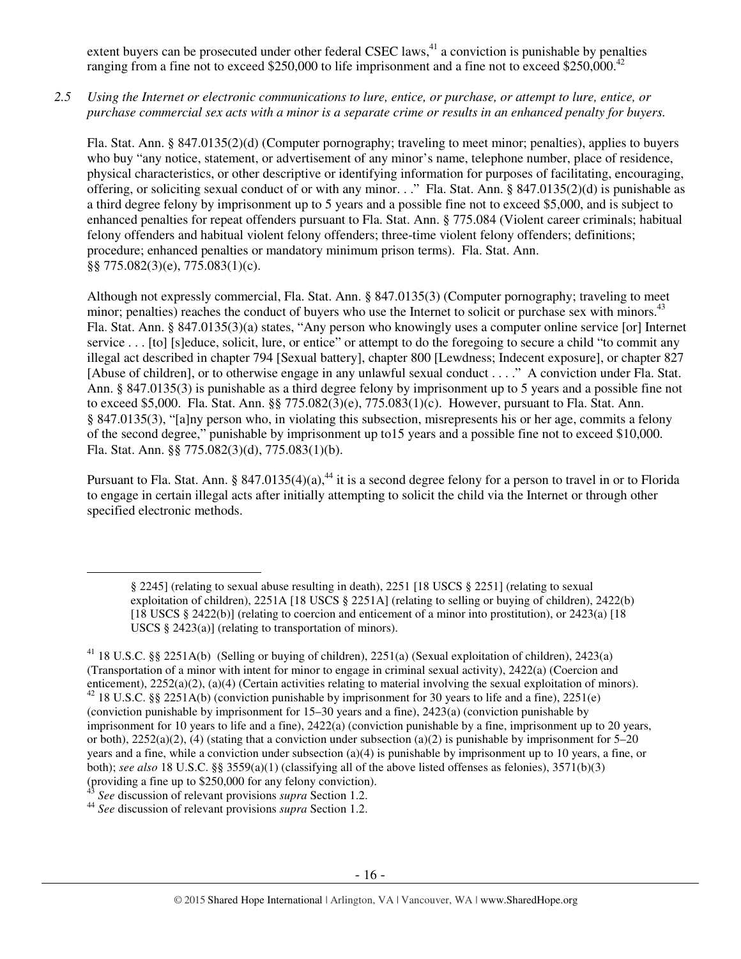extent buyers can be prosecuted under other federal CSEC laws, $41$  a conviction is punishable by penalties ranging from a fine not to exceed \$250,000 to life imprisonment and a fine not to exceed \$250,000.<sup>42</sup>

*2.5 Using the Internet or electronic communications to lure, entice, or purchase, or attempt to lure, entice, or purchase commercial sex acts with a minor is a separate crime or results in an enhanced penalty for buyers.* 

Fla. Stat. Ann. § 847.0135(2)(d) (Computer pornography; traveling to meet minor; penalties), applies to buyers who buy "any notice, statement, or advertisement of any minor's name, telephone number, place of residence, physical characteristics, or other descriptive or identifying information for purposes of facilitating, encouraging, offering, or soliciting sexual conduct of or with any minor. . ." Fla. Stat. Ann. § 847.0135(2)(d) is punishable as a third degree felony by imprisonment up to 5 years and a possible fine not to exceed \$5,000, and is subject to enhanced penalties for repeat offenders pursuant to Fla. Stat. Ann. § 775.084 (Violent career criminals; habitual felony offenders and habitual violent felony offenders; three-time violent felony offenders; definitions; procedure; enhanced penalties or mandatory minimum prison terms). Fla. Stat. Ann. §§ 775.082(3)(e), 775.083(1)(c).

Although not expressly commercial, Fla. Stat. Ann. § 847.0135(3) (Computer pornography; traveling to meet minor; penalties) reaches the conduct of buyers who use the Internet to solicit or purchase sex with minors.<sup>43</sup> Fla. Stat. Ann. § 847.0135(3)(a) states, "Any person who knowingly uses a computer online service [or] Internet service . . . [to] [s]educe, solicit, lure, or entice" or attempt to do the foregoing to secure a child "to commit any illegal act described in chapter 794 [Sexual battery], chapter 800 [Lewdness; Indecent exposure], or chapter 827 [Abuse of children], or to otherwise engage in any unlawful sexual conduct . . . ." A conviction under Fla. Stat. Ann. § 847.0135(3) is punishable as a third degree felony by imprisonment up to 5 years and a possible fine not to exceed \$5,000. Fla. Stat. Ann. §§ 775.082(3)(e), 775.083(1)(c). However, pursuant to Fla. Stat. Ann. § 847.0135(3), "[a]ny person who, in violating this subsection, misrepresents his or her age, commits a felony of the second degree," punishable by imprisonment up to15 years and a possible fine not to exceed \$10,000. Fla. Stat. Ann. §§ 775.082(3)(d), 775.083(1)(b).

Pursuant to Fla. Stat. Ann. § 847.0135(4)(a),<sup>44</sup> it is a second degree felony for a person to travel in or to Florida to engage in certain illegal acts after initially attempting to solicit the child via the Internet or through other specified electronic methods.

<sup>43</sup> *See* discussion of relevant provisions *supra* Section 1.2.

 $\overline{a}$ 

<sup>44</sup> *See* discussion of relevant provisions *supra* Section 1.2.

<sup>§ 2245] (</sup>relating to sexual abuse resulting in death), 2251 [18 USCS § 2251] (relating to sexual exploitation of children), 2251A [18 USCS § 2251A] (relating to selling or buying of children), 2422(b) [18 USCS § 2422(b)] (relating to coercion and enticement of a minor into prostitution), or 2423(a) [18 USCS  $\S$  2423(a)] (relating to transportation of minors).

<sup>41</sup> 18 U.S.C. §§ 2251A(b) (Selling or buying of children), 2251(a) (Sexual exploitation of children), 2423(a) (Transportation of a minor with intent for minor to engage in criminal sexual activity), 2422(a) (Coercion and enticement), 2252(a)(2), (a)(4) (Certain activities relating to material involving the sexual exploitation of minors). 42 18 U.S.C. §§ 2251A(b) (conviction punishable by imprisonment for 30 years to life and a fine), 2251(e) (conviction punishable by imprisonment for 15–30 years and a fine), 2423(a) (conviction punishable by imprisonment for 10 years to life and a fine), 2422(a) (conviction punishable by a fine, imprisonment up to 20 years, or both),  $2252(a)(2)$ , (4) (stating that a conviction under subsection (a)(2) is punishable by imprisonment for 5–20 years and a fine, while a conviction under subsection (a)(4) is punishable by imprisonment up to 10 years, a fine, or both); *see also* 18 U.S.C. §§ 3559(a)(1) (classifying all of the above listed offenses as felonies), 3571(b)(3) (providing a fine up to \$250,000 for any felony conviction).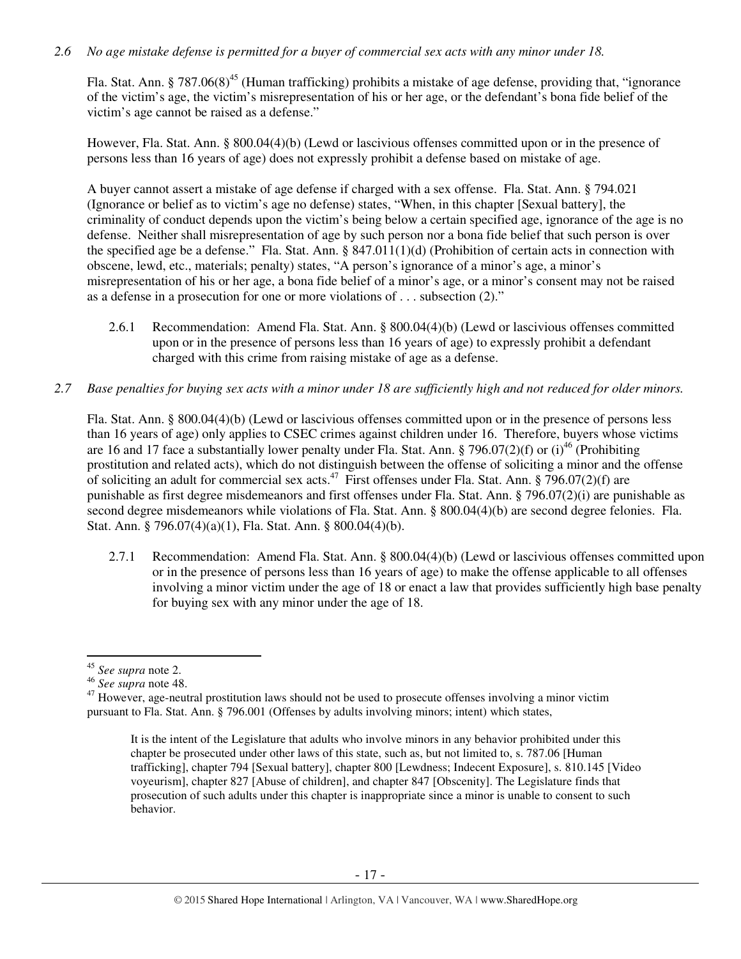# *2.6 No age mistake defense is permitted for a buyer of commercial sex acts with any minor under 18.*

Fla. Stat. Ann. § 787.06(8)<sup>45</sup> (Human trafficking) prohibits a mistake of age defense, providing that, "ignorance of the victim's age, the victim's misrepresentation of his or her age, or the defendant's bona fide belief of the victim's age cannot be raised as a defense."

However, Fla. Stat. Ann. § 800.04(4)(b) (Lewd or lascivious offenses committed upon or in the presence of persons less than 16 years of age) does not expressly prohibit a defense based on mistake of age.

A buyer cannot assert a mistake of age defense if charged with a sex offense. Fla. Stat. Ann. § 794.021 (Ignorance or belief as to victim's age no defense) states, "When, in this chapter [Sexual battery], the criminality of conduct depends upon the victim's being below a certain specified age, ignorance of the age is no defense. Neither shall misrepresentation of age by such person nor a bona fide belief that such person is over the specified age be a defense." Fla. Stat. Ann. § 847.011(1)(d) (Prohibition of certain acts in connection with obscene, lewd, etc., materials; penalty) states, "A person's ignorance of a minor's age, a minor's misrepresentation of his or her age, a bona fide belief of a minor's age, or a minor's consent may not be raised as a defense in a prosecution for one or more violations of . . . subsection (2)."

- 2.6.1 Recommendation: Amend Fla. Stat. Ann. § 800.04(4)(b) (Lewd or lascivious offenses committed upon or in the presence of persons less than 16 years of age) to expressly prohibit a defendant charged with this crime from raising mistake of age as a defense.
- *2.7 Base penalties for buying sex acts with a minor under 18 are sufficiently high and not reduced for older minors.*

Fla. Stat. Ann. § 800.04(4)(b) (Lewd or lascivious offenses committed upon or in the presence of persons less than 16 years of age) only applies to CSEC crimes against children under 16. Therefore, buyers whose victims are 16 and 17 face a substantially lower penalty under Fla. Stat. Ann. § 796.07(2)(f) or (i)<sup>46</sup> (Prohibiting prostitution and related acts), which do not distinguish between the offense of soliciting a minor and the offense of soliciting an adult for commercial sex acts.<sup>47</sup> First offenses under Fla. Stat. Ann. § 796.07(2)(f) are punishable as first degree misdemeanors and first offenses under Fla. Stat. Ann. § 796.07(2)(i) are punishable as second degree misdemeanors while violations of Fla. Stat. Ann. § 800.04(4)(b) are second degree felonies. Fla. Stat. Ann. § 796.07(4)(a)(1), Fla. Stat. Ann. § 800.04(4)(b).

2.7.1 Recommendation: Amend Fla. Stat. Ann. § 800.04(4)(b) (Lewd or lascivious offenses committed upon or in the presence of persons less than 16 years of age) to make the offense applicable to all offenses involving a minor victim under the age of 18 or enact a law that provides sufficiently high base penalty for buying sex with any minor under the age of 18.

 $\overline{a}$ <sup>45</sup> *See supra* note 2.

<sup>46</sup> *See supra* note 48.

<sup>&</sup>lt;sup>47</sup> However, age-neutral prostitution laws should not be used to prosecute offenses involving a minor victim pursuant to Fla. Stat. Ann. § 796.001 (Offenses by adults involving minors; intent) which states,

It is the intent of the Legislature that adults who involve minors in any behavior prohibited under this chapter be prosecuted under other laws of this state, such as, but not limited to, s. 787.06 [Human trafficking], chapter 794 [Sexual battery], chapter 800 [Lewdness; Indecent Exposure], s. 810.145 [Video voyeurism], chapter 827 [Abuse of children], and chapter 847 [Obscenity]. The Legislature finds that prosecution of such adults under this chapter is inappropriate since a minor is unable to consent to such behavior.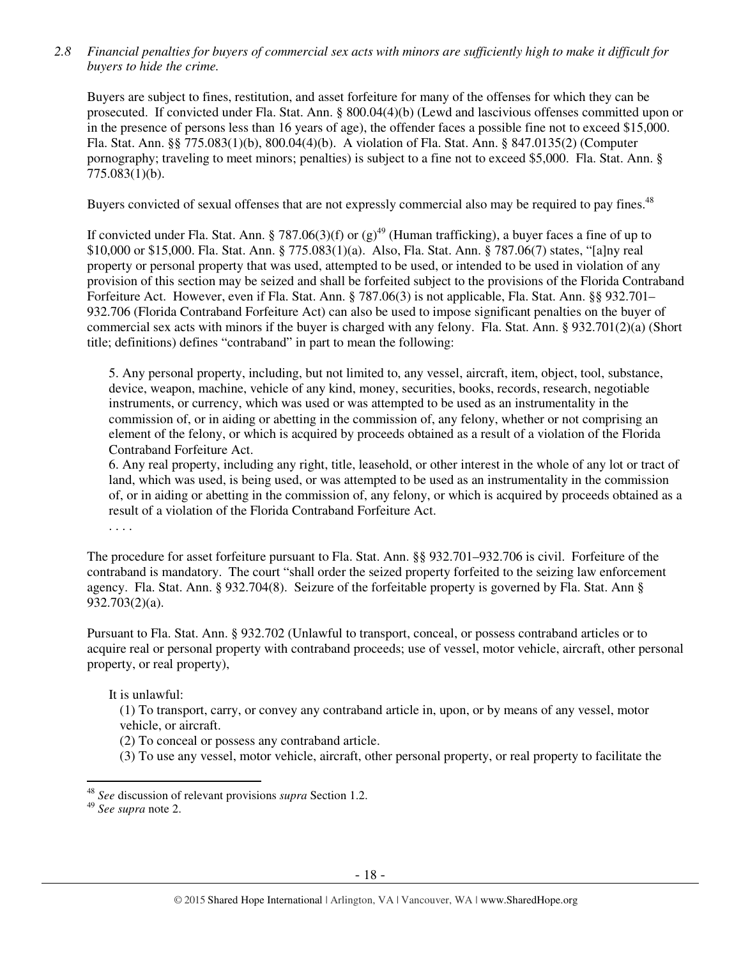*2.8 Financial penalties for buyers of commercial sex acts with minors are sufficiently high to make it difficult for buyers to hide the crime.* 

Buyers are subject to fines, restitution, and asset forfeiture for many of the offenses for which they can be prosecuted. If convicted under Fla. Stat. Ann. § 800.04(4)(b) (Lewd and lascivious offenses committed upon or in the presence of persons less than 16 years of age), the offender faces a possible fine not to exceed \$15,000. Fla. Stat. Ann. §§ 775.083(1)(b), 800.04(4)(b). A violation of Fla. Stat. Ann. § 847.0135(2) (Computer pornography; traveling to meet minors; penalties) is subject to a fine not to exceed \$5,000. Fla. Stat. Ann. § 775.083(1)(b).

Buyers convicted of sexual offenses that are not expressly commercial also may be required to pay fines.<sup>48</sup>

If convicted under Fla. Stat. Ann. § 787.06(3)(f) or  $(g)^{49}$  (Human trafficking), a buyer faces a fine of up to \$10,000 or \$15,000. Fla. Stat. Ann. § 775.083(1)(a). Also, Fla. Stat. Ann. § 787.06(7) states, "[a]ny real property or personal property that was used, attempted to be used, or intended to be used in violation of any provision of this section may be seized and shall be forfeited subject to the provisions of the Florida Contraband Forfeiture Act. However, even if Fla. Stat. Ann. § 787.06(3) is not applicable, Fla. Stat. Ann. §§ 932.701– 932.706 (Florida Contraband Forfeiture Act) can also be used to impose significant penalties on the buyer of commercial sex acts with minors if the buyer is charged with any felony. Fla. Stat. Ann. § 932.701(2)(a) (Short title; definitions) defines "contraband" in part to mean the following:

5. Any personal property, including, but not limited to, any vessel, aircraft, item, object, tool, substance, device, weapon, machine, vehicle of any kind, money, securities, books, records, research, negotiable instruments, or currency, which was used or was attempted to be used as an instrumentality in the commission of, or in aiding or abetting in the commission of, any felony, whether or not comprising an element of the felony, or which is acquired by proceeds obtained as a result of a violation of the Florida Contraband Forfeiture Act.

6. Any real property, including any right, title, leasehold, or other interest in the whole of any lot or tract of land, which was used, is being used, or was attempted to be used as an instrumentality in the commission of, or in aiding or abetting in the commission of, any felony, or which is acquired by proceeds obtained as a result of a violation of the Florida Contraband Forfeiture Act.

. . . .

The procedure for asset forfeiture pursuant to Fla. Stat. Ann. §§ 932.701–932.706 is civil. Forfeiture of the contraband is mandatory. The court "shall order the seized property forfeited to the seizing law enforcement agency. Fla. Stat. Ann. § 932.704(8). Seizure of the forfeitable property is governed by Fla. Stat. Ann § 932.703(2)(a).

Pursuant to Fla. Stat. Ann. § 932.702 (Unlawful to transport, conceal, or possess contraband articles or to acquire real or personal property with contraband proceeds; use of vessel, motor vehicle, aircraft, other personal property, or real property),

It is unlawful:

(1) To transport, carry, or convey any contraband article in, upon, or by means of any vessel, motor vehicle, or aircraft.

- (2) To conceal or possess any contraband article.
- (3) To use any vessel, motor vehicle, aircraft, other personal property, or real property to facilitate the

<sup>48</sup> *See* discussion of relevant provisions *supra* Section 1.2.

<sup>49</sup> *See supra* note 2.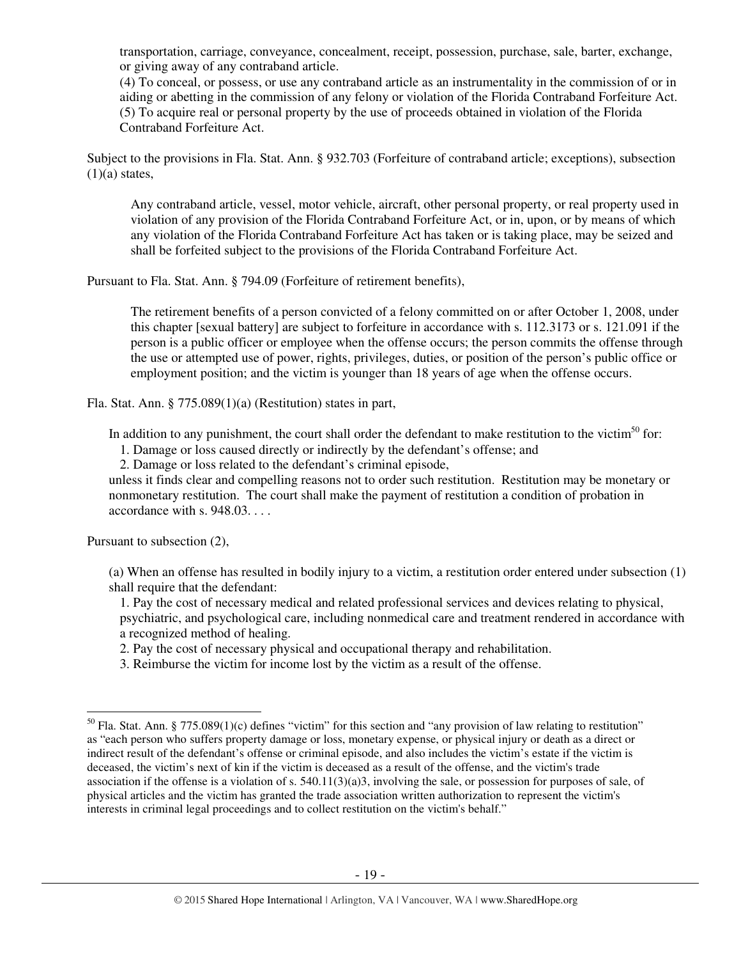transportation, carriage, conveyance, concealment, receipt, possession, purchase, sale, barter, exchange, or giving away of any contraband article.

(4) To conceal, or possess, or use any contraband article as an instrumentality in the commission of or in aiding or abetting in the commission of any felony or violation of the Florida Contraband Forfeiture Act. (5) To acquire real or personal property by the use of proceeds obtained in violation of the Florida Contraband Forfeiture Act.

Subject to the provisions in Fla. Stat. Ann. § 932.703 (Forfeiture of contraband article; exceptions), subsection  $(1)(a)$  states,

Any contraband article, vessel, motor vehicle, aircraft, other personal property, or real property used in violation of any provision of the Florida Contraband Forfeiture Act, or in, upon, or by means of which any violation of the Florida Contraband Forfeiture Act has taken or is taking place, may be seized and shall be forfeited subject to the provisions of the Florida Contraband Forfeiture Act.

Pursuant to Fla. Stat. Ann. § 794.09 (Forfeiture of retirement benefits),

The retirement benefits of a person convicted of a felony committed on or after October 1, 2008, under this chapter [sexual battery] are subject to forfeiture in accordance with s. 112.3173 or s. 121.091 if the person is a public officer or employee when the offense occurs; the person commits the offense through the use or attempted use of power, rights, privileges, duties, or position of the person's public office or employment position; and the victim is younger than 18 years of age when the offense occurs.

Fla. Stat. Ann. § 775.089(1)(a) (Restitution) states in part,

In addition to any punishment, the court shall order the defendant to make restitution to the victim<sup>50</sup> for:

1. Damage or loss caused directly or indirectly by the defendant's offense; and

2. Damage or loss related to the defendant's criminal episode,

unless it finds clear and compelling reasons not to order such restitution. Restitution may be monetary or nonmonetary restitution. The court shall make the payment of restitution a condition of probation in accordance with s. 948.03. . . .

Pursuant to subsection (2),

(a) When an offense has resulted in bodily injury to a victim, a restitution order entered under subsection (1) shall require that the defendant:

1. Pay the cost of necessary medical and related professional services and devices relating to physical, psychiatric, and psychological care, including nonmedical care and treatment rendered in accordance with a recognized method of healing.

2. Pay the cost of necessary physical and occupational therapy and rehabilitation.

3. Reimburse the victim for income lost by the victim as a result of the offense.

 $\overline{a}$  $50$  Fla. Stat. Ann. § 775.089(1)(c) defines "victim" for this section and "any provision of law relating to restitution" as "each person who suffers property damage or loss, monetary expense, or physical injury or death as a direct or indirect result of the defendant's offense or criminal episode, and also includes the victim's estate if the victim is deceased, the victim's next of kin if the victim is deceased as a result of the offense, and the victim's trade association if the offense is a violation of s.  $540.11(3)(a)3$ , involving the sale, or possession for purposes of sale, of physical articles and the victim has granted the trade association written authorization to represent the victim's interests in criminal legal proceedings and to collect restitution on the victim's behalf."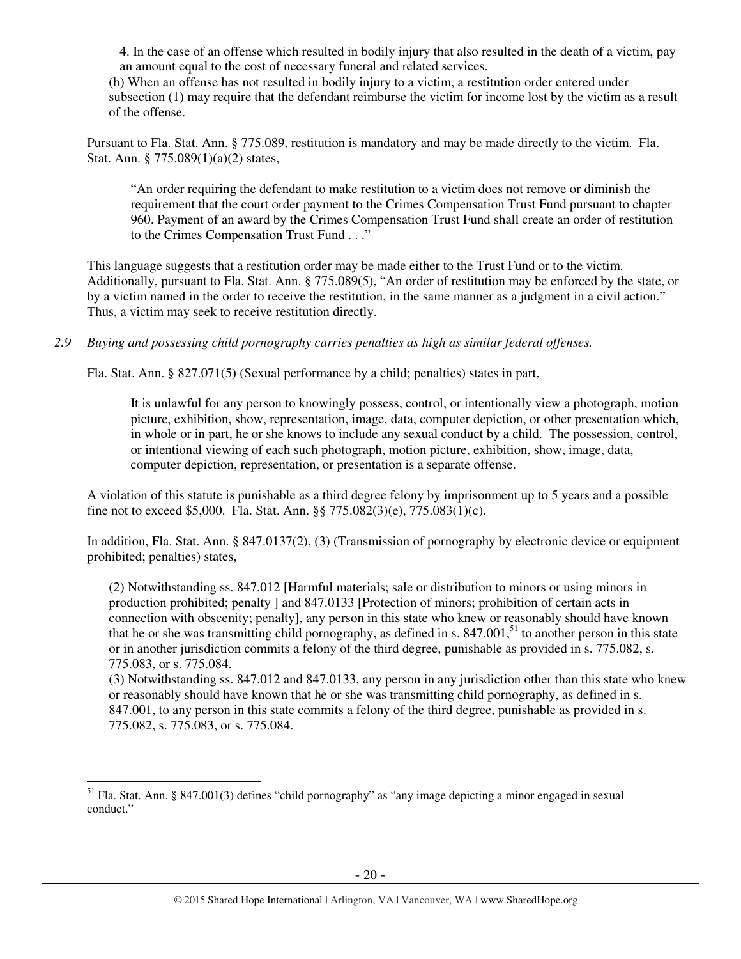4. In the case of an offense which resulted in bodily injury that also resulted in the death of a victim, pay an amount equal to the cost of necessary funeral and related services.

(b) When an offense has not resulted in bodily injury to a victim, a restitution order entered under subsection (1) may require that the defendant reimburse the victim for income lost by the victim as a result of the offense.

Pursuant to Fla. Stat. Ann. § 775.089, restitution is mandatory and may be made directly to the victim. Fla. Stat. Ann. § 775.089(1)(a)(2) states,

"An order requiring the defendant to make restitution to a victim does not remove or diminish the requirement that the court order payment to the Crimes Compensation Trust Fund pursuant to chapter 960. Payment of an award by the Crimes Compensation Trust Fund shall create an order of restitution to the Crimes Compensation Trust Fund . . ."

This language suggests that a restitution order may be made either to the Trust Fund or to the victim. Additionally, pursuant to Fla. Stat. Ann. § 775.089(5), "An order of restitution may be enforced by the state, or by a victim named in the order to receive the restitution, in the same manner as a judgment in a civil action." Thus, a victim may seek to receive restitution directly.

*2.9 Buying and possessing child pornography carries penalties as high as similar federal offenses.* 

Fla. Stat. Ann. § 827.071(5) (Sexual performance by a child; penalties) states in part,

It is unlawful for any person to knowingly possess, control, or intentionally view a photograph, motion picture, exhibition, show, representation, image, data, computer depiction, or other presentation which, in whole or in part, he or she knows to include any sexual conduct by a child. The possession, control, or intentional viewing of each such photograph, motion picture, exhibition, show, image, data, computer depiction, representation, or presentation is a separate offense.

A violation of this statute is punishable as a third degree felony by imprisonment up to 5 years and a possible fine not to exceed \$5,000. Fla. Stat. Ann. §§ 775.082(3)(e), 775.083(1)(c).

In addition, Fla. Stat. Ann. § 847.0137(2), (3) (Transmission of pornography by electronic device or equipment prohibited; penalties) states,

(2) Notwithstanding ss. 847.012 [Harmful materials; sale or distribution to minors or using minors in production prohibited; penalty ] and 847.0133 [Protection of minors; prohibition of certain acts in connection with obscenity; penalty], any person in this state who knew or reasonably should have known that he or she was transmitting child pornography, as defined in s.  $847.001<sup>51</sup>$  to another person in this state or in another jurisdiction commits a felony of the third degree, punishable as provided in s. 775.082, s. 775.083, or s. 775.084.

(3) Notwithstanding ss. 847.012 and 847.0133, any person in any jurisdiction other than this state who knew or reasonably should have known that he or she was transmitting child pornography, as defined in s. 847.001, to any person in this state commits a felony of the third degree, punishable as provided in s. 775.082, s. 775.083, or s. 775.084.

<sup>&</sup>lt;sup>51</sup> Fla. Stat. Ann. § 847.001(3) defines "child pornography" as "any image depicting a minor engaged in sexual conduct."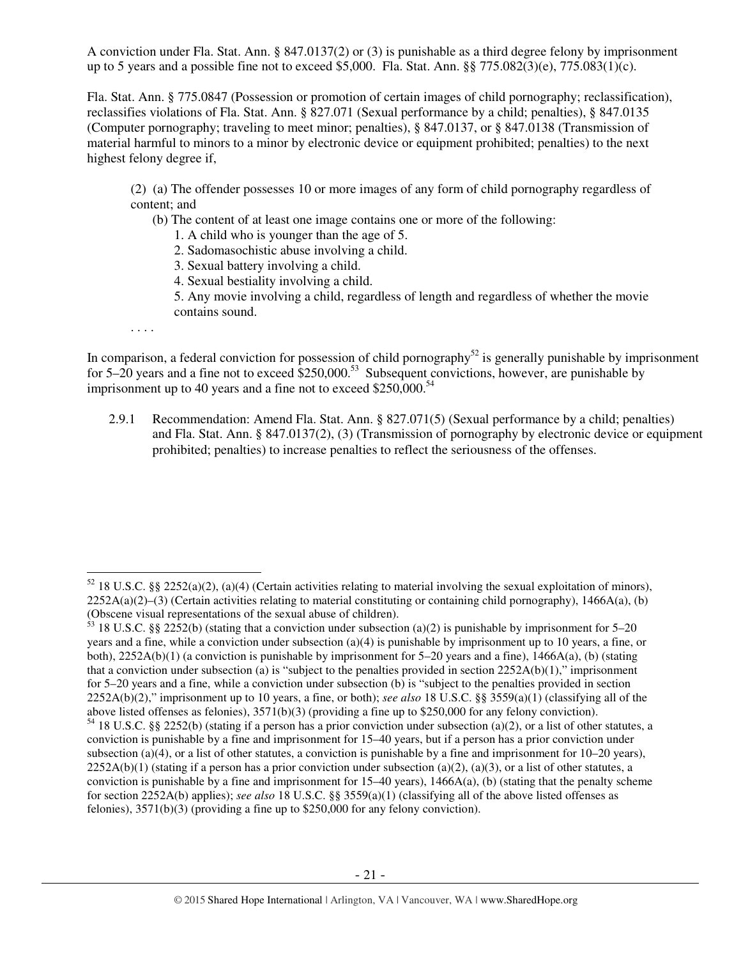A conviction under Fla. Stat. Ann. § 847.0137(2) or (3) is punishable as a third degree felony by imprisonment up to 5 years and a possible fine not to exceed \$5,000. Fla. Stat. Ann.  $\S$ § 775.082(3)(e), 775.083(1)(c).

Fla. Stat. Ann. § 775.0847 (Possession or promotion of certain images of child pornography; reclassification), reclassifies violations of Fla. Stat. Ann. § 827.071 (Sexual performance by a child; penalties), § 847.0135 (Computer pornography; traveling to meet minor; penalties), § 847.0137, or § 847.0138 (Transmission of material harmful to minors to a minor by electronic device or equipment prohibited; penalties) to the next highest felony degree if,

(2) (a) The offender possesses 10 or more images of any form of child pornography regardless of content; and

(b) The content of at least one image contains one or more of the following:

1. A child who is younger than the age of 5.

2. Sadomasochistic abuse involving a child.

3. Sexual battery involving a child.

4. Sexual bestiality involving a child.

5. Any movie involving a child, regardless of length and regardless of whether the movie contains sound.

. . . .

In comparison, a federal conviction for possession of child pornography<sup>52</sup> is generally punishable by imprisonment for 5–20 years and a fine not to exceed \$250,000.<sup>53</sup> Subsequent convictions, however, are punishable by imprisonment up to 40 years and a fine not to exceed  $$250,000.<sup>54</sup>$ 

2.9.1 Recommendation: Amend Fla. Stat. Ann. § 827.071(5) (Sexual performance by a child; penalties) and Fla. Stat. Ann. § 847.0137(2), (3) (Transmission of pornography by electronic device or equipment prohibited; penalties) to increase penalties to reflect the seriousness of the offenses.

 $\overline{a}$  $52$  18 U.S.C. §§ 2252(a)(2), (a)(4) (Certain activities relating to material involving the sexual exploitation of minors),  $2252A(a)(2)$ –(3) (Certain activities relating to material constituting or containing child pornography), 1466A(a), (b) (Obscene visual representations of the sexual abuse of children).

<sup>&</sup>lt;sup>53</sup> 18 U.S.C. §§ 2252(b) (stating that a conviction under subsection (a)(2) is punishable by imprisonment for 5–20 years and a fine, while a conviction under subsection (a)(4) is punishable by imprisonment up to 10 years, a fine, or both),  $2252A(b)(1)$  (a conviction is punishable by imprisonment for 5–20 years and a fine),  $1466A(a)$ , (b) (stating that a conviction under subsection (a) is "subject to the penalties provided in section  $2252A(b)(1)$ ," imprisonment for 5–20 years and a fine, while a conviction under subsection (b) is "subject to the penalties provided in section 2252A(b)(2)," imprisonment up to 10 years, a fine, or both); *see also* 18 U.S.C. §§ 3559(a)(1) (classifying all of the above listed offenses as felonies), 3571(b)(3) (providing a fine up to \$250,000 for any felony conviction).

<sup>54</sup> 18 U.S.C. §§ 2252(b) (stating if a person has a prior conviction under subsection (a)(2), or a list of other statutes, a conviction is punishable by a fine and imprisonment for 15–40 years, but if a person has a prior conviction under subsection (a)(4), or a list of other statutes, a conviction is punishable by a fine and imprisonment for 10–20 years),  $2252A(b)(1)$  (stating if a person has a prior conviction under subsection (a)(2), (a)(3), or a list of other statutes, a conviction is punishable by a fine and imprisonment for  $15-40$  years),  $1466A(a)$ , (b) (stating that the penalty scheme for section 2252A(b) applies); *see also* 18 U.S.C. §§ 3559(a)(1) (classifying all of the above listed offenses as felonies), 3571(b)(3) (providing a fine up to \$250,000 for any felony conviction).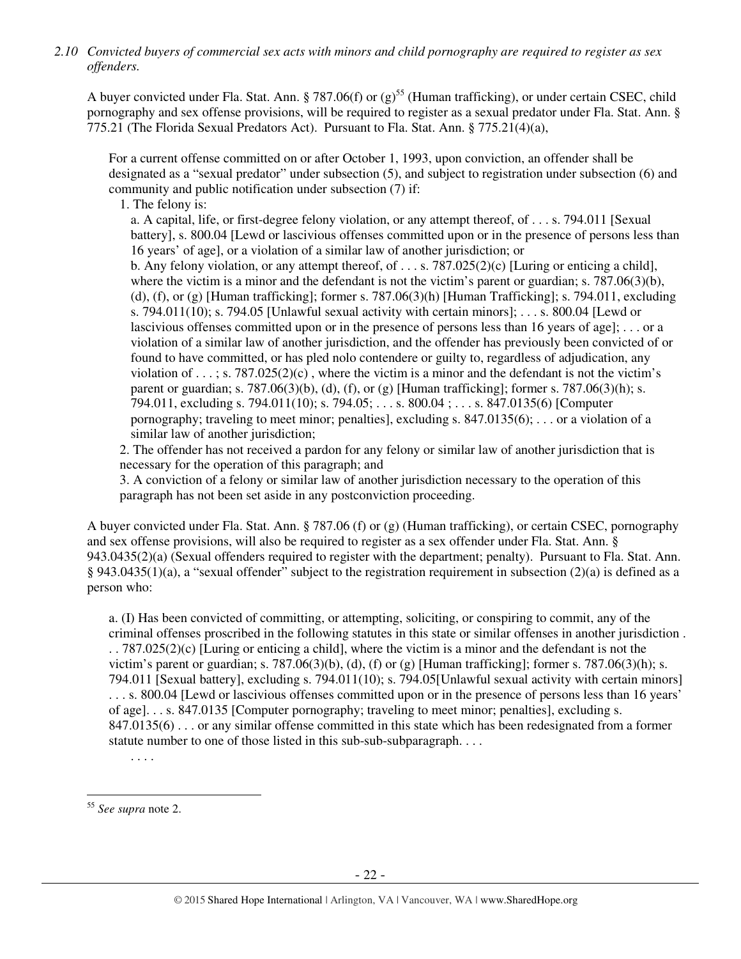*2.10 Convicted buyers of commercial sex acts with minors and child pornography are required to register as sex offenders.* 

A buyer convicted under Fla. Stat. Ann. § 787.06(f) or  $(g)^{55}$  (Human trafficking), or under certain CSEC, child pornography and sex offense provisions, will be required to register as a sexual predator under Fla. Stat. Ann. § 775.21 (The Florida Sexual Predators Act). Pursuant to Fla. Stat. Ann. § 775.21(4)(a),

For a current offense committed on or after October 1, 1993, upon conviction, an offender shall be designated as a "sexual predator" under subsection (5), and subject to registration under subsection (6) and community and public notification under subsection (7) if:

1. The felony is:

a. A capital, life, or first-degree felony violation, or any attempt thereof, of . . . s. 794.011 [Sexual battery], s. 800.04 [Lewd or lascivious offenses committed upon or in the presence of persons less than 16 years' of age], or a violation of a similar law of another jurisdiction; or

b. Any felony violation, or any attempt thereof, of . . . s. 787.025(2)(c) [Luring or enticing a child], where the victim is a minor and the defendant is not the victim's parent or guardian; s. 787.06(3)(b), (d),  $(f)$ , or  $(g)$  [Human trafficking]; former s. 787.06(3)(h) [Human Trafficking]; s. 794.011, excluding s. 794.011(10); s. 794.05 [Unlawful sexual activity with certain minors]; . . . s. 800.04 [Lewd or lascivious offenses committed upon or in the presence of persons less than 16 years of age]; . . . or a violation of a similar law of another jurisdiction, and the offender has previously been convicted of or found to have committed, or has pled nolo contendere or guilty to, regardless of adjudication, any violation of ...; s. 787.025(2)(c), where the victim is a minor and the defendant is not the victim's parent or guardian; s. 787.06(3)(b), (d), (f), or (g) [Human trafficking]; former s. 787.06(3)(h); s. 794.011, excluding s. 794.011(10); s. 794.05; . . . s. 800.04 ; . . . s. 847.0135(6) [Computer pornography; traveling to meet minor; penalties], excluding s. 847.0135(6); . . . or a violation of a similar law of another jurisdiction;

2. The offender has not received a pardon for any felony or similar law of another jurisdiction that is necessary for the operation of this paragraph; and

3. A conviction of a felony or similar law of another jurisdiction necessary to the operation of this paragraph has not been set aside in any postconviction proceeding.

A buyer convicted under Fla. Stat. Ann. § 787.06 (f) or (g) (Human trafficking), or certain CSEC, pornography and sex offense provisions, will also be required to register as a sex offender under Fla. Stat. Ann. § 943.0435(2)(a) (Sexual offenders required to register with the department; penalty). Pursuant to Fla. Stat. Ann. § 943.0435(1)(a), a "sexual offender" subject to the registration requirement in subsection (2)(a) is defined as a person who:

a. (I) Has been convicted of committing, or attempting, soliciting, or conspiring to commit, any of the criminal offenses proscribed in the following statutes in this state or similar offenses in another jurisdiction . . . 787.025(2)(c) [Luring or enticing a child], where the victim is a minor and the defendant is not the victim's parent or guardian; s. 787.06(3)(b), (d), (f) or (g) [Human trafficking]; former s. 787.06(3)(h); s. 794.011 [Sexual battery], excluding s. 794.011(10); s. 794.05[Unlawful sexual activity with certain minors] . . . s. 800.04 [Lewd or lascivious offenses committed upon or in the presence of persons less than 16 years' of age]. . . s. 847.0135 [Computer pornography; traveling to meet minor; penalties], excluding s. 847.0135(6) . . . or any similar offense committed in this state which has been redesignated from a former statute number to one of those listed in this sub-sub-subparagraph....

. . . .

 $\overline{a}$ <sup>55</sup> *See supra* note 2.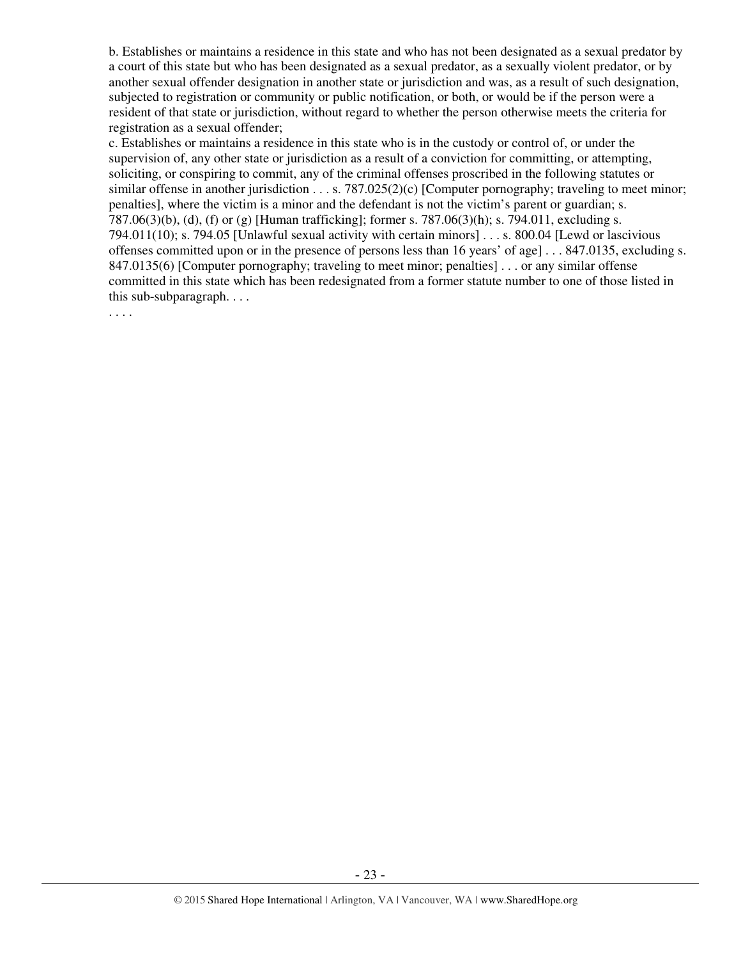b. Establishes or maintains a residence in this state and who has not been designated as a sexual predator by a court of this state but who has been designated as a sexual predator, as a sexually violent predator, or by another sexual offender designation in another state or jurisdiction and was, as a result of such designation, subjected to registration or community or public notification, or both, or would be if the person were a resident of that state or jurisdiction, without regard to whether the person otherwise meets the criteria for registration as a sexual offender;

c. Establishes or maintains a residence in this state who is in the custody or control of, or under the supervision of, any other state or jurisdiction as a result of a conviction for committing, or attempting, soliciting, or conspiring to commit, any of the criminal offenses proscribed in the following statutes or similar offense in another jurisdiction . . . s. 787.025(2)(c) [Computer pornography; traveling to meet minor; penalties], where the victim is a minor and the defendant is not the victim's parent or guardian; s. 787.06(3)(b), (d), (f) or (g) [Human trafficking]; former s. 787.06(3)(h); s. 794.011, excluding s. 794.011(10); s. 794.05 [Unlawful sexual activity with certain minors] . . . s. 800.04 [Lewd or lascivious offenses committed upon or in the presence of persons less than 16 years' of age] . . . 847.0135, excluding s. 847.0135(6) [Computer pornography; traveling to meet minor; penalties] . . . or any similar offense committed in this state which has been redesignated from a former statute number to one of those listed in this sub-subparagraph. . . .

. . . .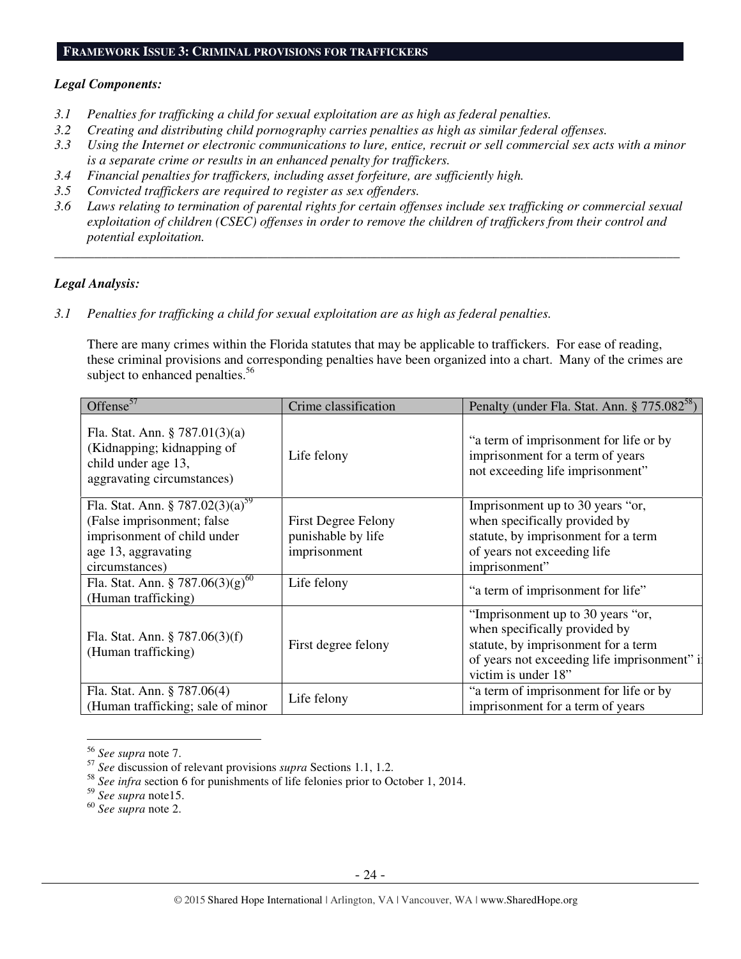#### **FRAMEWORK ISSUE 3: CRIMINAL PROVISIONS FOR TRAFFICKERS**

#### *Legal Components:*

- *3.1 Penalties for trafficking a child for sexual exploitation are as high as federal penalties.*
- *3.2 Creating and distributing child pornography carries penalties as high as similar federal offenses.*
- *3.3 Using the Internet or electronic communications to lure, entice, recruit or sell commercial sex acts with a minor is a separate crime or results in an enhanced penalty for traffickers.*
- *3.4 Financial penalties for traffickers, including asset forfeiture, are sufficiently high.*
- *3.5 Convicted traffickers are required to register as sex offenders.*
- *3.6 Laws relating to termination of parental rights for certain offenses include sex trafficking or commercial sexual exploitation of children (CSEC) offenses in order to remove the children of traffickers from their control and potential exploitation.*

*\_\_\_\_\_\_\_\_\_\_\_\_\_\_\_\_\_\_\_\_\_\_\_\_\_\_\_\_\_\_\_\_\_\_\_\_\_\_\_\_\_\_\_\_\_\_\_\_\_\_\_\_\_\_\_\_\_\_\_\_\_\_\_\_\_\_\_\_\_\_\_\_\_\_\_\_\_\_\_\_\_\_\_\_\_\_\_\_\_\_\_\_\_\_* 

## *Legal Analysis:*

*3.1 Penalties for trafficking a child for sexual exploitation are as high as federal penalties.* 

There are many crimes within the Florida statutes that may be applicable to traffickers. For ease of reading, these criminal provisions and corresponding penalties have been organized into a chart. Many of the crimes are subject to enhanced penalties.<sup>56</sup>

| Offense $57$                                                                                                                                        | Crime classification                                             | Penalty (under Fla. Stat. Ann. $\S 775.082^{58}$ )                                                                                                                               |
|-----------------------------------------------------------------------------------------------------------------------------------------------------|------------------------------------------------------------------|----------------------------------------------------------------------------------------------------------------------------------------------------------------------------------|
| Fla. Stat. Ann. $\S 787.01(3)(a)$<br>(Kidnapping; kidnapping of<br>child under age 13,<br>aggravating circumstances)                                | Life felony                                                      | "a term of imprisonment for life or by<br>imprisonment for a term of years<br>not exceeding life imprisonment"                                                                   |
| Fla. Stat. Ann. § 787.02(3)(a) <sup>59</sup><br>(False imprisonment; false)<br>imprisonment of child under<br>age 13, aggravating<br>circumstances) | <b>First Degree Felony</b><br>punishable by life<br>imprisonment | Imprisonment up to 30 years "or,<br>when specifically provided by<br>statute, by imprisonment for a term<br>of years not exceeding life<br>imprisonment"                         |
| Fla. Stat. Ann. § 787.06(3)( $\overline{g}$ ) <sup>60</sup><br>(Human trafficking)                                                                  | Life felony                                                      | "a term of imprisonment for life"                                                                                                                                                |
| Fla. Stat. Ann. $\S 787.06(3)(f)$<br>(Human trafficking)                                                                                            | First degree felony                                              | "Imprisonment up to 30 years "or,<br>when specifically provided by<br>statute, by imprisonment for a term<br>of years not exceeding life imprisonment" if<br>victim is under 18" |
| Fla. Stat. Ann. § 787.06(4)<br>(Human trafficking; sale of minor                                                                                    | Life felony                                                      | "a term of imprisonment for life or by<br>imprisonment for a term of years                                                                                                       |

<sup>56</sup> *See supra* note 7.

<sup>57</sup> *See* discussion of relevant provisions *supra* Sections 1.1, 1.2.

<sup>58</sup> *See infra* section 6 for punishments of life felonies prior to October 1, 2014.

<sup>59</sup> *See supra* note15.

<sup>60</sup> *See supra* note 2.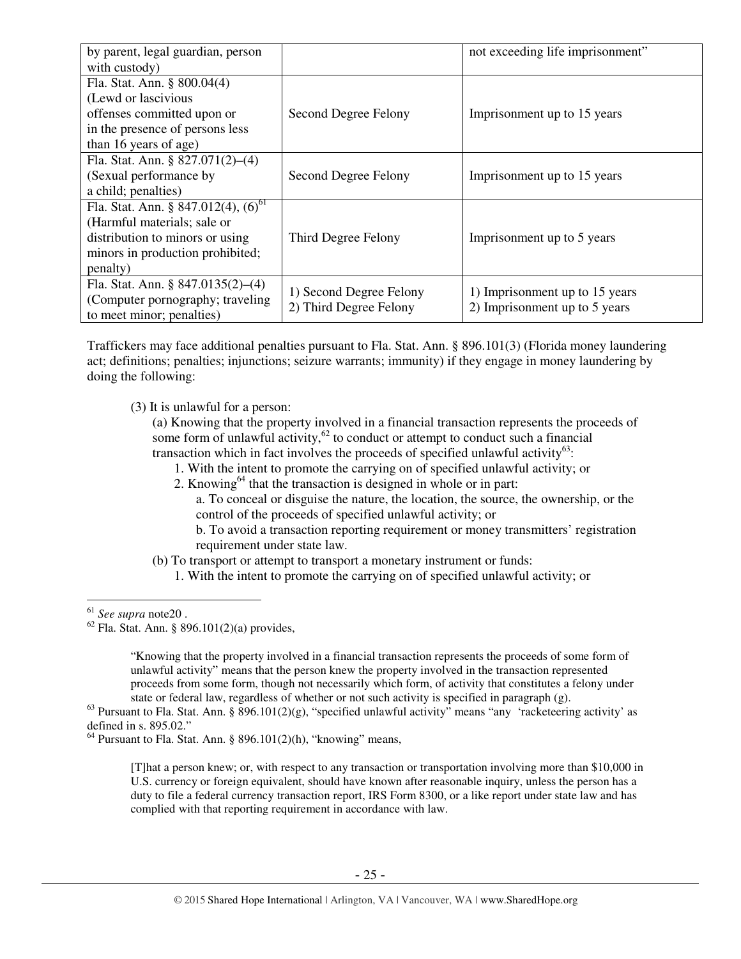| by parent, legal guardian, person        |                                                   | not exceeding life imprisonment" |
|------------------------------------------|---------------------------------------------------|----------------------------------|
| with custody)                            |                                                   |                                  |
| Fla. Stat. Ann. § 800.04(4)              |                                                   |                                  |
| (Lewd or lascivious                      |                                                   |                                  |
| offenses committed upon or               | Second Degree Felony                              | Imprisonment up to 15 years      |
| in the presence of persons less          |                                                   |                                  |
| than 16 years of age)                    |                                                   |                                  |
| Fla. Stat. Ann. § $827.071(2)–(4)$       |                                                   |                                  |
| (Sexual performance by                   | Second Degree Felony                              | Imprisonment up to 15 years      |
| a child; penalties)                      |                                                   |                                  |
| Fla. Stat. Ann. § 847.012(4), $(6)^{61}$ |                                                   |                                  |
| (Harmful materials; sale or              |                                                   |                                  |
| distribution to minors or using          | Third Degree Felony                               | Imprisonment up to 5 years       |
| minors in production prohibited;         |                                                   |                                  |
| penalty)                                 |                                                   |                                  |
| Fla. Stat. Ann. $\S$ 847.0135(2)–(4)     | 1) Second Degree Felony<br>2) Third Degree Felony | 1) Imprisonment up to 15 years   |
| (Computer pornography; traveling)        |                                                   |                                  |
| to meet minor; penalties)                |                                                   | 2) Imprisonment up to 5 years    |

Traffickers may face additional penalties pursuant to Fla. Stat. Ann. § 896.101(3) (Florida money laundering act; definitions; penalties; injunctions; seizure warrants; immunity) if they engage in money laundering by doing the following:

(3) It is unlawful for a person:

(a) Knowing that the property involved in a financial transaction represents the proceeds of some form of unlawful activity,<sup>62</sup> to conduct or attempt to conduct such a financial transaction which in fact involves the proceeds of specified unlawful activity<sup>63</sup>:

- 1. With the intent to promote the carrying on of specified unlawful activity; or
- 2. Knowing<sup>64</sup> that the transaction is designed in whole or in part:
	- a. To conceal or disguise the nature, the location, the source, the ownership, or the control of the proceeds of specified unlawful activity; or

b. To avoid a transaction reporting requirement or money transmitters' registration requirement under state law.

- (b) To transport or attempt to transport a monetary instrument or funds:
	- 1. With the intent to promote the carrying on of specified unlawful activity; or

<sup>61</sup> *See supra* note20 .

 $62$  Fla. Stat. Ann. § 896.101(2)(a) provides,

<sup>&</sup>quot;Knowing that the property involved in a financial transaction represents the proceeds of some form of unlawful activity" means that the person knew the property involved in the transaction represented proceeds from some form, though not necessarily which form, of activity that constitutes a felony under state or federal law, regardless of whether or not such activity is specified in paragraph (g).

 $63$  Pursuant to Fla. Stat. Ann. § 896.101(2)(g), "specified unlawful activity" means "any 'racketeering activity' as defined in s. 895.02."

 $64$  Pursuant to Fla. Stat. Ann. § 896.101(2)(h), "knowing" means,

<sup>[</sup>T]hat a person knew; or, with respect to any transaction or transportation involving more than \$10,000 in U.S. currency or foreign equivalent, should have known after reasonable inquiry, unless the person has a duty to file a federal currency transaction report, IRS Form 8300, or a like report under state law and has complied with that reporting requirement in accordance with law.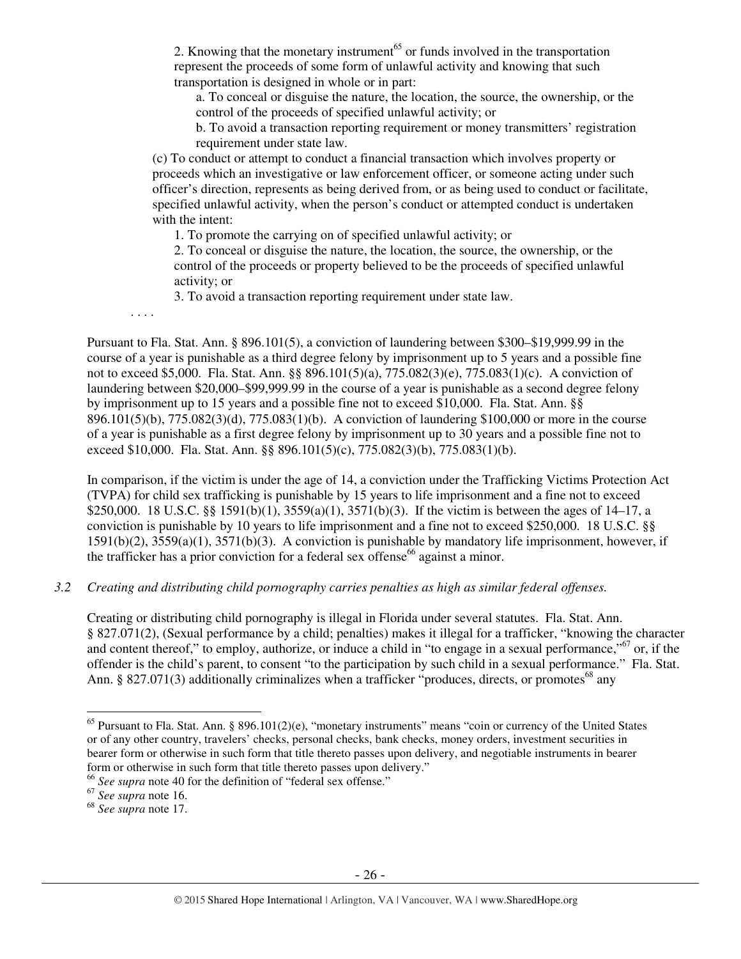2. Knowing that the monetary instrument<sup> $65$ </sup> or funds involved in the transportation represent the proceeds of some form of unlawful activity and knowing that such transportation is designed in whole or in part:

a. To conceal or disguise the nature, the location, the source, the ownership, or the control of the proceeds of specified unlawful activity; or

b. To avoid a transaction reporting requirement or money transmitters' registration requirement under state law.

(c) To conduct or attempt to conduct a financial transaction which involves property or proceeds which an investigative or law enforcement officer, or someone acting under such officer's direction, represents as being derived from, or as being used to conduct or facilitate, specified unlawful activity, when the person's conduct or attempted conduct is undertaken with the intent:

1. To promote the carrying on of specified unlawful activity; or

2. To conceal or disguise the nature, the location, the source, the ownership, or the control of the proceeds or property believed to be the proceeds of specified unlawful activity; or

3. To avoid a transaction reporting requirement under state law.

. . . .

Pursuant to Fla. Stat. Ann. § 896.101(5), a conviction of laundering between \$300–\$19,999.99 in the course of a year is punishable as a third degree felony by imprisonment up to 5 years and a possible fine not to exceed \$5,000. Fla. Stat. Ann. §§ 896.101(5)(a), 775.082(3)(e), 775.083(1)(c). A conviction of laundering between \$20,000–\$99,999.99 in the course of a year is punishable as a second degree felony by imprisonment up to 15 years and a possible fine not to exceed \$10,000. Fla. Stat. Ann. §§ 896.101(5)(b), 775.082(3)(d), 775.083(1)(b). A conviction of laundering \$100,000 or more in the course of a year is punishable as a first degree felony by imprisonment up to 30 years and a possible fine not to exceed \$10,000. Fla. Stat. Ann. §§ 896.101(5)(c), 775.082(3)(b), 775.083(1)(b).

In comparison, if the victim is under the age of 14, a conviction under the Trafficking Victims Protection Act (TVPA) for child sex trafficking is punishable by 15 years to life imprisonment and a fine not to exceed \$250,000. 18 U.S.C. §§ 1591(b)(1), 3559(a)(1), 3571(b)(3). If the victim is between the ages of 14–17, a conviction is punishable by 10 years to life imprisonment and a fine not to exceed \$250,000. 18 U.S.C. §§ 1591(b)(2), 3559(a)(1), 3571(b)(3). A conviction is punishable by mandatory life imprisonment, however, if the trafficker has a prior conviction for a federal sex offense<sup>66</sup> against a minor.

## *3.2 Creating and distributing child pornography carries penalties as high as similar federal offenses.*

Creating or distributing child pornography is illegal in Florida under several statutes. Fla. Stat. Ann. § 827.071(2), (Sexual performance by a child; penalties) makes it illegal for a trafficker, "knowing the character and content thereof," to employ, authorize, or induce a child in "to engage in a sexual performance,"<sup>67</sup> or, if the offender is the child's parent, to consent "to the participation by such child in a sexual performance." Fla. Stat. Ann. § 827.071(3) additionally criminalizes when a trafficker "produces, directs, or promotes<sup>68</sup> any

<sup>&</sup>lt;sup>65</sup> Pursuant to Fla. Stat. Ann. § 896.101(2)(e), "monetary instruments" means "coin or currency of the United States or of any other country, travelers' checks, personal checks, bank checks, money orders, investment securities in bearer form or otherwise in such form that title thereto passes upon delivery, and negotiable instruments in bearer form or otherwise in such form that title thereto passes upon delivery."

<sup>66</sup> *See supra* note 40 for the definition of "federal sex offense."

<sup>67</sup> *See supra* note 16.

<sup>68</sup> *See supra* note 17.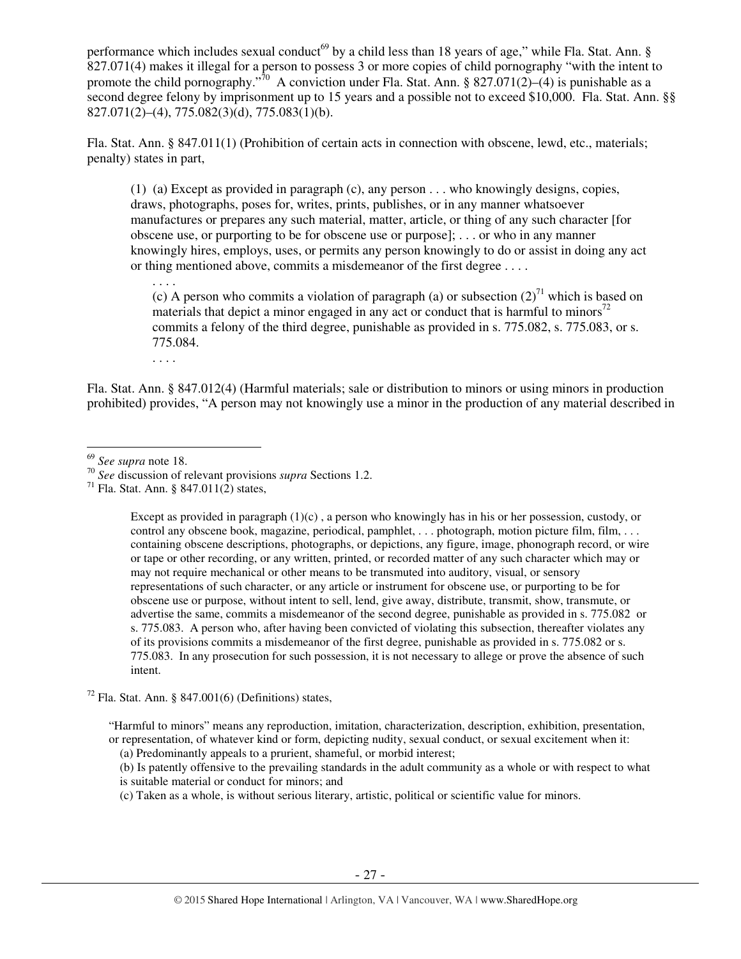performance which includes sexual conduct<sup>69</sup> by a child less than 18 years of age," while Fla. Stat. Ann. § 827.071(4) makes it illegal for a person to possess 3 or more copies of child pornography "with the intent to promote the child pornography."<sup>70</sup> A conviction under Fla. Stat. Ann. § 827.071(2)–(4) is punishable as a second degree felony by imprisonment up to 15 years and a possible not to exceed \$10,000. Fla. Stat. Ann. §§ 827.071(2)–(4), 775.082(3)(d), 775.083(1)(b).

Fla. Stat. Ann. § 847.011(1) (Prohibition of certain acts in connection with obscene, lewd, etc., materials; penalty) states in part,

(1) (a) Except as provided in paragraph (c), any person . . . who knowingly designs, copies, draws, photographs, poses for, writes, prints, publishes, or in any manner whatsoever manufactures or prepares any such material, matter, article, or thing of any such character [for obscene use, or purporting to be for obscene use or purpose]; . . . or who in any manner knowingly hires, employs, uses, or permits any person knowingly to do or assist in doing any act or thing mentioned above, commits a misdemeanor of the first degree . . . .

. . . .

(c) A person who commits a violation of paragraph (a) or subsection  $(2)^{71}$  which is based on materials that depict a minor engaged in any act or conduct that is harmful to minors<sup>72</sup> commits a felony of the third degree, punishable as provided in s. 775.082, s. 775.083, or s. 775.084.

. . . .

Fla. Stat. Ann. § 847.012(4) (Harmful materials; sale or distribution to minors or using minors in production prohibited) provides, "A person may not knowingly use a minor in the production of any material described in

Except as provided in paragraph  $(1)(c)$ , a person who knowingly has in his or her possession, custody, or control any obscene book, magazine, periodical, pamphlet, . . . photograph, motion picture film, film, . . . containing obscene descriptions, photographs, or depictions, any figure, image, phonograph record, or wire or tape or other recording, or any written, printed, or recorded matter of any such character which may or may not require mechanical or other means to be transmuted into auditory, visual, or sensory representations of such character, or any article or instrument for obscene use, or purporting to be for obscene use or purpose, without intent to sell, lend, give away, distribute, transmit, show, transmute, or advertise the same, commits a misdemeanor of the second degree, punishable as provided in s. 775.082 or s. 775.083. A person who, after having been convicted of violating this subsection, thereafter violates any of its provisions commits a misdemeanor of the first degree, punishable as provided in s. 775.082 or s. 775.083. In any prosecution for such possession, it is not necessary to allege or prove the absence of such intent.

 $72$  Fla. Stat. Ann. § 847.001(6) (Definitions) states,

"Harmful to minors" means any reproduction, imitation, characterization, description, exhibition, presentation, or representation, of whatever kind or form, depicting nudity, sexual conduct, or sexual excitement when it:

(a) Predominantly appeals to a prurient, shameful, or morbid interest;

(b) Is patently offensive to the prevailing standards in the adult community as a whole or with respect to what is suitable material or conduct for minors; and

(c) Taken as a whole, is without serious literary, artistic, political or scientific value for minors.

 $\overline{a}$ <sup>69</sup> *See supra* note 18.

<sup>70</sup> *See* discussion of relevant provisions *supra* Sections 1.2.

<sup>&</sup>lt;sup>71</sup> Fla. Stat. Ann. § 847.011(2) states,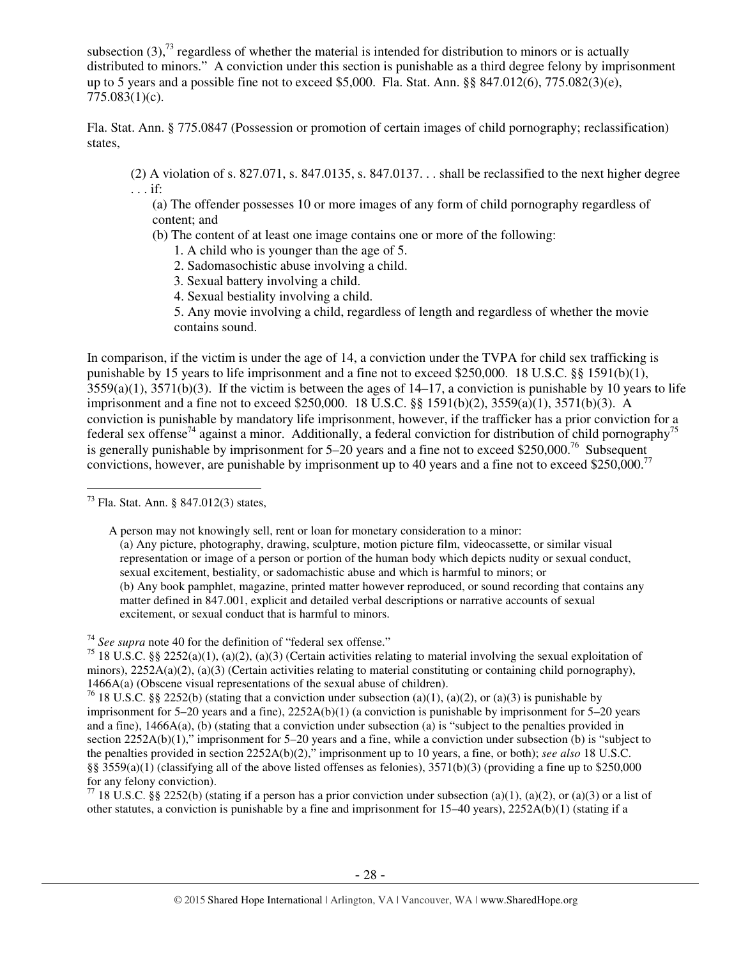subsection  $(3)$ ,<sup>73</sup> regardless of whether the material is intended for distribution to minors or is actually distributed to minors." A conviction under this section is punishable as a third degree felony by imprisonment up to 5 years and a possible fine not to exceed \$5,000. Fla. Stat. Ann. §§ 847.012(6), 775.082(3)(e), 775.083(1)(c).

Fla. Stat. Ann. § 775.0847 (Possession or promotion of certain images of child pornography; reclassification) states,

(2) A violation of s. 827.071, s. 847.0135, s. 847.0137. . . shall be reclassified to the next higher degree . . . if:

(a) The offender possesses 10 or more images of any form of child pornography regardless of content; and

(b) The content of at least one image contains one or more of the following:

1. A child who is younger than the age of 5.

2. Sadomasochistic abuse involving a child.

3. Sexual battery involving a child.

4. Sexual bestiality involving a child.

5. Any movie involving a child, regardless of length and regardless of whether the movie contains sound.

In comparison, if the victim is under the age of 14, a conviction under the TVPA for child sex trafficking is punishable by 15 years to life imprisonment and a fine not to exceed \$250,000. 18 U.S.C. §§ 1591(b)(1),  $3559(a)(1)$ ,  $3571(b)(3)$ . If the victim is between the ages of  $14-17$ , a conviction is punishable by 10 years to life imprisonment and a fine not to exceed \$250,000. 18 U.S.C. §§ 1591(b)(2), 3559(a)(1), 3571(b)(3). A conviction is punishable by mandatory life imprisonment, however, if the trafficker has a prior conviction for a federal sex offense<sup>74</sup> against a minor. Additionally, a federal conviction for distribution of child pornography<sup>75</sup> is generally punishable by imprisonment for  $5-20$  years and a fine not to exceed \$250,000.<sup>76</sup> Subsequent convictions, however, are punishable by imprisonment up to 40 years and a fine not to exceed \$250,000.<sup>77</sup>

A person may not knowingly sell, rent or loan for monetary consideration to a minor: (a) Any picture, photography, drawing, sculpture, motion picture film, videocassette, or similar visual

representation or image of a person or portion of the human body which depicts nudity or sexual conduct, sexual excitement, bestiality, or sadomachistic abuse and which is harmful to minors; or (b) Any book pamphlet, magazine, printed matter however reproduced, or sound recording that contains any

matter defined in 847.001, explicit and detailed verbal descriptions or narrative accounts of sexual excitement, or sexual conduct that is harmful to minors.

<sup>74</sup> *See supra* note 40 for the definition of "federal sex offense."

<sup>77</sup> 18 U.S.C. §§ 2252(b) (stating if a person has a prior conviction under subsection (a)(1), (a)(2), or (a)(3) or a list of other statutes, a conviction is punishable by a fine and imprisonment for  $15-40$  years),  $2252A(b)(1)$  (stating if a

 $\overline{a}$ <sup>73</sup> Fla. Stat. Ann. § 847.012(3) states,

<sup>&</sup>lt;sup>75</sup> 18 U.S.C. §§ 2252(a)(1), (a)(2), (a)(3) (Certain activities relating to material involving the sexual exploitation of minors),  $2252A(a)(2)$ ,  $(a)(3)$  (Certain activities relating to material constituting or containing child pornography), 1466A(a) (Obscene visual representations of the sexual abuse of children).

<sup>&</sup>lt;sup>76</sup> 18 U.S.C. §§ 2252(b) (stating that a conviction under subsection (a)(1), (a)(2), or (a)(3) is punishable by imprisonment for 5–20 years and a fine), 2252A(b)(1) (a conviction is punishable by imprisonment for 5–20 years and a fine), 1466A(a), (b) (stating that a conviction under subsection (a) is "subject to the penalties provided in section 2252A(b)(1)," imprisonment for 5–20 years and a fine, while a conviction under subsection (b) is "subject to the penalties provided in section 2252A(b)(2)," imprisonment up to 10 years, a fine, or both); *see also* 18 U.S.C. §§ 3559(a)(1) (classifying all of the above listed offenses as felonies),  $3571(b)(3)$  (providing a fine up to \$250,000 for any felony conviction).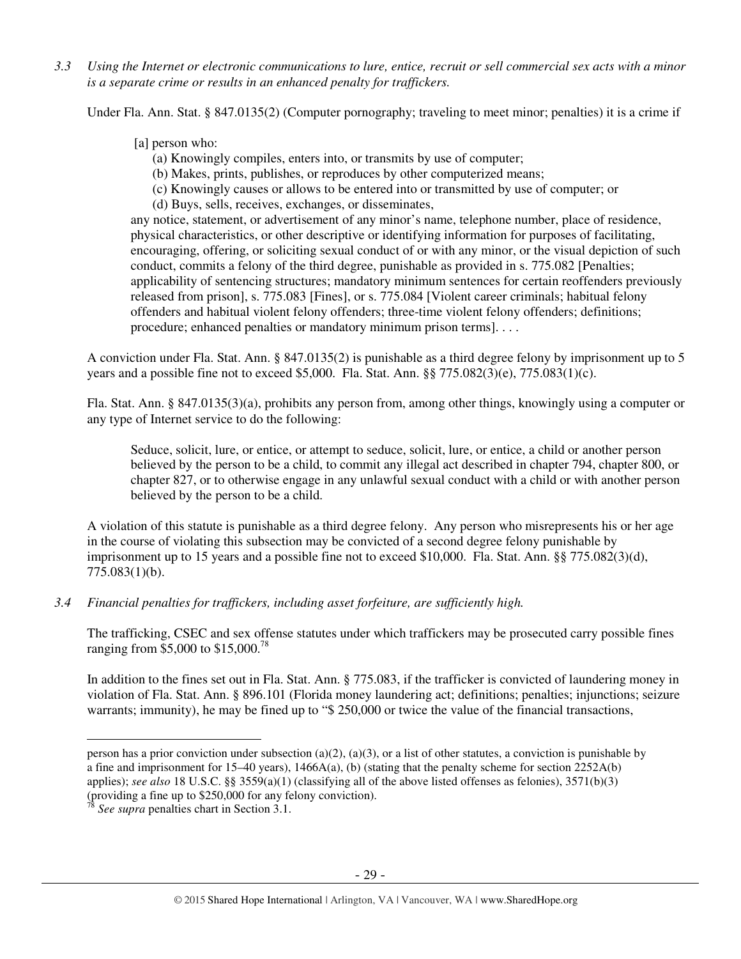*3.3 Using the Internet or electronic communications to lure, entice, recruit or sell commercial sex acts with a minor is a separate crime or results in an enhanced penalty for traffickers.* 

Under Fla. Ann. Stat. § 847.0135(2) (Computer pornography; traveling to meet minor; penalties) it is a crime if

[a] person who:

- (a) Knowingly compiles, enters into, or transmits by use of computer;
- (b) Makes, prints, publishes, or reproduces by other computerized means;
- (c) Knowingly causes or allows to be entered into or transmitted by use of computer; or
- (d) Buys, sells, receives, exchanges, or disseminates,

any notice, statement, or advertisement of any minor's name, telephone number, place of residence, physical characteristics, or other descriptive or identifying information for purposes of facilitating, encouraging, offering, or soliciting sexual conduct of or with any minor, or the visual depiction of such conduct, commits a felony of the third degree, punishable as provided in s. 775.082 [Penalties; applicability of sentencing structures; mandatory minimum sentences for certain reoffenders previously released from prison], s. 775.083 [Fines], or s. 775.084 [Violent career criminals; habitual felony offenders and habitual violent felony offenders; three-time violent felony offenders; definitions; procedure; enhanced penalties or mandatory minimum prison terms]. . . .

A conviction under Fla. Stat. Ann. § 847.0135(2) is punishable as a third degree felony by imprisonment up to 5 years and a possible fine not to exceed \$5,000. Fla. Stat. Ann. §§ 775.082(3)(e), 775.083(1)(c).

Fla. Stat. Ann. § 847.0135(3)(a), prohibits any person from, among other things, knowingly using a computer or any type of Internet service to do the following:

Seduce, solicit, lure, or entice, or attempt to seduce, solicit, lure, or entice, a child or another person believed by the person to be a child, to commit any illegal act described in chapter 794, chapter 800, or chapter 827, or to otherwise engage in any unlawful sexual conduct with a child or with another person believed by the person to be a child.

A violation of this statute is punishable as a third degree felony. Any person who misrepresents his or her age in the course of violating this subsection may be convicted of a second degree felony punishable by imprisonment up to 15 years and a possible fine not to exceed \$10,000. Fla. Stat. Ann. §§ 775.082(3)(d), 775.083(1)(b).

*3.4 Financial penalties for traffickers, including asset forfeiture, are sufficiently high.* 

The trafficking, CSEC and sex offense statutes under which traffickers may be prosecuted carry possible fines ranging from \$5,000 to \$15,000.<sup>78</sup>

In addition to the fines set out in Fla. Stat. Ann. § 775.083, if the trafficker is convicted of laundering money in violation of Fla. Stat. Ann. § 896.101 (Florida money laundering act; definitions; penalties; injunctions; seizure warrants; immunity), he may be fined up to "\$ 250,000 or twice the value of the financial transactions,

person has a prior conviction under subsection (a)(2), (a)(3), or a list of other statutes, a conviction is punishable by a fine and imprisonment for 15–40 years),  $1466A(a)$ , (b) (stating that the penalty scheme for section 2252A(b) applies); *see also* 18 U.S.C. §§ 3559(a)(1) (classifying all of the above listed offenses as felonies), 3571(b)(3) (providing a fine up to \$250,000 for any felony conviction).

<sup>78</sup> *See supra* penalties chart in Section 3.1.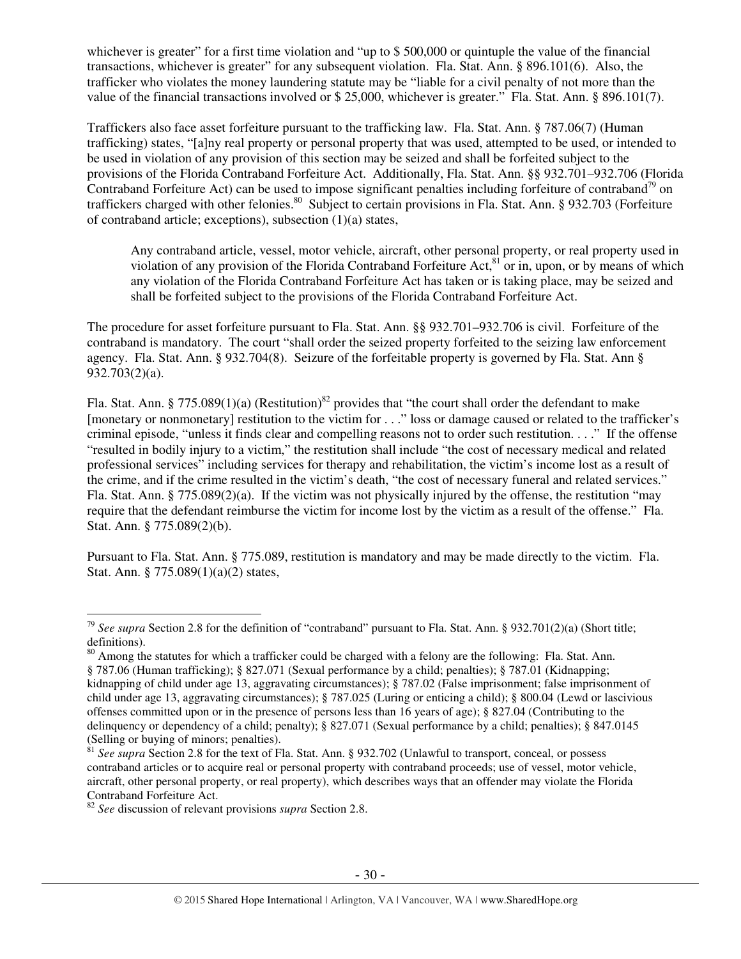whichever is greater" for a first time violation and "up to \$500,000 or quintuple the value of the financial transactions, whichever is greater" for any subsequent violation. Fla. Stat. Ann. § 896.101(6). Also, the trafficker who violates the money laundering statute may be "liable for a civil penalty of not more than the value of the financial transactions involved or \$ 25,000, whichever is greater." Fla. Stat. Ann. § 896.101(7).

Traffickers also face asset forfeiture pursuant to the trafficking law. Fla. Stat. Ann. § 787.06(7) (Human trafficking) states, "[a]ny real property or personal property that was used, attempted to be used, or intended to be used in violation of any provision of this section may be seized and shall be forfeited subject to the provisions of the Florida Contraband Forfeiture Act. Additionally, Fla. Stat. Ann. §§ 932.701–932.706 (Florida Contraband Forfeiture Act) can be used to impose significant penalties including forfeiture of contraband<sup>79</sup> on traffickers charged with other felonies.<sup>80</sup> Subject to certain provisions in Fla. Stat. Ann. § 932.703 (Forfeiture of contraband article; exceptions), subsection (1)(a) states,

Any contraband article, vessel, motor vehicle, aircraft, other personal property, or real property used in violation of any provision of the Florida Contraband Forfeiture Act,  ${}^{81}$  or in, upon, or by means of which any violation of the Florida Contraband Forfeiture Act has taken or is taking place, may be seized and shall be forfeited subject to the provisions of the Florida Contraband Forfeiture Act.

The procedure for asset forfeiture pursuant to Fla. Stat. Ann. §§ 932.701–932.706 is civil. Forfeiture of the contraband is mandatory. The court "shall order the seized property forfeited to the seizing law enforcement agency. Fla. Stat. Ann. § 932.704(8). Seizure of the forfeitable property is governed by Fla. Stat. Ann § 932.703(2)(a).

Fla. Stat. Ann. § 775.089(1)(a) (Restitution)<sup>82</sup> provides that "the court shall order the defendant to make [monetary or nonmonetary] restitution to the victim for . . ." loss or damage caused or related to the trafficker's criminal episode, "unless it finds clear and compelling reasons not to order such restitution. . . ." If the offense "resulted in bodily injury to a victim," the restitution shall include "the cost of necessary medical and related professional services" including services for therapy and rehabilitation, the victim's income lost as a result of the crime, and if the crime resulted in the victim's death, "the cost of necessary funeral and related services." Fla. Stat. Ann. § 775.089(2)(a). If the victim was not physically injured by the offense, the restitution "may require that the defendant reimburse the victim for income lost by the victim as a result of the offense." Fla. Stat. Ann. § 775.089(2)(b).

Pursuant to Fla. Stat. Ann. § 775.089, restitution is mandatory and may be made directly to the victim. Fla. Stat. Ann. § 775.089(1)(a)(2) states,

<sup>79</sup> *See supra* Section 2.8 for the definition of "contraband" pursuant to Fla. Stat. Ann. § 932.701(2)(a) (Short title; definitions).

<sup>&</sup>lt;sup>80</sup> Among the statutes for which a trafficker could be charged with a felony are the following: Fla. Stat. Ann. § 787.06 (Human trafficking); § 827.071 (Sexual performance by a child; penalties); § 787.01 (Kidnapping; kidnapping of child under age 13, aggravating circumstances); § 787.02 (False imprisonment; false imprisonment of child under age 13, aggravating circumstances); § 787.025 (Luring or enticing a child); § 800.04 (Lewd or lascivious offenses committed upon or in the presence of persons less than 16 years of age); § 827.04 (Contributing to the

delinquency or dependency of a child; penalty); § 827.071 (Sexual performance by a child; penalties); § 847.0145 (Selling or buying of minors; penalties).

<sup>81</sup> *See supra* Section 2.8 for the text of Fla. Stat. Ann. § 932.702 (Unlawful to transport, conceal, or possess contraband articles or to acquire real or personal property with contraband proceeds; use of vessel, motor vehicle, aircraft, other personal property, or real property), which describes ways that an offender may violate the Florida Contraband Forfeiture Act.

<sup>82</sup> *See* discussion of relevant provisions *supra* Section 2.8.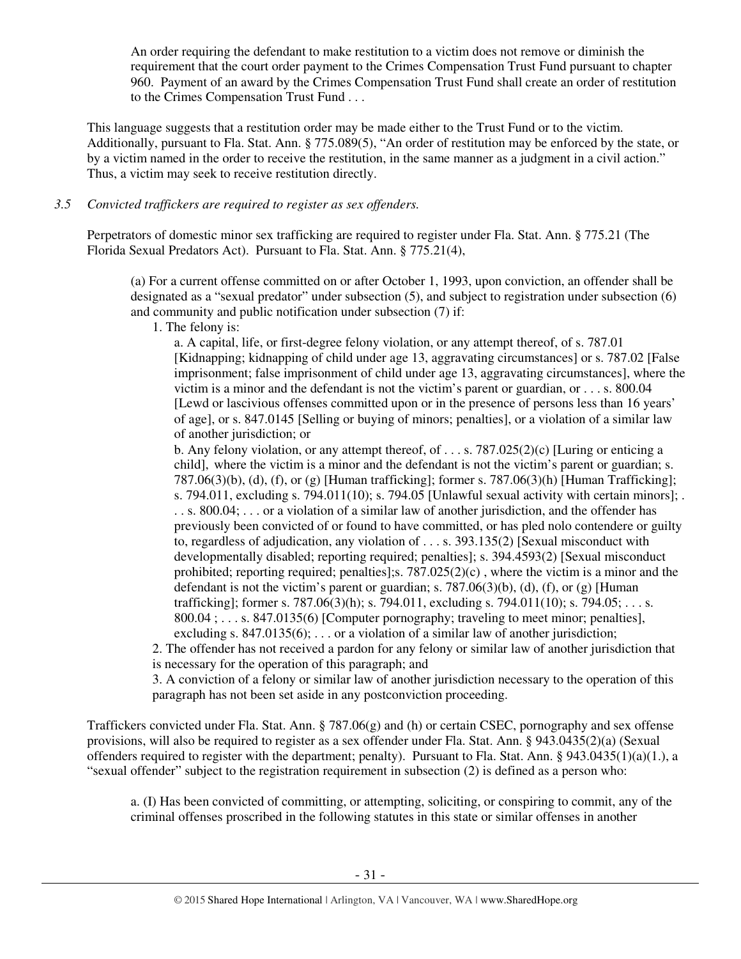An order requiring the defendant to make restitution to a victim does not remove or diminish the requirement that the court order payment to the Crimes Compensation Trust Fund pursuant to chapter 960. Payment of an award by the Crimes Compensation Trust Fund shall create an order of restitution to the Crimes Compensation Trust Fund . . .

This language suggests that a restitution order may be made either to the Trust Fund or to the victim. Additionally, pursuant to Fla. Stat. Ann. § 775.089(5), "An order of restitution may be enforced by the state, or by a victim named in the order to receive the restitution, in the same manner as a judgment in a civil action." Thus, a victim may seek to receive restitution directly.

# *3.5 Convicted traffickers are required to register as sex offenders.*

Perpetrators of domestic minor sex trafficking are required to register under Fla. Stat. Ann. § 775.21 (The Florida Sexual Predators Act). Pursuant to Fla. Stat. Ann. § 775.21(4),

(a) For a current offense committed on or after October 1, 1993, upon conviction, an offender shall be designated as a "sexual predator" under subsection (5), and subject to registration under subsection (6) and community and public notification under subsection (7) if:

1. The felony is:

a. A capital, life, or first-degree felony violation, or any attempt thereof, of s. 787.01 [Kidnapping; kidnapping of child under age 13, aggravating circumstances] or s. 787.02 [False imprisonment; false imprisonment of child under age 13, aggravating circumstances], where the victim is a minor and the defendant is not the victim's parent or guardian, or . . . s. 800.04 [Lewd or lascivious offenses committed upon or in the presence of persons less than 16 years' of age], or s. 847.0145 [Selling or buying of minors; penalties], or a violation of a similar law of another jurisdiction; or

b. Any felony violation, or any attempt thereof, of ... s. 787.025(2)(c) [Luring or enticing a child], where the victim is a minor and the defendant is not the victim's parent or guardian; s. 787.06(3)(b), (d), (f), or (g) [Human trafficking]; former s. 787.06(3)(h) [Human Trafficking]; s. 794.011, excluding s. 794.011(10); s. 794.05 [Unlawful sexual activity with certain minors]; . . . s. 800.04; . . . or a violation of a similar law of another jurisdiction, and the offender has previously been convicted of or found to have committed, or has pled nolo contendere or guilty to, regardless of adjudication, any violation of . . . s. 393.135(2) [Sexual misconduct with developmentally disabled; reporting required; penalties]; s. 394.4593(2) [Sexual misconduct prohibited; reporting required; penalties];s.  $787.025(2)(c)$ , where the victim is a minor and the defendant is not the victim's parent or guardian; s.  $787.06(3)(b)$ , (d), (f), or (g) [Human] trafficking]; former s. 787.06(3)(h); s. 794.011, excluding s. 794.011(10); s. 794.05; . . . s. 800.04 ; . . . s. 847.0135(6) [Computer pornography; traveling to meet minor; penalties], excluding s.  $847.0135(6)$ ; ... or a violation of a similar law of another jurisdiction;

2. The offender has not received a pardon for any felony or similar law of another jurisdiction that is necessary for the operation of this paragraph; and

3. A conviction of a felony or similar law of another jurisdiction necessary to the operation of this paragraph has not been set aside in any postconviction proceeding.

Traffickers convicted under Fla. Stat. Ann. § 787.06(g) and (h) or certain CSEC, pornography and sex offense provisions, will also be required to register as a sex offender under Fla. Stat. Ann. § 943.0435(2)(a) (Sexual offenders required to register with the department; penalty). Pursuant to Fla. Stat. Ann. §  $943.0435(1)(a)(1)$ , a "sexual offender" subject to the registration requirement in subsection (2) is defined as a person who:

a. (I) Has been convicted of committing, or attempting, soliciting, or conspiring to commit, any of the criminal offenses proscribed in the following statutes in this state or similar offenses in another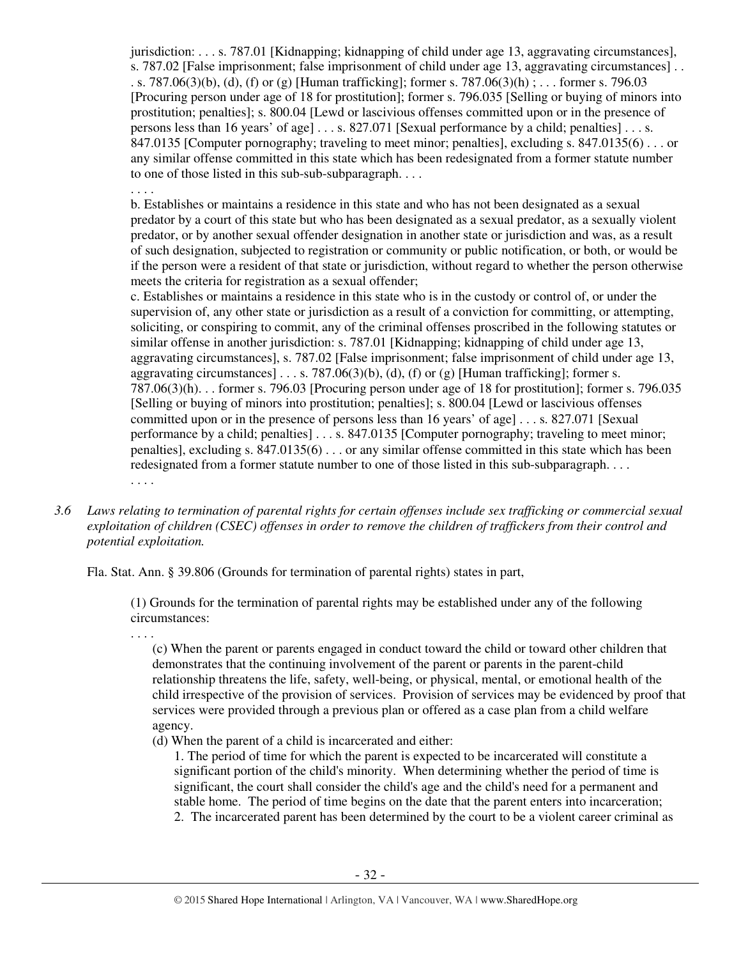jurisdiction: . . . s. 787.01 [Kidnapping; kidnapping of child under age 13, aggravating circumstances], s. 787.02 [False imprisonment; false imprisonment of child under age 13, aggravating circumstances] . . . s. 787.06(3)(b), (d), (f) or (g) [Human trafficking]; former s. 787.06(3)(h) ; . . . former s. 796.03 [Procuring person under age of 18 for prostitution]; former s. 796.035 [Selling or buying of minors into prostitution; penalties]; s. 800.04 [Lewd or lascivious offenses committed upon or in the presence of persons less than 16 years' of age] . . . s. 827.071 [Sexual performance by a child; penalties] . . . s. 847.0135 [Computer pornography; traveling to meet minor; penalties], excluding s. 847.0135(6) . . . or any similar offense committed in this state which has been redesignated from a former statute number to one of those listed in this sub-sub-subparagraph. . . .

. . . .

b. Establishes or maintains a residence in this state and who has not been designated as a sexual predator by a court of this state but who has been designated as a sexual predator, as a sexually violent predator, or by another sexual offender designation in another state or jurisdiction and was, as a result of such designation, subjected to registration or community or public notification, or both, or would be if the person were a resident of that state or jurisdiction, without regard to whether the person otherwise meets the criteria for registration as a sexual offender;

c. Establishes or maintains a residence in this state who is in the custody or control of, or under the supervision of, any other state or jurisdiction as a result of a conviction for committing, or attempting, soliciting, or conspiring to commit, any of the criminal offenses proscribed in the following statutes or similar offense in another jurisdiction: s. 787.01 [Kidnapping; kidnapping of child under age 13, aggravating circumstances], s. 787.02 [False imprisonment; false imprisonment of child under age 13, aggravating circumstances] . . . s. 787.06(3)(b), (d), (f) or (g) [Human trafficking]; former s. 787.06(3)(h). . . former s. 796.03 [Procuring person under age of 18 for prostitution]; former s. 796.035 [Selling or buying of minors into prostitution; penalties]; s. 800.04 [Lewd or lascivious offenses committed upon or in the presence of persons less than 16 years' of age] . . . s. 827.071 [Sexual performance by a child; penalties] . . . s. 847.0135 [Computer pornography; traveling to meet minor; penalties], excluding s. 847.0135(6) . . . or any similar offense committed in this state which has been redesignated from a former statute number to one of those listed in this sub-subparagraph. . . . . . . .

*3.6 Laws relating to termination of parental rights for certain offenses include sex trafficking or commercial sexual exploitation of children (CSEC) offenses in order to remove the children of traffickers from their control and potential exploitation.* 

Fla. Stat. Ann. § 39.806 (Grounds for termination of parental rights) states in part,

(1) Grounds for the termination of parental rights may be established under any of the following circumstances:

. . . .

(c) When the parent or parents engaged in conduct toward the child or toward other children that demonstrates that the continuing involvement of the parent or parents in the parent-child relationship threatens the life, safety, well-being, or physical, mental, or emotional health of the child irrespective of the provision of services. Provision of services may be evidenced by proof that services were provided through a previous plan or offered as a case plan from a child welfare agency.

(d) When the parent of a child is incarcerated and either:

1. The period of time for which the parent is expected to be incarcerated will constitute a significant portion of the child's minority. When determining whether the period of time is significant, the court shall consider the child's age and the child's need for a permanent and stable home. The period of time begins on the date that the parent enters into incarceration; 2. The incarcerated parent has been determined by the court to be a violent career criminal as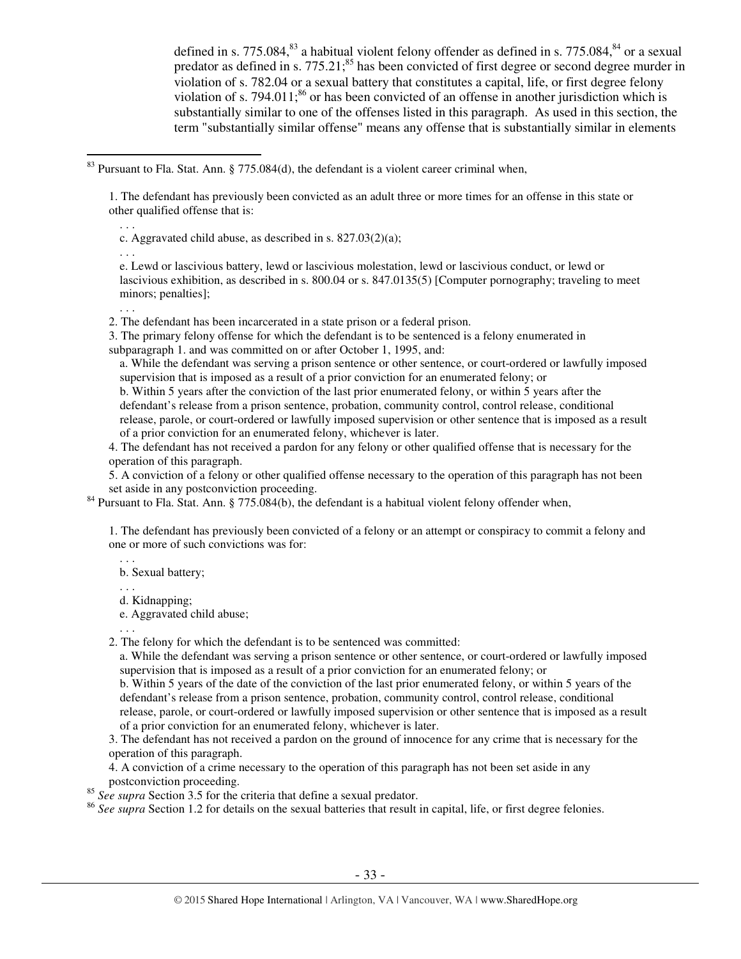defined in s. 775.084, $^{83}$  a habitual violent felony offender as defined in s. 775.084, $^{84}$  or a sexual predator as defined in s.  $775.21$ ;<sup>85</sup> has been convicted of first degree or second degree murder in violation of s. 782.04 or a sexual battery that constitutes a capital, life, or first degree felony violation of s. 794.011;<sup>86</sup> or has been convicted of an offense in another jurisdiction which is substantially similar to one of the offenses listed in this paragraph. As used in this section, the term "substantially similar offense" means any offense that is substantially similar in elements

1. The defendant has previously been convicted as an adult three or more times for an offense in this state or other qualified offense that is:

c. Aggravated child abuse, as described in s. 827.03(2)(a);

. . .

. . .

 $\overline{a}$ 

e. Lewd or lascivious battery, lewd or lascivious molestation, lewd or lascivious conduct, or lewd or lascivious exhibition, as described in s. 800.04 or s. 847.0135(5) [Computer pornography; traveling to meet minors; penalties];

. . .

2. The defendant has been incarcerated in a state prison or a federal prison.

3. The primary felony offense for which the defendant is to be sentenced is a felony enumerated in subparagraph 1. and was committed on or after October 1, 1995, and:

a. While the defendant was serving a prison sentence or other sentence, or court-ordered or lawfully imposed supervision that is imposed as a result of a prior conviction for an enumerated felony; or

b. Within 5 years after the conviction of the last prior enumerated felony, or within 5 years after the defendant's release from a prison sentence, probation, community control, control release, conditional release, parole, or court-ordered or lawfully imposed supervision or other sentence that is imposed as a result of a prior conviction for an enumerated felony, whichever is later.

4. The defendant has not received a pardon for any felony or other qualified offense that is necessary for the operation of this paragraph.

5. A conviction of a felony or other qualified offense necessary to the operation of this paragraph has not been set aside in any postconviction proceeding.

<sup>84</sup> Pursuant to Fla. Stat. Ann. § 775.084(b), the defendant is a habitual violent felony offender when,

1. The defendant has previously been convicted of a felony or an attempt or conspiracy to commit a felony and one or more of such convictions was for:

. . . b. Sexual battery;

. . .

d. Kidnapping; e. Aggravated child abuse;

. . .

2. The felony for which the defendant is to be sentenced was committed:

a. While the defendant was serving a prison sentence or other sentence, or court-ordered or lawfully imposed supervision that is imposed as a result of a prior conviction for an enumerated felony; or

b. Within 5 years of the date of the conviction of the last prior enumerated felony, or within 5 years of the defendant's release from a prison sentence, probation, community control, control release, conditional release, parole, or court-ordered or lawfully imposed supervision or other sentence that is imposed as a result of a prior conviction for an enumerated felony, whichever is later.

3. The defendant has not received a pardon on the ground of innocence for any crime that is necessary for the operation of this paragraph.

4. A conviction of a crime necessary to the operation of this paragraph has not been set aside in any postconviction proceeding.

<sup>85</sup> See supra Section 3.5 for the criteria that define a sexual predator.

<sup>86</sup> See supra Section 1.2 for details on the sexual batteries that result in capital, life, or first degree felonies.

 $83$  Pursuant to Fla. Stat. Ann. § 775.084(d), the defendant is a violent career criminal when,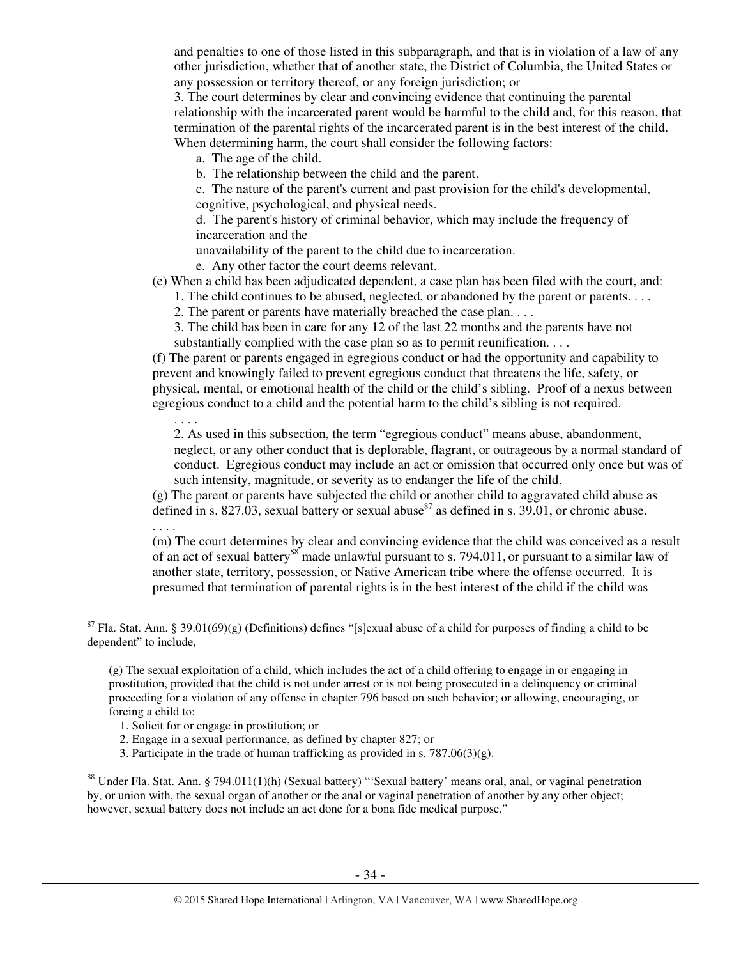and penalties to one of those listed in this subparagraph, and that is in violation of a law of any other jurisdiction, whether that of another state, the District of Columbia, the United States or any possession or territory thereof, or any foreign jurisdiction; or

3. The court determines by clear and convincing evidence that continuing the parental relationship with the incarcerated parent would be harmful to the child and, for this reason, that termination of the parental rights of the incarcerated parent is in the best interest of the child. When determining harm, the court shall consider the following factors:

a. The age of the child.

b. The relationship between the child and the parent.

c. The nature of the parent's current and past provision for the child's developmental, cognitive, psychological, and physical needs.

d. The parent's history of criminal behavior, which may include the frequency of incarceration and the

unavailability of the parent to the child due to incarceration.

e. Any other factor the court deems relevant.

(e) When a child has been adjudicated dependent, a case plan has been filed with the court, and:

1. The child continues to be abused, neglected, or abandoned by the parent or parents. . . .

2. The parent or parents have materially breached the case plan. . . .

3. The child has been in care for any 12 of the last 22 months and the parents have not substantially complied with the case plan so as to permit reunification. . . .

(f) The parent or parents engaged in egregious conduct or had the opportunity and capability to prevent and knowingly failed to prevent egregious conduct that threatens the life, safety, or physical, mental, or emotional health of the child or the child's sibling. Proof of a nexus between egregious conduct to a child and the potential harm to the child's sibling is not required.

. . . . 2. As used in this subsection, the term "egregious conduct" means abuse, abandonment, neglect, or any other conduct that is deplorable, flagrant, or outrageous by a normal standard of conduct. Egregious conduct may include an act or omission that occurred only once but was of such intensity, magnitude, or severity as to endanger the life of the child.

(g) The parent or parents have subjected the child or another child to aggravated child abuse as defined in s. 827.03, sexual battery or sexual abuse<sup>87</sup> as defined in s. 39.01, or chronic abuse.

. . . . (m) The court determines by clear and convincing evidence that the child was conceived as a result of an act of sexual battery<sup>88</sup> made unlawful pursuant to s. 794.011, or pursuant to a similar law of another state, territory, possession, or Native American tribe where the offense occurred. It is presumed that termination of parental rights is in the best interest of the child if the child was

 $\overline{a}$ 

3. Participate in the trade of human trafficking as provided in s. 787.06(3)(g).

<sup>88</sup> Under Fla. Stat. Ann. § 794.011(1)(h) (Sexual battery) "'Sexual battery' means oral, anal, or vaginal penetration by, or union with, the sexual organ of another or the anal or vaginal penetration of another by any other object; however, sexual battery does not include an act done for a bona fide medical purpose."

 $87$  Fla. Stat. Ann. § 39.01(69)(g) (Definitions) defines "[s]exual abuse of a child for purposes of finding a child to be dependent" to include,

<sup>(</sup>g) The sexual exploitation of a child, which includes the act of a child offering to engage in or engaging in prostitution, provided that the child is not under arrest or is not being prosecuted in a delinquency or criminal proceeding for a violation of any offense in chapter 796 based on such behavior; or allowing, encouraging, or forcing a child to:

<sup>1.</sup> Solicit for or engage in prostitution; or

<sup>2.</sup> Engage in a sexual performance, as defined by chapter 827; or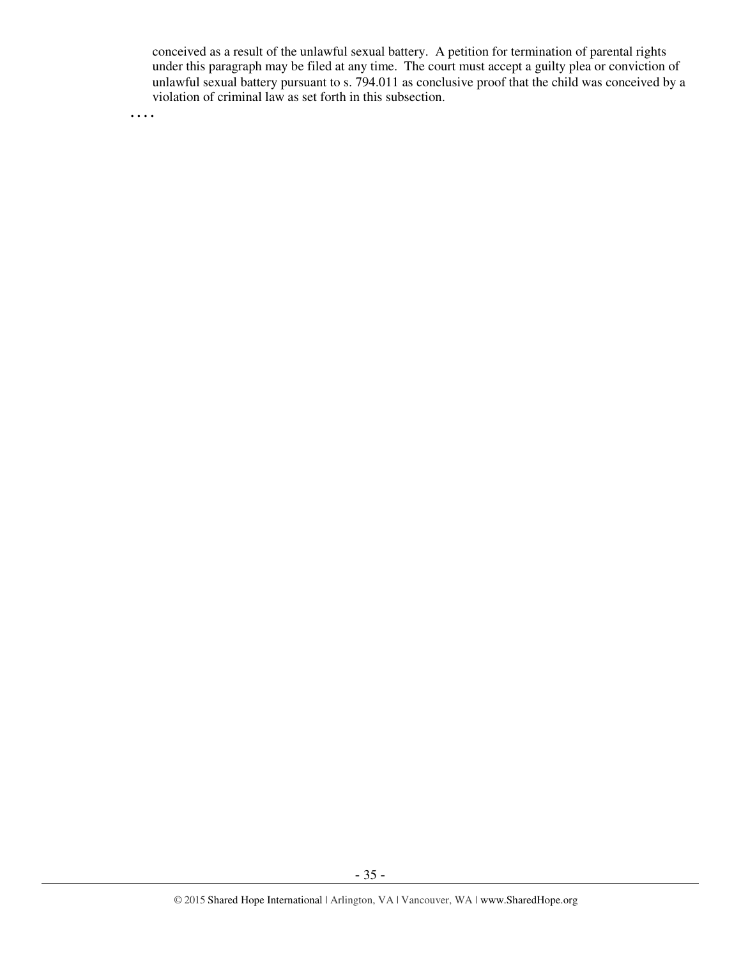conceived as a result of the unlawful sexual battery. A petition for termination of parental rights under this paragraph may be filed at any time. The court must accept a guilty plea or conviction of unlawful sexual battery pursuant to s. 794.011 as conclusive proof that the child was conceived by a violation of criminal law as set forth in this subsection.

**. . . .**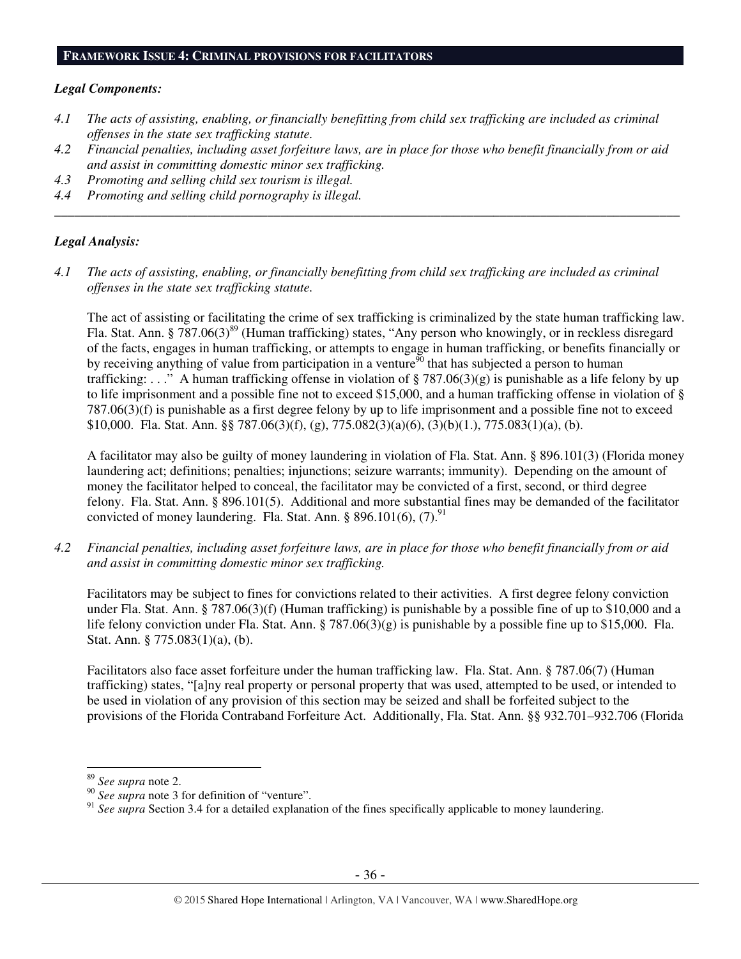#### **FRAMEWORK ISSUE 4: CRIMINAL PROVISIONS FOR FACILITATORS**

#### *Legal Components:*

- *4.1 The acts of assisting, enabling, or financially benefitting from child sex trafficking are included as criminal offenses in the state sex trafficking statute.*
- *4.2 Financial penalties, including asset forfeiture laws, are in place for those who benefit financially from or aid and assist in committing domestic minor sex trafficking.*

*\_\_\_\_\_\_\_\_\_\_\_\_\_\_\_\_\_\_\_\_\_\_\_\_\_\_\_\_\_\_\_\_\_\_\_\_\_\_\_\_\_\_\_\_\_\_\_\_\_\_\_\_\_\_\_\_\_\_\_\_\_\_\_\_\_\_\_\_\_\_\_\_\_\_\_\_\_\_\_\_\_\_\_\_\_\_\_\_\_\_\_\_\_\_* 

- *4.3 Promoting and selling child sex tourism is illegal.*
- *4.4 Promoting and selling child pornography is illegal.*

## *Legal Analysis:*

*4.1 The acts of assisting, enabling, or financially benefitting from child sex trafficking are included as criminal offenses in the state sex trafficking statute.* 

The act of assisting or facilitating the crime of sex trafficking is criminalized by the state human trafficking law. Fla. Stat. Ann. § 787.06(3)<sup>89</sup> (Human trafficking) states, "Any person who knowingly, or in reckless disregard of the facts, engages in human trafficking, or attempts to engage in human trafficking, or benefits financially or by receiving anything of value from participation in a venture<sup>90</sup> that has subjected a person to human trafficking: ..." A human trafficking offense in violation of  $\S 787.06(3)(g)$  is punishable as a life felony by up to life imprisonment and a possible fine not to exceed \$15,000, and a human trafficking offense in violation of § 787.06(3)(f) is punishable as a first degree felony by up to life imprisonment and a possible fine not to exceed \$10,000. Fla. Stat. Ann. §§ 787.06(3)(f), (g), 775.082(3)(a)(6), (3)(b)(1.), 775.083(1)(a), (b).

A facilitator may also be guilty of money laundering in violation of Fla. Stat. Ann. § 896.101(3) (Florida money laundering act; definitions; penalties; injunctions; seizure warrants; immunity). Depending on the amount of money the facilitator helped to conceal, the facilitator may be convicted of a first, second, or third degree felony. Fla. Stat. Ann. § 896.101(5). Additional and more substantial fines may be demanded of the facilitator convicted of money laundering. Fla. Stat. Ann. § 896.101(6),  $(7)$ .<sup>91</sup>

*4.2 Financial penalties, including asset forfeiture laws, are in place for those who benefit financially from or aid and assist in committing domestic minor sex trafficking.* 

Facilitators may be subject to fines for convictions related to their activities. A first degree felony conviction under Fla. Stat. Ann. § 787.06(3)(f) (Human trafficking) is punishable by a possible fine of up to \$10,000 and a life felony conviction under Fla. Stat. Ann. § 787.06(3)(g) is punishable by a possible fine up to \$15,000. Fla. Stat. Ann. § 775.083(1)(a), (b).

Facilitators also face asset forfeiture under the human trafficking law. Fla. Stat. Ann. § 787.06(7) (Human trafficking) states, "[a]ny real property or personal property that was used, attempted to be used, or intended to be used in violation of any provision of this section may be seized and shall be forfeited subject to the provisions of the Florida Contraband Forfeiture Act. Additionally, Fla. Stat. Ann. §§ 932.701–932.706 (Florida

<sup>89</sup> *See supra* note 2.

<sup>&</sup>lt;sup>90</sup> *See supra* note 3 for definition of "venture".

<sup>&</sup>lt;sup>91</sup> See supra Section 3.4 for a detailed explanation of the fines specifically applicable to money laundering.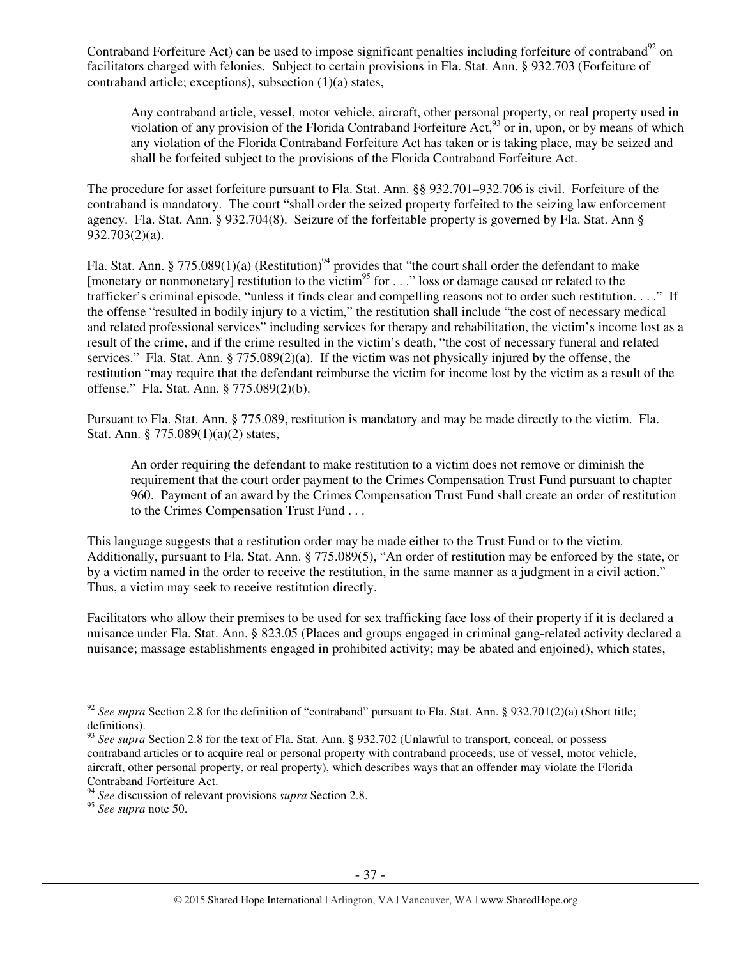Contraband Forfeiture Act) can be used to impose significant penalties including forfeiture of contraband<sup>92</sup> on facilitators charged with felonies. Subject to certain provisions in Fla. Stat. Ann. § 932.703 (Forfeiture of contraband article; exceptions), subsection (1)(a) states,

Any contraband article, vessel, motor vehicle, aircraft, other personal property, or real property used in violation of any provision of the Florida Contraband Forfeiture Act,<sup>93</sup> or in, upon, or by means of which any violation of the Florida Contraband Forfeiture Act has taken or is taking place, may be seized and shall be forfeited subject to the provisions of the Florida Contraband Forfeiture Act.

The procedure for asset forfeiture pursuant to Fla. Stat. Ann. §§ 932.701–932.706 is civil. Forfeiture of the contraband is mandatory. The court "shall order the seized property forfeited to the seizing law enforcement agency. Fla. Stat. Ann. § 932.704(8). Seizure of the forfeitable property is governed by Fla. Stat. Ann § 932.703(2)(a).

Fla. Stat. Ann. § 775.089(1)(a) (Restitution)<sup>94</sup> provides that "the court shall order the defendant to make [monetary or nonmonetary] restitution to the victim<sup>95</sup> for  $\ldots$  " loss or damage caused or related to the trafficker's criminal episode, "unless it finds clear and compelling reasons not to order such restitution. . . ." If the offense "resulted in bodily injury to a victim," the restitution shall include "the cost of necessary medical and related professional services" including services for therapy and rehabilitation, the victim's income lost as a result of the crime, and if the crime resulted in the victim's death, "the cost of necessary funeral and related services." Fla. Stat. Ann. § 775.089(2)(a). If the victim was not physically injured by the offense, the restitution "may require that the defendant reimburse the victim for income lost by the victim as a result of the offense." Fla. Stat. Ann. § 775.089(2)(b).

Pursuant to Fla. Stat. Ann. § 775.089, restitution is mandatory and may be made directly to the victim. Fla. Stat. Ann. § 775.089(1)(a)(2) states,

An order requiring the defendant to make restitution to a victim does not remove or diminish the requirement that the court order payment to the Crimes Compensation Trust Fund pursuant to chapter 960. Payment of an award by the Crimes Compensation Trust Fund shall create an order of restitution to the Crimes Compensation Trust Fund . . .

This language suggests that a restitution order may be made either to the Trust Fund or to the victim. Additionally, pursuant to Fla. Stat. Ann. § 775.089(5), "An order of restitution may be enforced by the state, or by a victim named in the order to receive the restitution, in the same manner as a judgment in a civil action." Thus, a victim may seek to receive restitution directly.

Facilitators who allow their premises to be used for sex trafficking face loss of their property if it is declared a nuisance under Fla. Stat. Ann. § 823.05 (Places and groups engaged in criminal gang-related activity declared a nuisance; massage establishments engaged in prohibited activity; may be abated and enjoined), which states,

 $\overline{a}$ <sup>92</sup> See supra Section 2.8 for the definition of "contraband" pursuant to Fla. Stat. Ann. § 932.701(2)(a) (Short title; definitions).

<sup>&</sup>lt;sup>93</sup> See supra Section 2.8 for the text of Fla. Stat. Ann. § 932.702 (Unlawful to transport, conceal, or possess contraband articles or to acquire real or personal property with contraband proceeds; use of vessel, motor vehicle, aircraft, other personal property, or real property), which describes ways that an offender may violate the Florida Contraband Forfeiture Act.

<sup>94</sup> *See* discussion of relevant provisions *supra* Section 2.8.

<sup>95</sup> *See supra* note 50.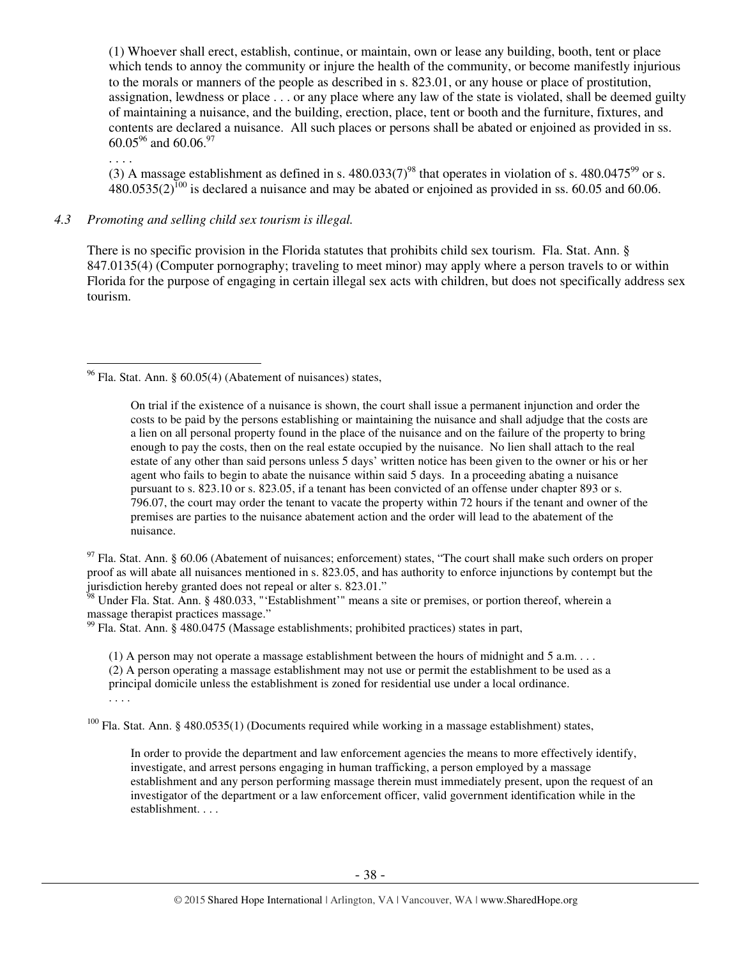(1) Whoever shall erect, establish, continue, or maintain, own or lease any building, booth, tent or place which tends to annoy the community or injure the health of the community, or become manifestly injurious to the morals or manners of the people as described in s. 823.01, or any house or place of prostitution, assignation, lewdness or place . . . or any place where any law of the state is violated, shall be deemed guilty of maintaining a nuisance, and the building, erection, place, tent or booth and the furniture, fixtures, and contents are declared a nuisance. All such places or persons shall be abated or enjoined as provided in ss.  $60.05^{96}$  and  $60.06^{97}$ 

. . . .

(3) A massage establishment as defined in s.  $480.033(7)^{98}$  that operates in violation of s.  $480.0475^{99}$  or s.  $480.0535(2)^{100}$  is declared a nuisance and may be abated or enjoined as provided in ss. 60.05 and 60.06.

## *4.3 Promoting and selling child sex tourism is illegal.*

There is no specific provision in the Florida statutes that prohibits child sex tourism. Fla. Stat. Ann. § 847.0135(4) (Computer pornography; traveling to meet minor) may apply where a person travels to or within Florida for the purpose of engaging in certain illegal sex acts with children, but does not specifically address sex tourism.

 $\overline{a}$  $96$  Fla. Stat. Ann. § 60.05(4) (Abatement of nuisances) states,

> On trial if the existence of a nuisance is shown, the court shall issue a permanent injunction and order the costs to be paid by the persons establishing or maintaining the nuisance and shall adjudge that the costs are a lien on all personal property found in the place of the nuisance and on the failure of the property to bring enough to pay the costs, then on the real estate occupied by the nuisance. No lien shall attach to the real estate of any other than said persons unless 5 days' written notice has been given to the owner or his or her agent who fails to begin to abate the nuisance within said 5 days. In a proceeding abating a nuisance pursuant to s. 823.10 or s. 823.05, if a tenant has been convicted of an offense under chapter 893 or s. 796.07, the court may order the tenant to vacate the property within 72 hours if the tenant and owner of the premises are parties to the nuisance abatement action and the order will lead to the abatement of the nuisance.

 $97$  Fla. Stat. Ann. § 60.06 (Abatement of nuisances; enforcement) states, "The court shall make such orders on proper proof as will abate all nuisances mentioned in s. 823.05, and has authority to enforce injunctions by contempt but the jurisdiction hereby granted does not repeal or alter s. 823.01."

<sup>98</sup> Under Fla. Stat. Ann. § 480.033, "'Establishment'" means a site or premises, or portion thereof, wherein a massage therapist practices massage."

 $^{99}$  Fla. Stat. Ann. § 480.0475 (Massage establishments; prohibited practices) states in part,

(1) A person may not operate a massage establishment between the hours of midnight and  $5$  a.m.  $\dots$ 

(2) A person operating a massage establishment may not use or permit the establishment to be used as a principal domicile unless the establishment is zoned for residential use under a local ordinance.

 $100$  Fla. Stat. Ann. § 480.0535(1) (Documents required while working in a massage establishment) states,

In order to provide the department and law enforcement agencies the means to more effectively identify, investigate, and arrest persons engaging in human trafficking, a person employed by a massage establishment and any person performing massage therein must immediately present, upon the request of an investigator of the department or a law enforcement officer, valid government identification while in the establishment. . . .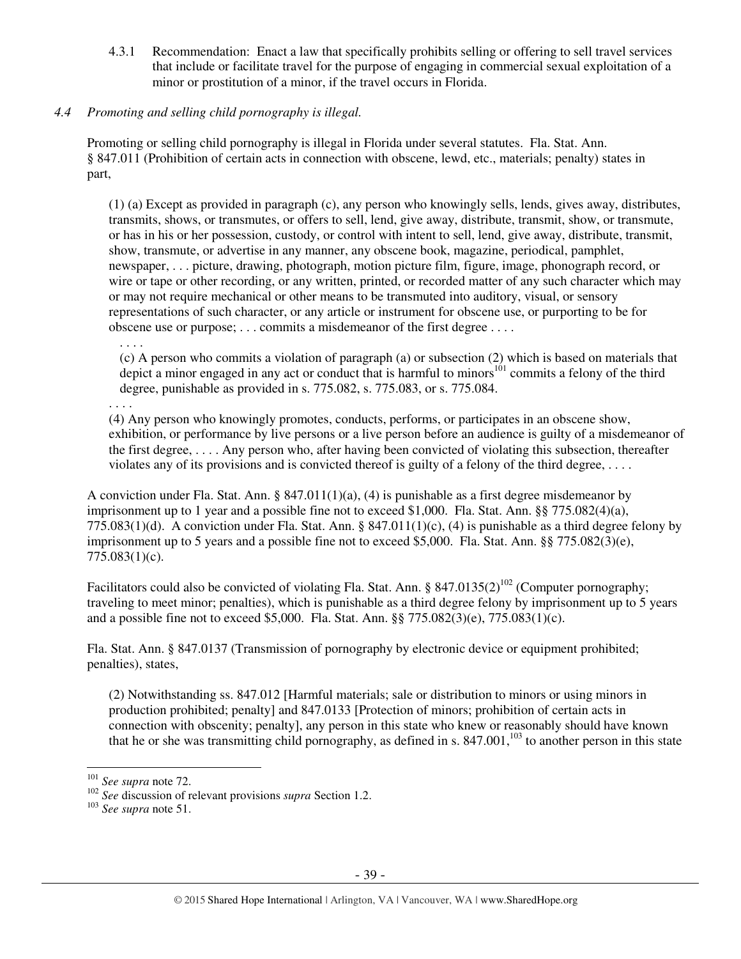4.3.1 Recommendation: Enact a law that specifically prohibits selling or offering to sell travel services that include or facilitate travel for the purpose of engaging in commercial sexual exploitation of a minor or prostitution of a minor, if the travel occurs in Florida.

# *4.4 Promoting and selling child pornography is illegal.*

Promoting or selling child pornography is illegal in Florida under several statutes. Fla. Stat. Ann. § 847.011 (Prohibition of certain acts in connection with obscene, lewd, etc., materials; penalty) states in part,

(1) (a) Except as provided in paragraph (c), any person who knowingly sells, lends, gives away, distributes, transmits, shows, or transmutes, or offers to sell, lend, give away, distribute, transmit, show, or transmute, or has in his or her possession, custody, or control with intent to sell, lend, give away, distribute, transmit, show, transmute, or advertise in any manner, any obscene book, magazine, periodical, pamphlet, newspaper, . . . picture, drawing, photograph, motion picture film, figure, image, phonograph record, or wire or tape or other recording, or any written, printed, or recorded matter of any such character which may or may not require mechanical or other means to be transmuted into auditory, visual, or sensory representations of such character, or any article or instrument for obscene use, or purporting to be for obscene use or purpose; . . . commits a misdemeanor of the first degree . . . .

. . . .

(c) A person who commits a violation of paragraph (a) or subsection (2) which is based on materials that depict a minor engaged in any act or conduct that is harmful to minors<sup>101</sup> commits a felony of the third degree, punishable as provided in s. 775.082, s. 775.083, or s. 775.084.

. . . .

(4) Any person who knowingly promotes, conducts, performs, or participates in an obscene show, exhibition, or performance by live persons or a live person before an audience is guilty of a misdemeanor of the first degree, . . . . Any person who, after having been convicted of violating this subsection, thereafter violates any of its provisions and is convicted thereof is guilty of a felony of the third degree, . . . .

A conviction under Fla. Stat. Ann. § 847.011(1)(a), (4) is punishable as a first degree misdemeanor by imprisonment up to 1 year and a possible fine not to exceed \$1,000. Fla. Stat. Ann. §§ 775.082(4)(a), 775.083(1)(d). A conviction under Fla. Stat. Ann. § 847.011(1)(c), (4) is punishable as a third degree felony by imprisonment up to 5 years and a possible fine not to exceed \$5,000. Fla. Stat. Ann. §§ 775.082(3)(e), 775.083(1)(c).

Facilitators could also be convicted of violating Fla. Stat. Ann. § 847.0135(2)<sup>102</sup> (Computer pornography; traveling to meet minor; penalties), which is punishable as a third degree felony by imprisonment up to 5 years and a possible fine not to exceed \$5,000. Fla. Stat. Ann. §§ 775.082(3)(e), 775.083(1)(c).

Fla. Stat. Ann. § 847.0137 (Transmission of pornography by electronic device or equipment prohibited; penalties), states,

(2) Notwithstanding ss. 847.012 [Harmful materials; sale or distribution to minors or using minors in production prohibited; penalty] and 847.0133 [Protection of minors; prohibition of certain acts in connection with obscenity; penalty], any person in this state who knew or reasonably should have known that he or she was transmitting child pornography, as defined in s.  $847.001$ ,<sup>103</sup> to another person in this state

<sup>101</sup> *See supra* note 72.

<sup>102</sup> *See* discussion of relevant provisions *supra* Section 1.2.

<sup>103</sup> *See supra* note 51.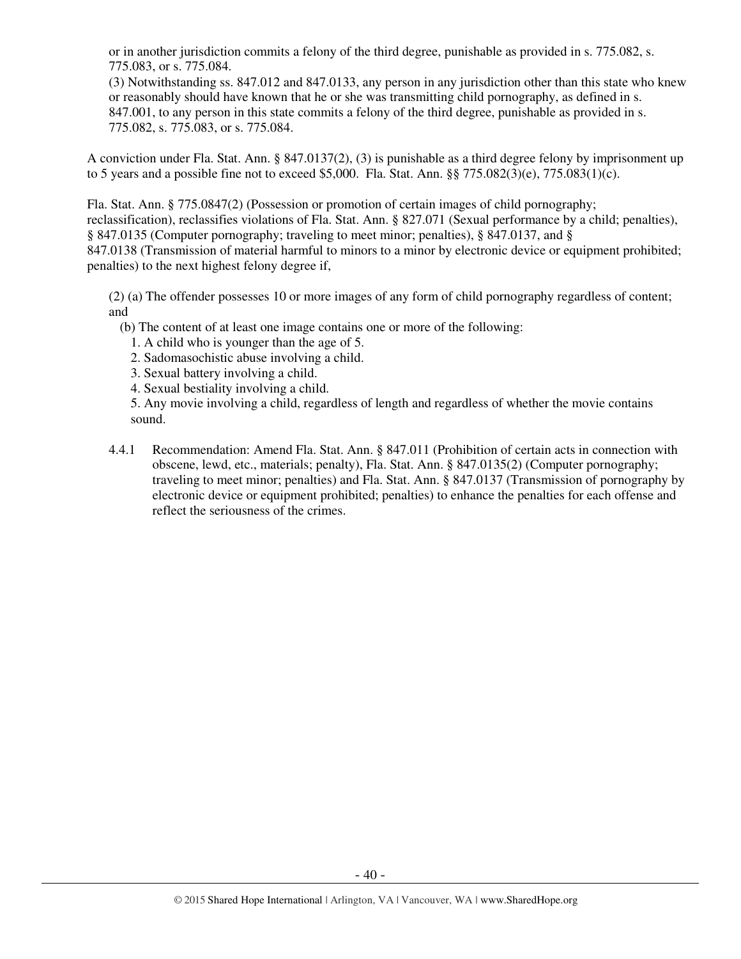or in another jurisdiction commits a felony of the third degree, punishable as provided in s. 775.082, s. 775.083, or s. 775.084.

(3) Notwithstanding ss. 847.012 and 847.0133, any person in any jurisdiction other than this state who knew or reasonably should have known that he or she was transmitting child pornography, as defined in s. 847.001, to any person in this state commits a felony of the third degree, punishable as provided in s. 775.082, s. 775.083, or s. 775.084.

A conviction under Fla. Stat. Ann. § 847.0137(2), (3) is punishable as a third degree felony by imprisonment up to 5 years and a possible fine not to exceed \$5,000. Fla. Stat. Ann. §§ 775.082(3)(e), 775.083(1)(c).

Fla. Stat. Ann. § 775.0847(2) (Possession or promotion of certain images of child pornography; reclassification), reclassifies violations of Fla. Stat. Ann. § 827.071 (Sexual performance by a child; penalties), § 847.0135 (Computer pornography; traveling to meet minor; penalties), § 847.0137, and § 847.0138 (Transmission of material harmful to minors to a minor by electronic device or equipment prohibited; penalties) to the next highest felony degree if,

(2) (a) The offender possesses 10 or more images of any form of child pornography regardless of content; and

(b) The content of at least one image contains one or more of the following:

- 1. A child who is younger than the age of 5.
- 2. Sadomasochistic abuse involving a child.
- 3. Sexual battery involving a child.
- 4. Sexual bestiality involving a child.

5. Any movie involving a child, regardless of length and regardless of whether the movie contains sound.

4.4.1 Recommendation: Amend Fla. Stat. Ann. § 847.011 (Prohibition of certain acts in connection with obscene, lewd, etc., materials; penalty), Fla. Stat. Ann. § 847.0135(2) (Computer pornography; traveling to meet minor; penalties) and Fla. Stat. Ann. § 847.0137 (Transmission of pornography by electronic device or equipment prohibited; penalties) to enhance the penalties for each offense and reflect the seriousness of the crimes.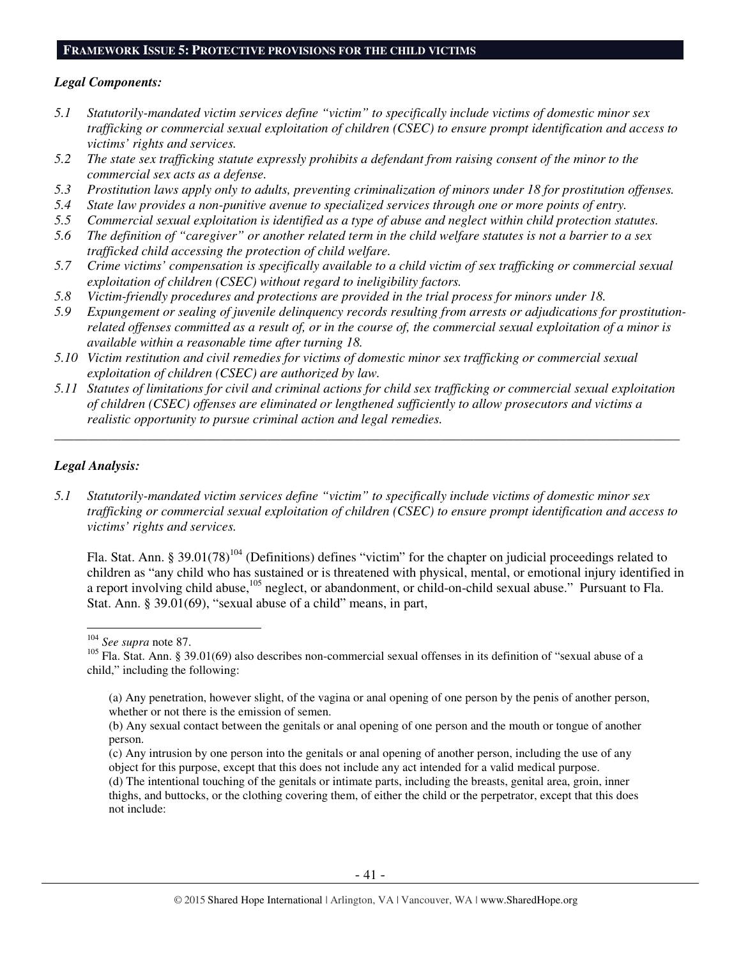## **FRAMEWORK ISSUE 5: PROTECTIVE PROVISIONS FOR THE CHILD VICTIMS**

### *Legal Components:*

- *5.1 Statutorily-mandated victim services define "victim" to specifically include victims of domestic minor sex trafficking or commercial sexual exploitation of children (CSEC) to ensure prompt identification and access to victims' rights and services.*
- *5.2 The state sex trafficking statute expressly prohibits a defendant from raising consent of the minor to the commercial sex acts as a defense.*
- *5.3 Prostitution laws apply only to adults, preventing criminalization of minors under 18 for prostitution offenses.*
- *5.4 State law provides a non-punitive avenue to specialized services through one or more points of entry.*
- *5.5 Commercial sexual exploitation is identified as a type of abuse and neglect within child protection statutes.*
- *5.6 The definition of "caregiver" or another related term in the child welfare statutes is not a barrier to a sex trafficked child accessing the protection of child welfare.*
- *5.7 Crime victims' compensation is specifically available to a child victim of sex trafficking or commercial sexual exploitation of children (CSEC) without regard to ineligibility factors.*
- *5.8 Victim-friendly procedures and protections are provided in the trial process for minors under 18.*
- *5.9 Expungement or sealing of juvenile delinquency records resulting from arrests or adjudications for prostitutionrelated offenses committed as a result of, or in the course of, the commercial sexual exploitation of a minor is available within a reasonable time after turning 18.*
- *5.10 Victim restitution and civil remedies for victims of domestic minor sex trafficking or commercial sexual exploitation of children (CSEC) are authorized by law.*
- *5.11 Statutes of limitations for civil and criminal actions for child sex trafficking or commercial sexual exploitation of children (CSEC) offenses are eliminated or lengthened sufficiently to allow prosecutors and victims a realistic opportunity to pursue criminal action and legal remedies.*

*\_\_\_\_\_\_\_\_\_\_\_\_\_\_\_\_\_\_\_\_\_\_\_\_\_\_\_\_\_\_\_\_\_\_\_\_\_\_\_\_\_\_\_\_\_\_\_\_\_\_\_\_\_\_\_\_\_\_\_\_\_\_\_\_\_\_\_\_\_\_\_\_\_\_\_\_\_\_\_\_\_\_\_\_\_\_\_\_\_\_\_\_\_\_* 

## *Legal Analysis:*

 $\overline{a}$ 

*5.1 Statutorily-mandated victim services define "victim" to specifically include victims of domestic minor sex trafficking or commercial sexual exploitation of children (CSEC) to ensure prompt identification and access to victims' rights and services.* 

Fla. Stat. Ann. § 39.01(78)<sup>104</sup> (Definitions) defines "victim" for the chapter on judicial proceedings related to children as "any child who has sustained or is threatened with physical, mental, or emotional injury identified in a report involving child abuse,<sup>105</sup> neglect, or abandonment, or child-on-child sexual abuse." Pursuant to Fla. Stat. Ann. § 39.01(69), "sexual abuse of a child" means, in part,

(c) Any intrusion by one person into the genitals or anal opening of another person, including the use of any object for this purpose, except that this does not include any act intended for a valid medical purpose.

<sup>104</sup> *See supra* note 87.

<sup>&</sup>lt;sup>105</sup> Fla. Stat. Ann. § 39.01(69) also describes non-commercial sexual offenses in its definition of "sexual abuse of a child," including the following:

<sup>(</sup>a) Any penetration, however slight, of the vagina or anal opening of one person by the penis of another person, whether or not there is the emission of semen.

<sup>(</sup>b) Any sexual contact between the genitals or anal opening of one person and the mouth or tongue of another person.

<sup>(</sup>d) The intentional touching of the genitals or intimate parts, including the breasts, genital area, groin, inner thighs, and buttocks, or the clothing covering them, of either the child or the perpetrator, except that this does not include: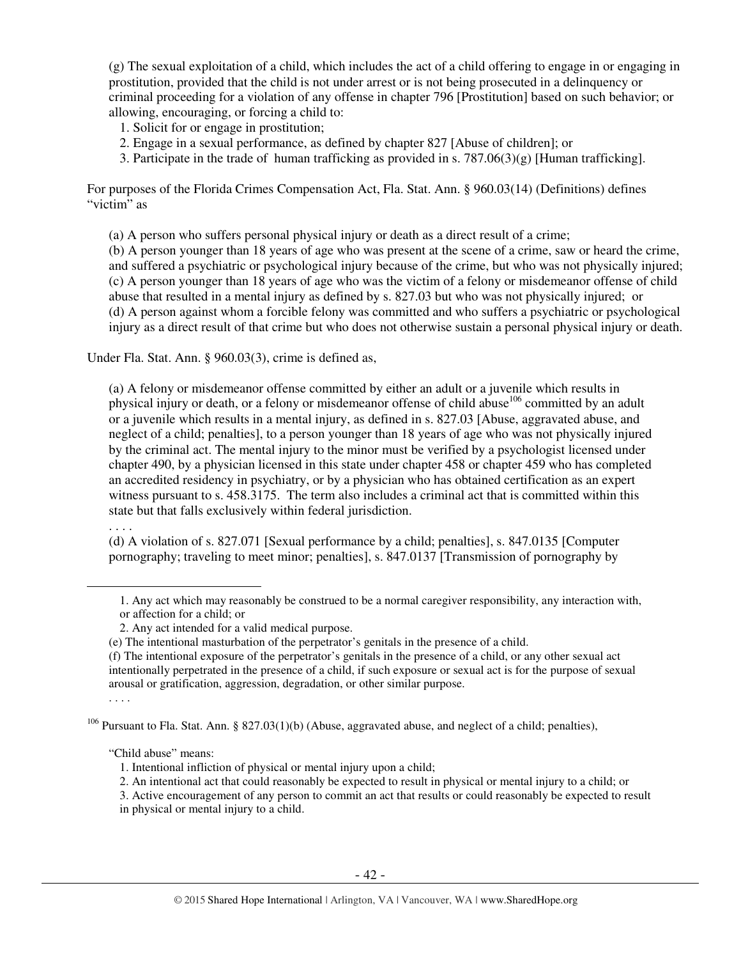(g) The sexual exploitation of a child, which includes the act of a child offering to engage in or engaging in prostitution, provided that the child is not under arrest or is not being prosecuted in a delinquency or criminal proceeding for a violation of any offense in chapter 796 [Prostitution] based on such behavior; or allowing, encouraging, or forcing a child to:

1. Solicit for or engage in prostitution;

- 2. Engage in a sexual performance, as defined by chapter 827 [Abuse of children]; or
- 3. Participate in the trade of human trafficking as provided in s. 787.06(3)(g) [Human trafficking].

For purposes of the Florida Crimes Compensation Act, Fla. Stat. Ann. § 960.03(14) (Definitions) defines "victim" as

(a) A person who suffers personal physical injury or death as a direct result of a crime;

(b) A person younger than 18 years of age who was present at the scene of a crime, saw or heard the crime, and suffered a psychiatric or psychological injury because of the crime, but who was not physically injured; (c) A person younger than 18 years of age who was the victim of a felony or misdemeanor offense of child abuse that resulted in a mental injury as defined by s. 827.03 but who was not physically injured; or (d) A person against whom a forcible felony was committed and who suffers a psychiatric or psychological injury as a direct result of that crime but who does not otherwise sustain a personal physical injury or death.

Under Fla. Stat. Ann. § 960.03(3), crime is defined as,

(a) A felony or misdemeanor offense committed by either an adult or a juvenile which results in physical injury or death, or a felony or misdemeanor offense of child abuse<sup>106</sup> committed by an adult or a juvenile which results in a mental injury, as defined in s. 827.03 [Abuse, aggravated abuse, and neglect of a child; penalties], to a person younger than 18 years of age who was not physically injured by the criminal act. The mental injury to the minor must be verified by a psychologist licensed under chapter 490, by a physician licensed in this state under chapter 458 or chapter 459 who has completed an accredited residency in psychiatry, or by a physician who has obtained certification as an expert witness pursuant to s. 458.3175. The term also includes a criminal act that is committed within this state but that falls exclusively within federal jurisdiction.

. . . .

 $\overline{a}$ 

(d) A violation of s. 827.071 [Sexual performance by a child; penalties], s. 847.0135 [Computer pornography; traveling to meet minor; penalties], s. 847.0137 [Transmission of pornography by

. . . .

<sup>106</sup> Pursuant to Fla. Stat. Ann. § 827.03(1)(b) (Abuse, aggravated abuse, and neglect of a child; penalties),

"Child abuse" means:

<sup>1.</sup> Any act which may reasonably be construed to be a normal caregiver responsibility, any interaction with, or affection for a child; or

<sup>2.</sup> Any act intended for a valid medical purpose.

<sup>(</sup>e) The intentional masturbation of the perpetrator's genitals in the presence of a child.

<sup>(</sup>f) The intentional exposure of the perpetrator's genitals in the presence of a child, or any other sexual act intentionally perpetrated in the presence of a child, if such exposure or sexual act is for the purpose of sexual arousal or gratification, aggression, degradation, or other similar purpose.

<sup>1.</sup> Intentional infliction of physical or mental injury upon a child;

<sup>2.</sup> An intentional act that could reasonably be expected to result in physical or mental injury to a child; or

<sup>3.</sup> Active encouragement of any person to commit an act that results or could reasonably be expected to result in physical or mental injury to a child.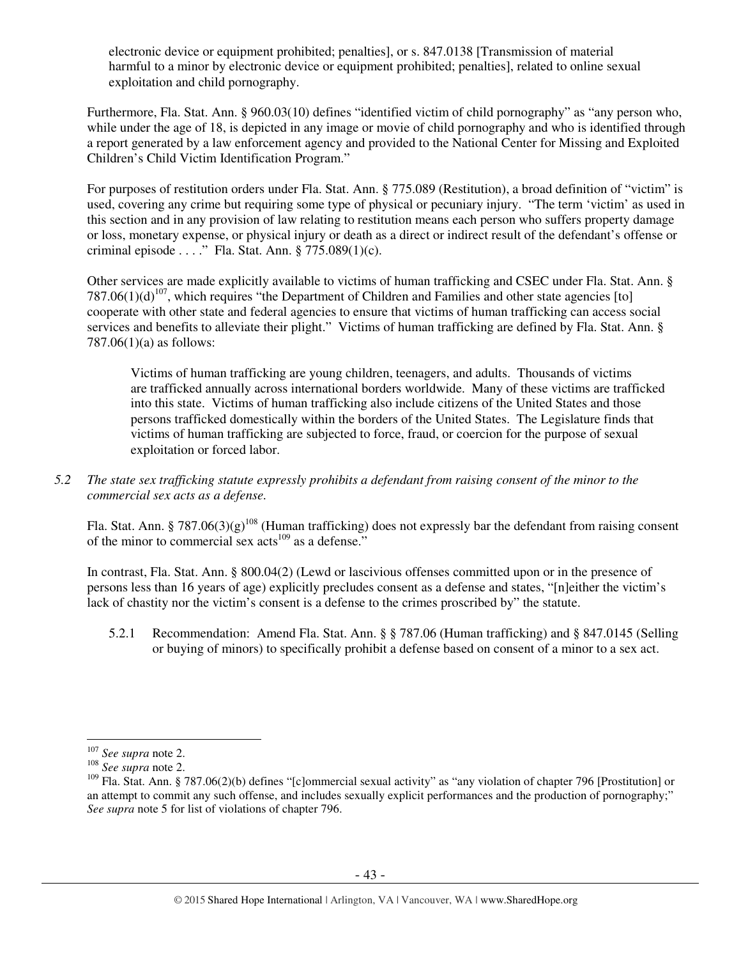electronic device or equipment prohibited; penalties], or s. 847.0138 [Transmission of material harmful to a minor by electronic device or equipment prohibited; penalties], related to online sexual exploitation and child pornography.

Furthermore, Fla. Stat. Ann. § 960.03(10) defines "identified victim of child pornography" as "any person who, while under the age of 18, is depicted in any image or movie of child pornography and who is identified through a report generated by a law enforcement agency and provided to the National Center for Missing and Exploited Children's Child Victim Identification Program."

For purposes of restitution orders under Fla. Stat. Ann. § 775.089 (Restitution), a broad definition of "victim" is used, covering any crime but requiring some type of physical or pecuniary injury. "The term 'victim' as used in this section and in any provision of law relating to restitution means each person who suffers property damage or loss, monetary expense, or physical injury or death as a direct or indirect result of the defendant's offense or criminal episode . . . ." Fla. Stat. Ann. § 775.089(1)(c).

Other services are made explicitly available to victims of human trafficking and CSEC under Fla. Stat. Ann. § 787.06(1)(d)<sup>107</sup>, which requires "the Department of Children and Families and other state agencies [to] cooperate with other state and federal agencies to ensure that victims of human trafficking can access social services and benefits to alleviate their plight." Victims of human trafficking are defined by Fla. Stat. Ann. § 787.06(1)(a) as follows:

Victims of human trafficking are young children, teenagers, and adults. Thousands of victims are trafficked annually across international borders worldwide. Many of these victims are trafficked into this state. Victims of human trafficking also include citizens of the United States and those persons trafficked domestically within the borders of the United States. The Legislature finds that victims of human trafficking are subjected to force, fraud, or coercion for the purpose of sexual exploitation or forced labor.

*5.2 The state sex trafficking statute expressly prohibits a defendant from raising consent of the minor to the commercial sex acts as a defense.* 

Fla. Stat. Ann. § 787.06(3)(g)<sup>108</sup> (Human trafficking) does not expressly bar the defendant from raising consent of the minor to commercial sex acts<sup>109</sup> as a defense."

In contrast, Fla. Stat. Ann. § 800.04(2) (Lewd or lascivious offenses committed upon or in the presence of persons less than 16 years of age) explicitly precludes consent as a defense and states, "[n]either the victim's lack of chastity nor the victim's consent is a defense to the crimes proscribed by" the statute.

5.2.1 Recommendation: Amend Fla. Stat. Ann. § § 787.06 (Human trafficking) and § 847.0145 (Selling or buying of minors) to specifically prohibit a defense based on consent of a minor to a sex act.

<sup>107</sup> *See supra* note 2.

<sup>108</sup> *See supra* note 2.

<sup>109</sup> Fla. Stat. Ann. § 787.06(2)(b) defines "[c]ommercial sexual activity" as "any violation of chapter 796 [Prostitution] or an attempt to commit any such offense, and includes sexually explicit performances and the production of pornography;" *See supra* note 5 for list of violations of chapter 796.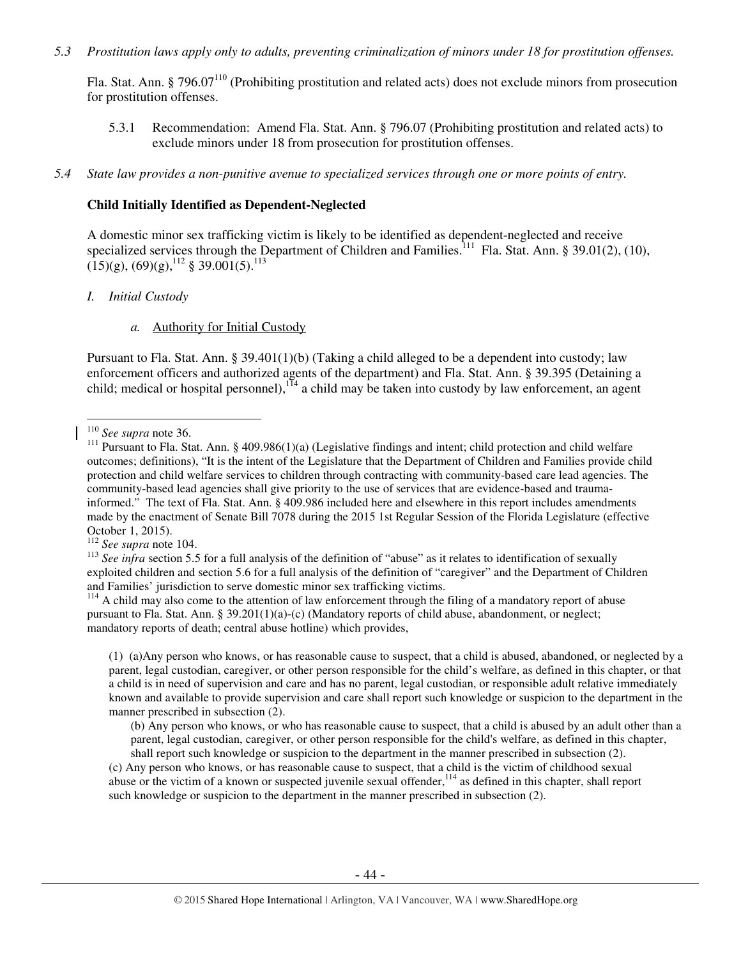### *5.3 Prostitution laws apply only to adults, preventing criminalization of minors under 18 for prostitution offenses.*

Fla. Stat. Ann. § 796.07<sup>110</sup> (Prohibiting prostitution and related acts) does not exclude minors from prosecution for prostitution offenses.

- 5.3.1 Recommendation: Amend Fla. Stat. Ann. § 796.07 (Prohibiting prostitution and related acts) to exclude minors under 18 from prosecution for prostitution offenses.
- *5.4 State law provides a non-punitive avenue to specialized services through one or more points of entry.*

#### **Child Initially Identified as Dependent-Neglected**

A domestic minor sex trafficking victim is likely to be identified as dependent-neglected and receive specialized services through the Department of Children and Families.<sup>111</sup> Fla. Stat. Ann. § 39.01(2), (10),  $(15)(g)$ ,  $(69)(g)$ ,  $^{112}$  § 39.001(5).<sup>113</sup>

#### *I. Initial Custody*

## *a.* Authority for Initial Custody

Pursuant to Fla. Stat. Ann. § 39.401(1)(b) (Taking a child alleged to be a dependent into custody; law enforcement officers and authorized agents of the department) and Fla. Stat. Ann. § 39.395 (Detaining a child; medical or hospital personnel),  $114$  a child may be taken into custody by law enforcement, an agent

<sup>112</sup> *See supra* note 104.

<sup>113</sup> *See infra* section 5.5 for a full analysis of the definition of "abuse" as it relates to identification of sexually exploited children and section 5.6 for a full analysis of the definition of "caregiver" and the Department of Children and Families' jurisdiction to serve domestic minor sex trafficking victims.

<sup>114</sup> A child may also come to the attention of law enforcement through the filing of a mandatory report of abuse pursuant to Fla. Stat. Ann. § 39.201(1)(a)-(c) (Mandatory reports of child abuse, abandonment, or neglect; mandatory reports of death; central abuse hotline) which provides,

(1) (a)Any person who knows, or has reasonable cause to suspect, that a child is abused, abandoned, or neglected by a parent, legal custodian, caregiver, or other person responsible for the child's welfare, as defined in this chapter, or that a child is in need of supervision and care and has no parent, legal custodian, or responsible adult relative immediately known and available to provide supervision and care shall report such knowledge or suspicion to the department in the manner prescribed in subsection (2).

(b) Any person who knows, or who has reasonable cause to suspect, that a child is abused by an adult other than a parent, legal custodian, caregiver, or other person responsible for the child's welfare, as defined in this chapter, shall report such knowledge or suspicion to the department in the manner prescribed in subsection (2).

(c) Any person who knows, or has reasonable cause to suspect, that a child is the victim of childhood sexual abuse or the victim of a known or suspected juvenile sexual offender,<sup>114</sup> as defined in this chapter, shall report such knowledge or suspicion to the department in the manner prescribed in subsection (2).

 $\overline{a}$ <sup>110</sup> *See supra* note 36.

<sup>&</sup>lt;sup>111</sup> Pursuant to Fla. Stat. Ann. § 409.986(1)(a) (Legislative findings and intent; child protection and child welfare outcomes; definitions), "It is the intent of the Legislature that the Department of Children and Families provide child protection and child welfare services to children through contracting with community-based care lead agencies. The community-based lead agencies shall give priority to the use of services that are evidence-based and traumainformed." The text of Fla. Stat. Ann. § 409.986 included here and elsewhere in this report includes amendments made by the enactment of Senate Bill 7078 during the 2015 1st Regular Session of the Florida Legislature (effective October 1, 2015).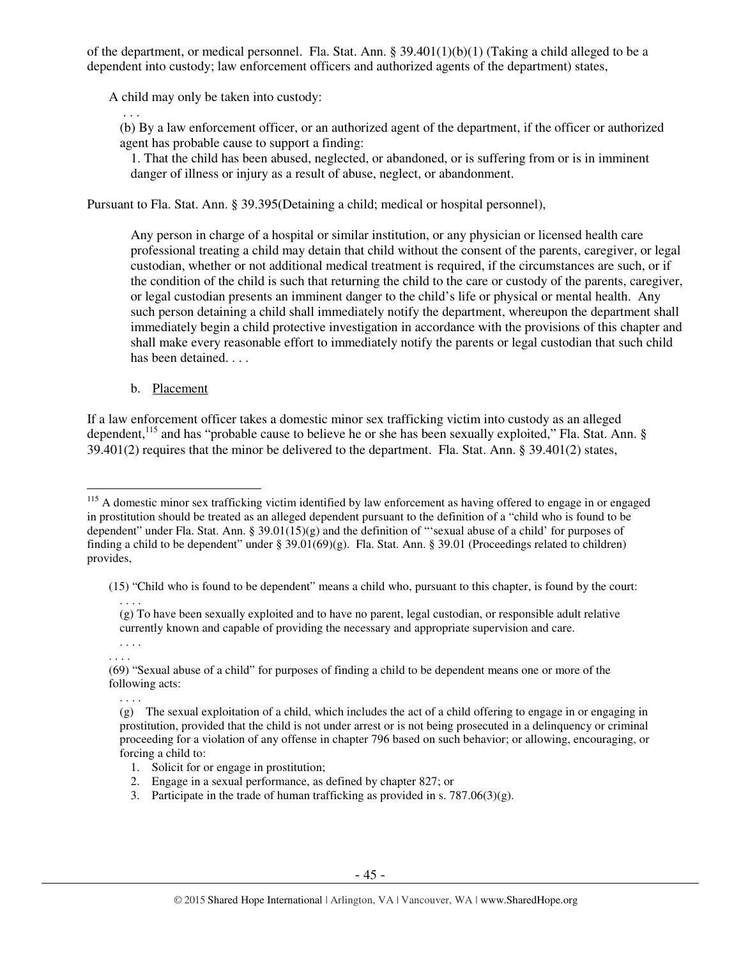of the department, or medical personnel. Fla. Stat. Ann. § 39.401(1)(b)(1) (Taking a child alleged to be a dependent into custody; law enforcement officers and authorized agents of the department) states,

A child may only be taken into custody:

. . .

(b) By a law enforcement officer, or an authorized agent of the department, if the officer or authorized agent has probable cause to support a finding:

1. That the child has been abused, neglected, or abandoned, or is suffering from or is in imminent danger of illness or injury as a result of abuse, neglect, or abandonment.

Pursuant to Fla. Stat. Ann. § 39.395(Detaining a child; medical or hospital personnel),

Any person in charge of a hospital or similar institution, or any physician or licensed health care professional treating a child may detain that child without the consent of the parents, caregiver, or legal custodian, whether or not additional medical treatment is required, if the circumstances are such, or if the condition of the child is such that returning the child to the care or custody of the parents, caregiver, or legal custodian presents an imminent danger to the child's life or physical or mental health. Any such person detaining a child shall immediately notify the department, whereupon the department shall immediately begin a child protective investigation in accordance with the provisions of this chapter and shall make every reasonable effort to immediately notify the parents or legal custodian that such child has been detained. . . .

b. Placement

If a law enforcement officer takes a domestic minor sex trafficking victim into custody as an alleged dependent,<sup>115</sup> and has "probable cause to believe he or she has been sexually exploited," Fla. Stat. Ann. § 39.401(2) requires that the minor be delivered to the department. Fla. Stat. Ann. § 39.401(2) states,

. . . . . . . .

- 1. Solicit for or engage in prostitution;
- 2. Engage in a sexual performance, as defined by chapter 827; or
- 3. Participate in the trade of human trafficking as provided in s.  $787.06(3)(g)$ .

 $\overline{a}$ <sup>115</sup> A domestic minor sex trafficking victim identified by law enforcement as having offered to engage in or engaged in prostitution should be treated as an alleged dependent pursuant to the definition of a "child who is found to be dependent" under Fla. Stat. Ann. § 39.01(15)(g) and the definition of "'sexual abuse of a child' for purposes of finding a child to be dependent" under § 39.01(69)(g). Fla. Stat. Ann. § 39.01 (Proceedings related to children) provides,

<sup>(15) &</sup>quot;Child who is found to be dependent" means a child who, pursuant to this chapter, is found by the court: . . . .

<sup>(</sup>g) To have been sexually exploited and to have no parent, legal custodian, or responsible adult relative currently known and capable of providing the necessary and appropriate supervision and care.

<sup>(69) &</sup>quot;Sexual abuse of a child" for purposes of finding a child to be dependent means one or more of the following acts:

<sup>. . . .</sup> 

<sup>(</sup>g) The sexual exploitation of a child, which includes the act of a child offering to engage in or engaging in prostitution, provided that the child is not under arrest or is not being prosecuted in a delinquency or criminal proceeding for a violation of any offense in chapter 796 based on such behavior; or allowing, encouraging, or forcing a child to: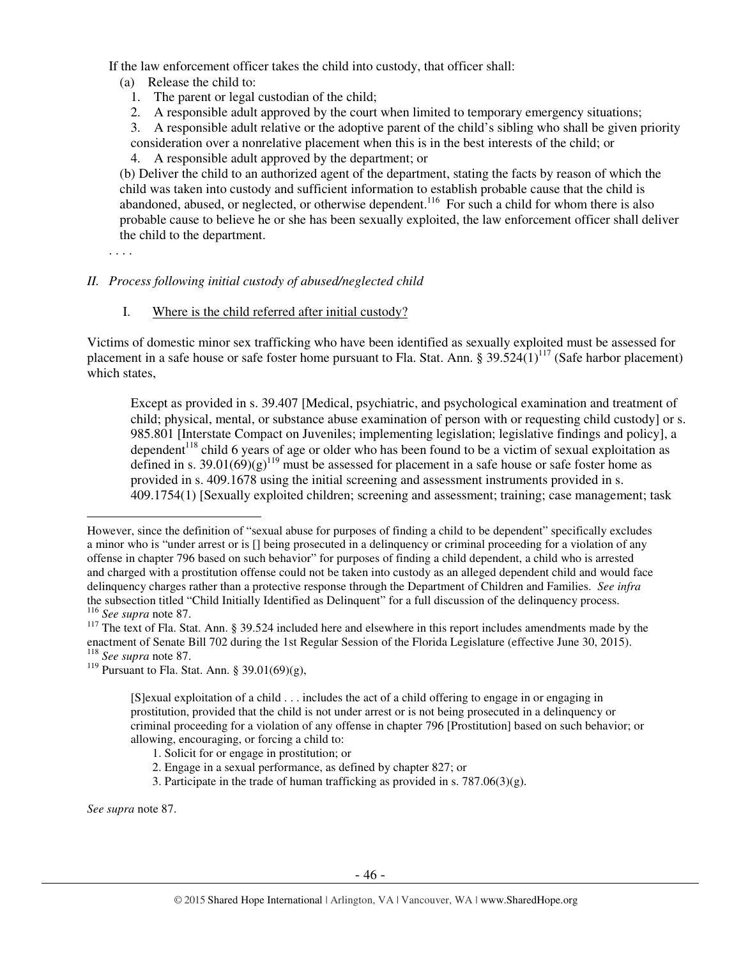If the law enforcement officer takes the child into custody, that officer shall:

- (a) Release the child to:
	- 1. The parent or legal custodian of the child;
	- 2. A responsible adult approved by the court when limited to temporary emergency situations;
	- 3. A responsible adult relative or the adoptive parent of the child's sibling who shall be given priority consideration over a nonrelative placement when this is in the best interests of the child; or

4. A responsible adult approved by the department; or

(b) Deliver the child to an authorized agent of the department, stating the facts by reason of which the child was taken into custody and sufficient information to establish probable cause that the child is abandoned, abused, or neglected, or otherwise dependent.<sup>116</sup> For such a child for whom there is also probable cause to believe he or she has been sexually exploited, the law enforcement officer shall deliver the child to the department.

. . . .

 $\overline{a}$ 

## *II. Process following initial custody of abused/neglected child*

## I. Where is the child referred after initial custody?

Victims of domestic minor sex trafficking who have been identified as sexually exploited must be assessed for placement in a safe house or safe foster home pursuant to Fla. Stat. Ann. § 39.524(1)<sup>117</sup> (Safe harbor placement) which states,

Except as provided in s. 39.407 [Medical, psychiatric, and psychological examination and treatment of child; physical, mental, or substance abuse examination of person with or requesting child custody] or s. 985.801 [Interstate Compact on Juveniles; implementing legislation; legislative findings and policy], a dependent<sup>118</sup> child 6 years of age or older who has been found to be a victim of sexual exploitation as defined in s. 39.01(69)(g)<sup>119</sup> must be assessed for placement in a safe house or safe foster home as provided in s. 409.1678 using the initial screening and assessment instruments provided in s. 409.1754(1) [Sexually exploited children; screening and assessment; training; case management; task

[S]exual exploitation of a child . . . includes the act of a child offering to engage in or engaging in prostitution, provided that the child is not under arrest or is not being prosecuted in a delinquency or criminal proceeding for a violation of any offense in chapter 796 [Prostitution] based on such behavior; or allowing, encouraging, or forcing a child to:

*See supra* note 87.

However, since the definition of "sexual abuse for purposes of finding a child to be dependent" specifically excludes a minor who is "under arrest or is [] being prosecuted in a delinquency or criminal proceeding for a violation of any offense in chapter 796 based on such behavior" for purposes of finding a child dependent, a child who is arrested and charged with a prostitution offense could not be taken into custody as an alleged dependent child and would face delinquency charges rather than a protective response through the Department of Children and Families. *See infra* the subsection titled "Child Initially Identified as Delinquent" for a full discussion of the delinquency process. <sup>116</sup> *See supra* note 87.

<sup>&</sup>lt;sup>117</sup> The text of Fla. Stat. Ann. § 39.524 included here and elsewhere in this report includes amendments made by the enactment of Senate Bill 702 during the 1st Regular Session of the Florida Legislature (effective June 30, 2015). <sup>118</sup> *See supra* note 87.

<sup>&</sup>lt;sup>119</sup> Pursuant to Fla. Stat. Ann. § 39.01(69)(g),

<sup>1.</sup> Solicit for or engage in prostitution; or

<sup>2.</sup> Engage in a sexual performance, as defined by chapter 827; or

<sup>3.</sup> Participate in the trade of human trafficking as provided in s. 787.06(3)(g).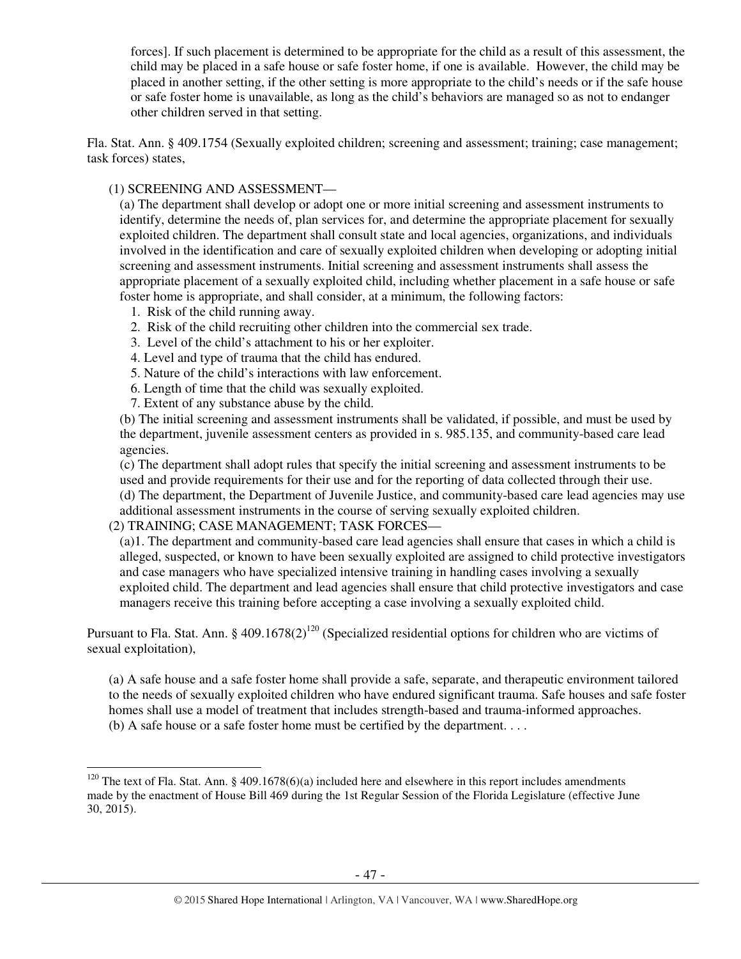forces]. If such placement is determined to be appropriate for the child as a result of this assessment, the child may be placed in a safe house or safe foster home, if one is available. However, the child may be placed in another setting, if the other setting is more appropriate to the child's needs or if the safe house or safe foster home is unavailable, as long as the child's behaviors are managed so as not to endanger other children served in that setting.

Fla. Stat. Ann. § 409.1754 (Sexually exploited children; screening and assessment; training; case management; task forces) states,

## (1) SCREENING AND ASSESSMENT—

(a) The department shall develop or adopt one or more initial screening and assessment instruments to identify, determine the needs of, plan services for, and determine the appropriate placement for sexually exploited children. The department shall consult state and local agencies, organizations, and individuals involved in the identification and care of sexually exploited children when developing or adopting initial screening and assessment instruments. Initial screening and assessment instruments shall assess the appropriate placement of a sexually exploited child, including whether placement in a safe house or safe foster home is appropriate, and shall consider, at a minimum, the following factors:

1. Risk of the child running away.

 $\overline{a}$ 

- 2. Risk of the child recruiting other children into the commercial sex trade.
- 3. Level of the child's attachment to his or her exploiter.
- 4. Level and type of trauma that the child has endured.
- 5. Nature of the child's interactions with law enforcement.
- 6. Length of time that the child was sexually exploited.
- 7. Extent of any substance abuse by the child.

(b) The initial screening and assessment instruments shall be validated, if possible, and must be used by the department, juvenile assessment centers as provided in s. 985.135, and community-based care lead agencies.

(c) The department shall adopt rules that specify the initial screening and assessment instruments to be used and provide requirements for their use and for the reporting of data collected through their use. (d) The department, the Department of Juvenile Justice, and community-based care lead agencies may use additional assessment instruments in the course of serving sexually exploited children.

(2) TRAINING; CASE MANAGEMENT; TASK FORCES—

(a)1. The department and community-based care lead agencies shall ensure that cases in which a child is alleged, suspected, or known to have been sexually exploited are assigned to child protective investigators and case managers who have specialized intensive training in handling cases involving a sexually exploited child. The department and lead agencies shall ensure that child protective investigators and case managers receive this training before accepting a case involving a sexually exploited child.

Pursuant to Fla. Stat. Ann. § 409.1678(2)<sup>120</sup> (Specialized residential options for children who are victims of sexual exploitation),

(a) A safe house and a safe foster home shall provide a safe, separate, and therapeutic environment tailored to the needs of sexually exploited children who have endured significant trauma. Safe houses and safe foster homes shall use a model of treatment that includes strength-based and trauma-informed approaches. (b) A safe house or a safe foster home must be certified by the department. . . .

 $120$  The text of Fla. Stat. Ann. § 409.1678(6)(a) included here and elsewhere in this report includes amendments made by the enactment of House Bill 469 during the 1st Regular Session of the Florida Legislature (effective June 30, 2015).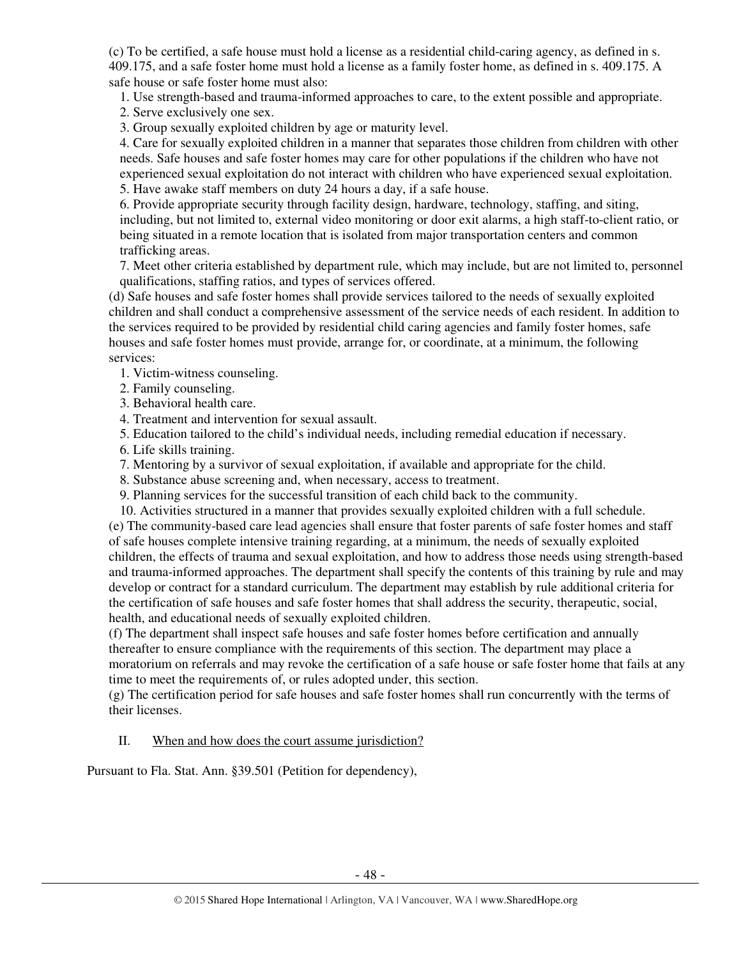(c) To be certified, a safe house must hold a license as a residential child-caring agency, as defined in s. 409.175, and a safe foster home must hold a license as a family foster home, as defined in s. 409.175. A safe house or safe foster home must also:

1. Use strength-based and trauma-informed approaches to care, to the extent possible and appropriate.

2. Serve exclusively one sex.

3. Group sexually exploited children by age or maturity level.

4. Care for sexually exploited children in a manner that separates those children from children with other needs. Safe houses and safe foster homes may care for other populations if the children who have not experienced sexual exploitation do not interact with children who have experienced sexual exploitation.

5. Have awake staff members on duty 24 hours a day, if a safe house.

6. Provide appropriate security through facility design, hardware, technology, staffing, and siting, including, but not limited to, external video monitoring or door exit alarms, a high staff-to-client ratio, or being situated in a remote location that is isolated from major transportation centers and common trafficking areas.

7. Meet other criteria established by department rule, which may include, but are not limited to, personnel qualifications, staffing ratios, and types of services offered.

(d) Safe houses and safe foster homes shall provide services tailored to the needs of sexually exploited children and shall conduct a comprehensive assessment of the service needs of each resident. In addition to the services required to be provided by residential child caring agencies and family foster homes, safe houses and safe foster homes must provide, arrange for, or coordinate, at a minimum, the following services:

1. Victim-witness counseling.

- 2. Family counseling.
- 3. Behavioral health care.
- 4. Treatment and intervention for sexual assault.
- 5. Education tailored to the child's individual needs, including remedial education if necessary.
- 6. Life skills training.
- 7. Mentoring by a survivor of sexual exploitation, if available and appropriate for the child.
- 8. Substance abuse screening and, when necessary, access to treatment.
- 9. Planning services for the successful transition of each child back to the community.

10. Activities structured in a manner that provides sexually exploited children with a full schedule.

(e) The community-based care lead agencies shall ensure that foster parents of safe foster homes and staff of safe houses complete intensive training regarding, at a minimum, the needs of sexually exploited children, the effects of trauma and sexual exploitation, and how to address those needs using strength-based and trauma-informed approaches. The department shall specify the contents of this training by rule and may develop or contract for a standard curriculum. The department may establish by rule additional criteria for the certification of safe houses and safe foster homes that shall address the security, therapeutic, social, health, and educational needs of sexually exploited children.

(f) The department shall inspect safe houses and safe foster homes before certification and annually thereafter to ensure compliance with the requirements of this section. The department may place a moratorium on referrals and may revoke the certification of a safe house or safe foster home that fails at any time to meet the requirements of, or rules adopted under, this section.

(g) The certification period for safe houses and safe foster homes shall run concurrently with the terms of their licenses.

## II. When and how does the court assume jurisdiction?

Pursuant to Fla. Stat. Ann. §39.501 (Petition for dependency),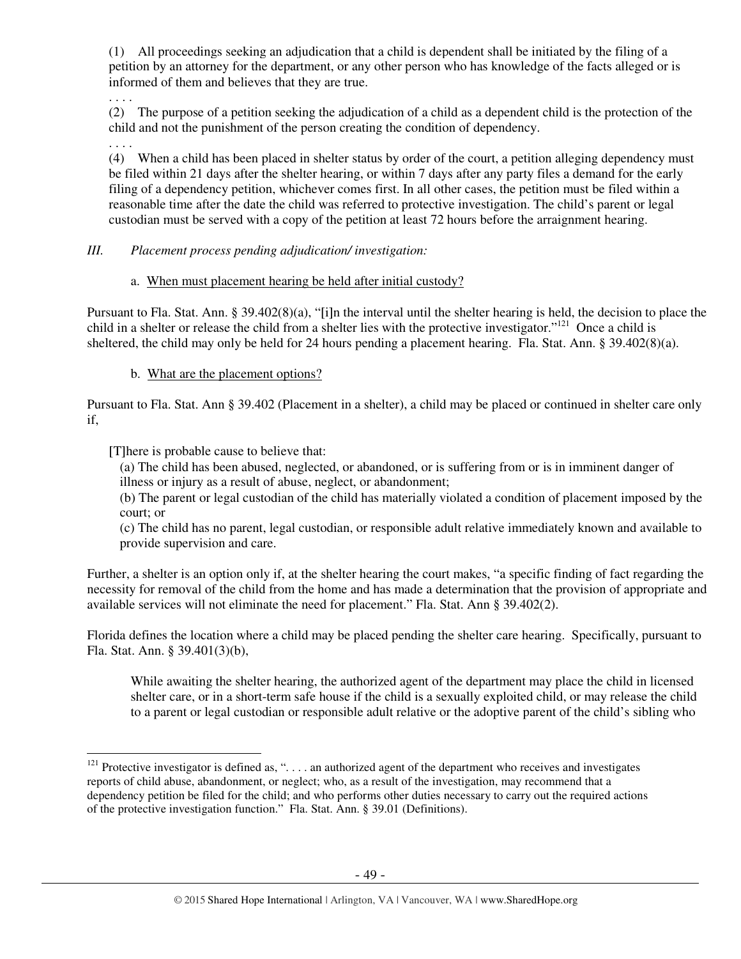(1) All proceedings seeking an adjudication that a child is dependent shall be initiated by the filing of a petition by an attorney for the department, or any other person who has knowledge of the facts alleged or is informed of them and believes that they are true.

. . . .

(2) The purpose of a petition seeking the adjudication of a child as a dependent child is the protection of the child and not the punishment of the person creating the condition of dependency.

. . . .

 $\overline{a}$ 

(4) When a child has been placed in shelter status by order of the court, a petition alleging dependency must be filed within 21 days after the shelter hearing, or within 7 days after any party files a demand for the early filing of a dependency petition, whichever comes first. In all other cases, the petition must be filed within a reasonable time after the date the child was referred to protective investigation. The child's parent or legal custodian must be served with a copy of the petition at least 72 hours before the arraignment hearing.

## *III. Placement process pending adjudication/ investigation:*

## a. When must placement hearing be held after initial custody?

Pursuant to Fla. Stat. Ann. § 39.402(8)(a), "[i]n the interval until the shelter hearing is held, the decision to place the child in a shelter or release the child from a shelter lies with the protective investigator."<sup>121</sup> Once a child is sheltered, the child may only be held for 24 hours pending a placement hearing. Fla. Stat. Ann. § 39.402(8)(a).

## b. What are the placement options?

Pursuant to Fla. Stat. Ann § 39.402 (Placement in a shelter), a child may be placed or continued in shelter care only if,

[T]here is probable cause to believe that:

(a) The child has been abused, neglected, or abandoned, or is suffering from or is in imminent danger of illness or injury as a result of abuse, neglect, or abandonment;

(b) The parent or legal custodian of the child has materially violated a condition of placement imposed by the court; or

(c) The child has no parent, legal custodian, or responsible adult relative immediately known and available to provide supervision and care.

Further, a shelter is an option only if, at the shelter hearing the court makes, "a specific finding of fact regarding the necessity for removal of the child from the home and has made a determination that the provision of appropriate and available services will not eliminate the need for placement." Fla. Stat. Ann § 39.402(2).

Florida defines the location where a child may be placed pending the shelter care hearing. Specifically, pursuant to Fla. Stat. Ann. § 39.401(3)(b),

While awaiting the shelter hearing, the authorized agent of the department may place the child in licensed shelter care, or in a short-term safe house if the child is a sexually exploited child, or may release the child to a parent or legal custodian or responsible adult relative or the adoptive parent of the child's sibling who

 $121$  Protective investigator is defined as, "... an authorized agent of the department who receives and investigates reports of child abuse, abandonment, or neglect; who, as a result of the investigation, may recommend that a dependency petition be filed for the child; and who performs other duties necessary to carry out the required actions of the protective investigation function." Fla. Stat. Ann. § 39.01 (Definitions).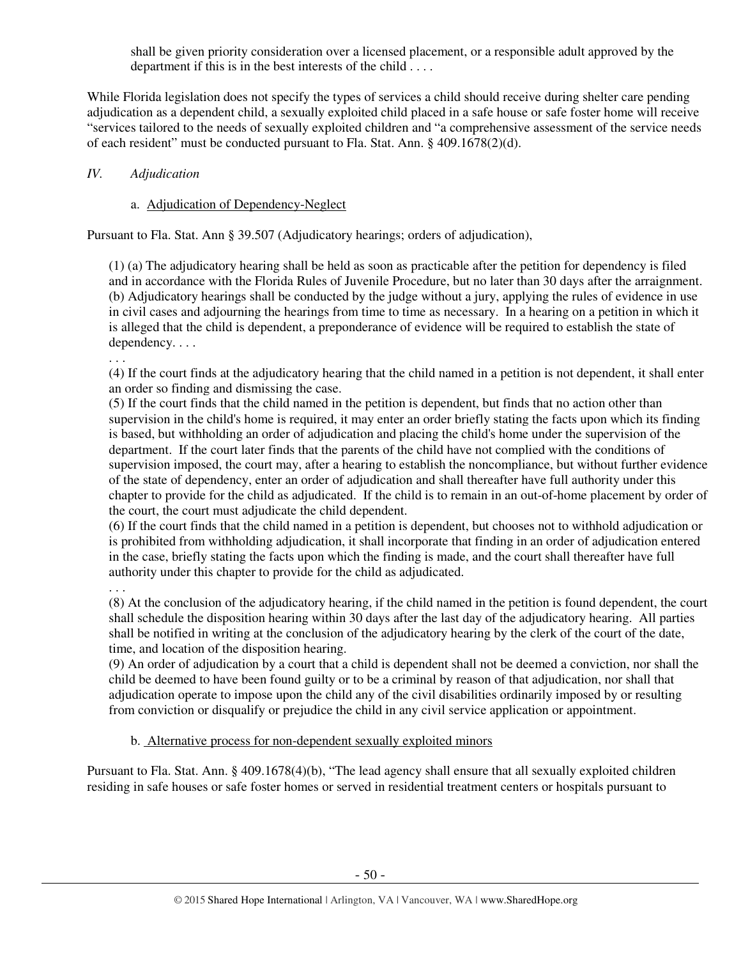shall be given priority consideration over a licensed placement, or a responsible adult approved by the department if this is in the best interests of the child . . . .

While Florida legislation does not specify the types of services a child should receive during shelter care pending adjudication as a dependent child, a sexually exploited child placed in a safe house or safe foster home will receive "services tailored to the needs of sexually exploited children and "a comprehensive assessment of the service needs of each resident" must be conducted pursuant to Fla. Stat. Ann. § 409.1678(2)(d).

# *IV. Adjudication*

# a. Adjudication of Dependency-Neglect

Pursuant to Fla. Stat. Ann § 39.507 (Adjudicatory hearings; orders of adjudication),

(1) (a) The adjudicatory hearing shall be held as soon as practicable after the petition for dependency is filed and in accordance with the Florida Rules of Juvenile Procedure, but no later than 30 days after the arraignment. (b) Adjudicatory hearings shall be conducted by the judge without a jury, applying the rules of evidence in use in civil cases and adjourning the hearings from time to time as necessary. In a hearing on a petition in which it is alleged that the child is dependent, a preponderance of evidence will be required to establish the state of dependency. . . .

. . .

(4) If the court finds at the adjudicatory hearing that the child named in a petition is not dependent, it shall enter an order so finding and dismissing the case.

(5) If the court finds that the child named in the petition is dependent, but finds that no action other than supervision in the child's home is required, it may enter an order briefly stating the facts upon which its finding is based, but withholding an order of adjudication and placing the child's home under the supervision of the department. If the court later finds that the parents of the child have not complied with the conditions of supervision imposed, the court may, after a hearing to establish the noncompliance, but without further evidence of the state of dependency, enter an order of adjudication and shall thereafter have full authority under this chapter to provide for the child as adjudicated. If the child is to remain in an out-of-home placement by order of the court, the court must adjudicate the child dependent.

(6) If the court finds that the child named in a petition is dependent, but chooses not to withhold adjudication or is prohibited from withholding adjudication, it shall incorporate that finding in an order of adjudication entered in the case, briefly stating the facts upon which the finding is made, and the court shall thereafter have full authority under this chapter to provide for the child as adjudicated.

. . .

(8) At the conclusion of the adjudicatory hearing, if the child named in the petition is found dependent, the court shall schedule the disposition hearing within 30 days after the last day of the adjudicatory hearing. All parties shall be notified in writing at the conclusion of the adjudicatory hearing by the clerk of the court of the date, time, and location of the disposition hearing.

(9) An order of adjudication by a court that a child is dependent shall not be deemed a conviction, nor shall the child be deemed to have been found guilty or to be a criminal by reason of that adjudication, nor shall that adjudication operate to impose upon the child any of the civil disabilities ordinarily imposed by or resulting from conviction or disqualify or prejudice the child in any civil service application or appointment.

# b. Alternative process for non-dependent sexually exploited minors

Pursuant to Fla. Stat. Ann. § 409.1678(4)(b), "The lead agency shall ensure that all sexually exploited children residing in safe houses or safe foster homes or served in residential treatment centers or hospitals pursuant to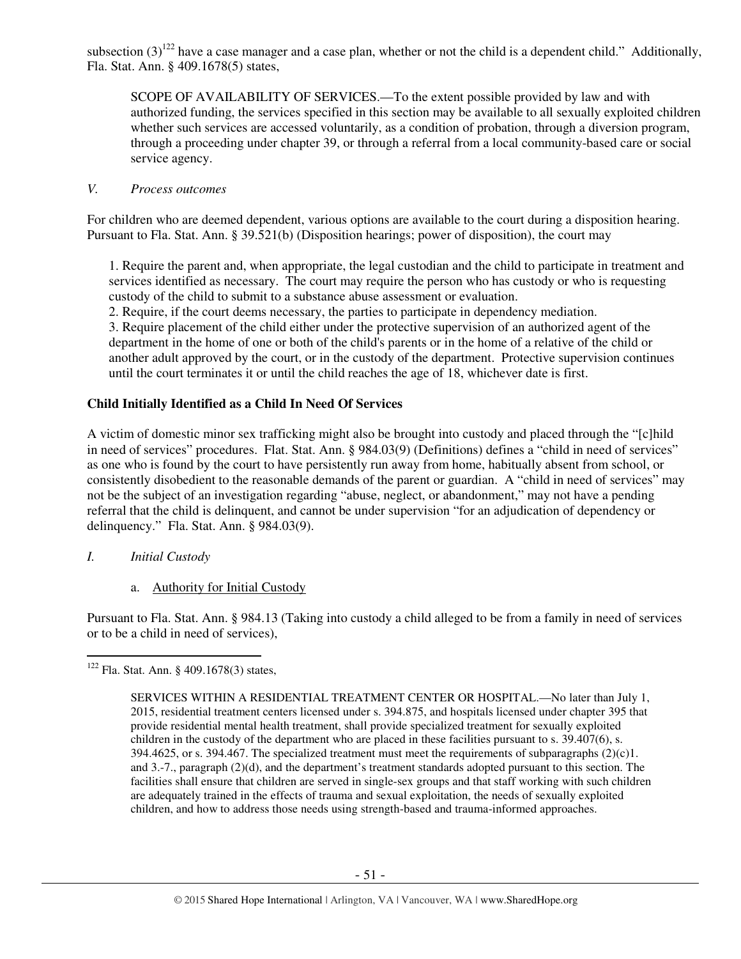subsection  $(3)^{122}$  have a case manager and a case plan, whether or not the child is a dependent child." Additionally, Fla. Stat. Ann. § 409.1678(5) states,

SCOPE OF AVAILABILITY OF SERVICES.—To the extent possible provided by law and with authorized funding, the services specified in this section may be available to all sexually exploited children whether such services are accessed voluntarily, as a condition of probation, through a diversion program, through a proceeding under chapter 39, or through a referral from a local community-based care or social service agency.

#### *V. Process outcomes*

For children who are deemed dependent, various options are available to the court during a disposition hearing. Pursuant to Fla. Stat. Ann. § 39.521(b) (Disposition hearings; power of disposition), the court may

1. Require the parent and, when appropriate, the legal custodian and the child to participate in treatment and services identified as necessary. The court may require the person who has custody or who is requesting custody of the child to submit to a substance abuse assessment or evaluation.

2. Require, if the court deems necessary, the parties to participate in dependency mediation.

3. Require placement of the child either under the protective supervision of an authorized agent of the department in the home of one or both of the child's parents or in the home of a relative of the child or another adult approved by the court, or in the custody of the department. Protective supervision continues until the court terminates it or until the child reaches the age of 18, whichever date is first.

# **Child Initially Identified as a Child In Need Of Services**

A victim of domestic minor sex trafficking might also be brought into custody and placed through the "[c]hild in need of services" procedures. Flat. Stat. Ann. § 984.03(9) (Definitions) defines a "child in need of services" as one who is found by the court to have persistently run away from home, habitually absent from school, or consistently disobedient to the reasonable demands of the parent or guardian. A "child in need of services" may not be the subject of an investigation regarding "abuse, neglect, or abandonment," may not have a pending referral that the child is delinquent, and cannot be under supervision "for an adjudication of dependency or delinquency." Fla. Stat. Ann. § 984.03(9).

- *I. Initial Custody* 
	- a. Authority for Initial Custody

Pursuant to Fla. Stat. Ann. § 984.13 (Taking into custody a child alleged to be from a family in need of services or to be a child in need of services),

 $\overline{a}$ <sup>122</sup> Fla. Stat. Ann. § 409.1678(3) states,

SERVICES WITHIN A RESIDENTIAL TREATMENT CENTER OR HOSPITAL.—No later than July 1, 2015, residential treatment centers licensed under s. 394.875, and hospitals licensed under chapter 395 that provide residential mental health treatment, shall provide specialized treatment for sexually exploited children in the custody of the department who are placed in these facilities pursuant to s. 39.407(6), s. 394.4625, or s. 394.467. The specialized treatment must meet the requirements of subparagraphs  $(2)(c)1$ . and 3.-7., paragraph (2)(d), and the department's treatment standards adopted pursuant to this section. The facilities shall ensure that children are served in single-sex groups and that staff working with such children are adequately trained in the effects of trauma and sexual exploitation, the needs of sexually exploited children, and how to address those needs using strength-based and trauma-informed approaches.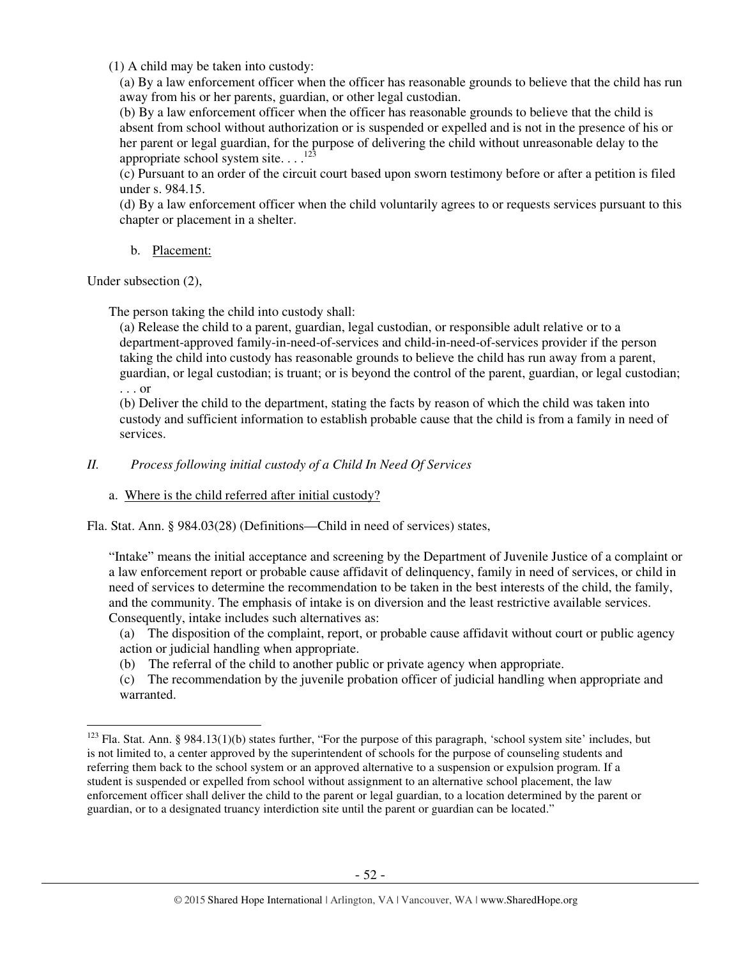(1) A child may be taken into custody:

(a) By a law enforcement officer when the officer has reasonable grounds to believe that the child has run away from his or her parents, guardian, or other legal custodian.

(b) By a law enforcement officer when the officer has reasonable grounds to believe that the child is absent from school without authorization or is suspended or expelled and is not in the presence of his or her parent or legal guardian, for the purpose of delivering the child without unreasonable delay to the appropriate school system site.  $\ldots$ <sup>123</sup>

(c) Pursuant to an order of the circuit court based upon sworn testimony before or after a petition is filed under s. 984.15.

(d) By a law enforcement officer when the child voluntarily agrees to or requests services pursuant to this chapter or placement in a shelter.

## b. Placement:

Under subsection (2),

 $\overline{a}$ 

The person taking the child into custody shall:

(a) Release the child to a parent, guardian, legal custodian, or responsible adult relative or to a department-approved family-in-need-of-services and child-in-need-of-services provider if the person taking the child into custody has reasonable grounds to believe the child has run away from a parent, guardian, or legal custodian; is truant; or is beyond the control of the parent, guardian, or legal custodian; . . . or

(b) Deliver the child to the department, stating the facts by reason of which the child was taken into custody and sufficient information to establish probable cause that the child is from a family in need of services.

## *II. Process following initial custody of a Child In Need Of Services*

#### a. Where is the child referred after initial custody?

Fla. Stat. Ann. § 984.03(28) (Definitions—Child in need of services) states,

"Intake" means the initial acceptance and screening by the Department of Juvenile Justice of a complaint or a law enforcement report or probable cause affidavit of delinquency, family in need of services, or child in need of services to determine the recommendation to be taken in the best interests of the child, the family, and the community. The emphasis of intake is on diversion and the least restrictive available services. Consequently, intake includes such alternatives as:

(a) The disposition of the complaint, report, or probable cause affidavit without court or public agency action or judicial handling when appropriate.

(b) The referral of the child to another public or private agency when appropriate.

(c) The recommendation by the juvenile probation officer of judicial handling when appropriate and warranted.

 $123$  Fla. Stat. Ann. § 984.13(1)(b) states further, "For the purpose of this paragraph, 'school system site' includes, but is not limited to, a center approved by the superintendent of schools for the purpose of counseling students and referring them back to the school system or an approved alternative to a suspension or expulsion program. If a student is suspended or expelled from school without assignment to an alternative school placement, the law enforcement officer shall deliver the child to the parent or legal guardian, to a location determined by the parent or guardian, or to a designated truancy interdiction site until the parent or guardian can be located."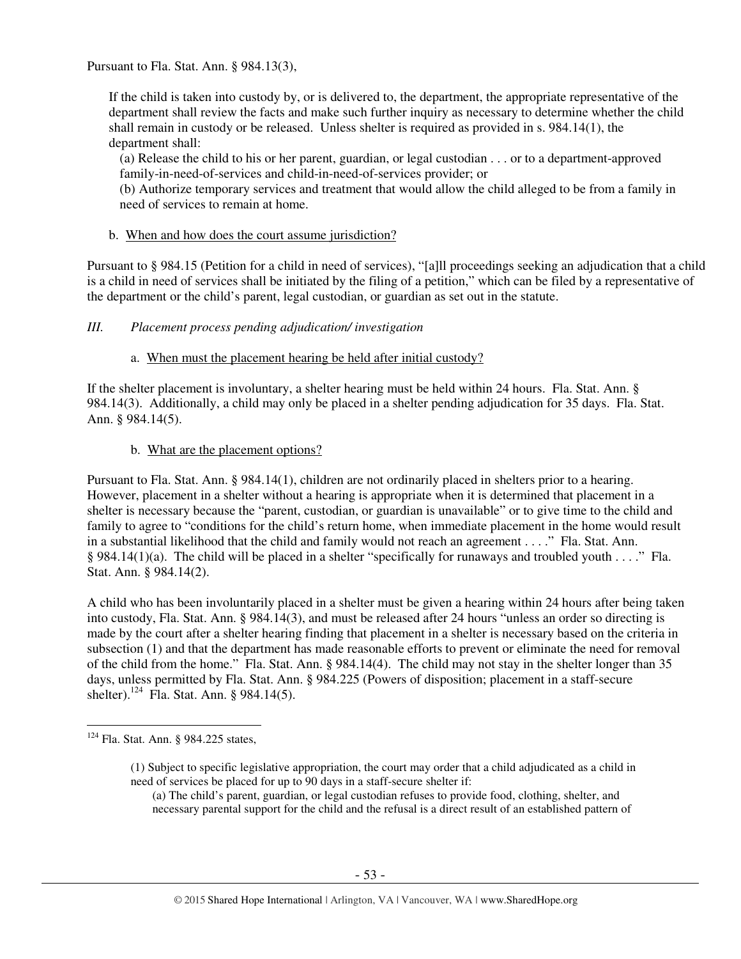Pursuant to Fla. Stat. Ann. § 984.13(3),

If the child is taken into custody by, or is delivered to, the department, the appropriate representative of the department shall review the facts and make such further inquiry as necessary to determine whether the child shall remain in custody or be released. Unless shelter is required as provided in s. 984.14(1), the department shall:

(a) Release the child to his or her parent, guardian, or legal custodian . . . or to a department-approved family-in-need-of-services and child-in-need-of-services provider; or

(b) Authorize temporary services and treatment that would allow the child alleged to be from a family in need of services to remain at home.

#### b. When and how does the court assume jurisdiction?

Pursuant to § 984.15 (Petition for a child in need of services), "[a]ll proceedings seeking an adjudication that a child is a child in need of services shall be initiated by the filing of a petition," which can be filed by a representative of the department or the child's parent, legal custodian, or guardian as set out in the statute.

## *III. Placement process pending adjudication/ investigation*

## a. When must the placement hearing be held after initial custody?

If the shelter placement is involuntary, a shelter hearing must be held within 24 hours. Fla. Stat. Ann. § 984.14(3). Additionally, a child may only be placed in a shelter pending adjudication for 35 days. Fla. Stat. Ann. § 984.14(5).

## b. What are the placement options?

Pursuant to Fla. Stat. Ann. § 984.14(1), children are not ordinarily placed in shelters prior to a hearing. However, placement in a shelter without a hearing is appropriate when it is determined that placement in a shelter is necessary because the "parent, custodian, or guardian is unavailable" or to give time to the child and family to agree to "conditions for the child's return home, when immediate placement in the home would result in a substantial likelihood that the child and family would not reach an agreement . . . ." Fla. Stat. Ann. § 984.14(1)(a). The child will be placed in a shelter "specifically for runaways and troubled youth . . . ." Fla. Stat. Ann. § 984.14(2).

A child who has been involuntarily placed in a shelter must be given a hearing within 24 hours after being taken into custody, Fla. Stat. Ann. § 984.14(3), and must be released after 24 hours "unless an order so directing is made by the court after a shelter hearing finding that placement in a shelter is necessary based on the criteria in subsection (1) and that the department has made reasonable efforts to prevent or eliminate the need for removal of the child from the home." Fla. Stat. Ann. § 984.14(4). The child may not stay in the shelter longer than 35 days, unless permitted by Fla. Stat. Ann. § 984.225 (Powers of disposition; placement in a staff-secure shelter).<sup>124</sup> Fla. Stat. Ann. § 984.14(5).

<sup>&</sup>lt;sup>124</sup> Fla. Stat. Ann. § 984.225 states,

<sup>(1)</sup> Subject to specific legislative appropriation, the court may order that a child adjudicated as a child in need of services be placed for up to 90 days in a staff-secure shelter if:

<sup>(</sup>a) The child's parent, guardian, or legal custodian refuses to provide food, clothing, shelter, and necessary parental support for the child and the refusal is a direct result of an established pattern of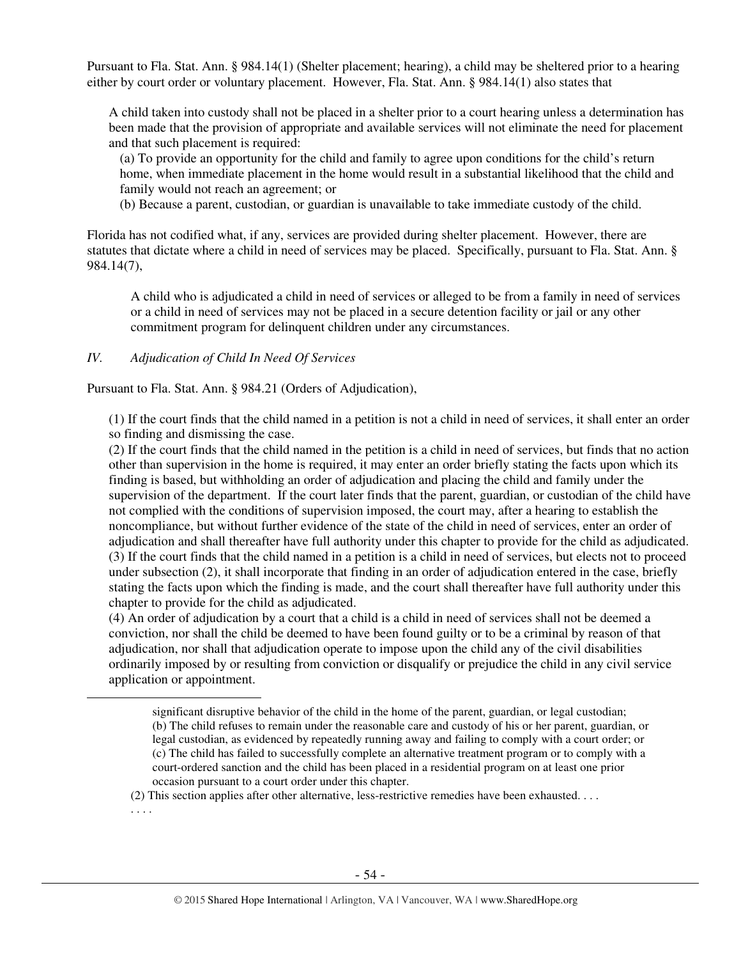Pursuant to Fla. Stat. Ann. § 984.14(1) (Shelter placement; hearing), a child may be sheltered prior to a hearing either by court order or voluntary placement. However, Fla. Stat. Ann. § 984.14(1) also states that

A child taken into custody shall not be placed in a shelter prior to a court hearing unless a determination has been made that the provision of appropriate and available services will not eliminate the need for placement and that such placement is required:

(a) To provide an opportunity for the child and family to agree upon conditions for the child's return home, when immediate placement in the home would result in a substantial likelihood that the child and family would not reach an agreement; or

(b) Because a parent, custodian, or guardian is unavailable to take immediate custody of the child.

Florida has not codified what, if any, services are provided during shelter placement. However, there are statutes that dictate where a child in need of services may be placed. Specifically, pursuant to Fla. Stat. Ann. § 984.14(7),

A child who is adjudicated a child in need of services or alleged to be from a family in need of services or a child in need of services may not be placed in a secure detention facility or jail or any other commitment program for delinquent children under any circumstances.

#### *IV. Adjudication of Child In Need Of Services*

Pursuant to Fla. Stat. Ann. § 984.21 (Orders of Adjudication),

(1) If the court finds that the child named in a petition is not a child in need of services, it shall enter an order so finding and dismissing the case.

(2) If the court finds that the child named in the petition is a child in need of services, but finds that no action other than supervision in the home is required, it may enter an order briefly stating the facts upon which its finding is based, but withholding an order of adjudication and placing the child and family under the supervision of the department. If the court later finds that the parent, guardian, or custodian of the child have not complied with the conditions of supervision imposed, the court may, after a hearing to establish the noncompliance, but without further evidence of the state of the child in need of services, enter an order of adjudication and shall thereafter have full authority under this chapter to provide for the child as adjudicated. (3) If the court finds that the child named in a petition is a child in need of services, but elects not to proceed under subsection (2), it shall incorporate that finding in an order of adjudication entered in the case, briefly stating the facts upon which the finding is made, and the court shall thereafter have full authority under this chapter to provide for the child as adjudicated.

(4) An order of adjudication by a court that a child is a child in need of services shall not be deemed a conviction, nor shall the child be deemed to have been found guilty or to be a criminal by reason of that adjudication, nor shall that adjudication operate to impose upon the child any of the civil disabilities ordinarily imposed by or resulting from conviction or disqualify or prejudice the child in any civil service application or appointment.

. . . .

significant disruptive behavior of the child in the home of the parent, guardian, or legal custodian; (b) The child refuses to remain under the reasonable care and custody of his or her parent, guardian, or legal custodian, as evidenced by repeatedly running away and failing to comply with a court order; or (c) The child has failed to successfully complete an alternative treatment program or to comply with a court-ordered sanction and the child has been placed in a residential program on at least one prior occasion pursuant to a court order under this chapter.

<sup>(2)</sup> This section applies after other alternative, less-restrictive remedies have been exhausted. . . .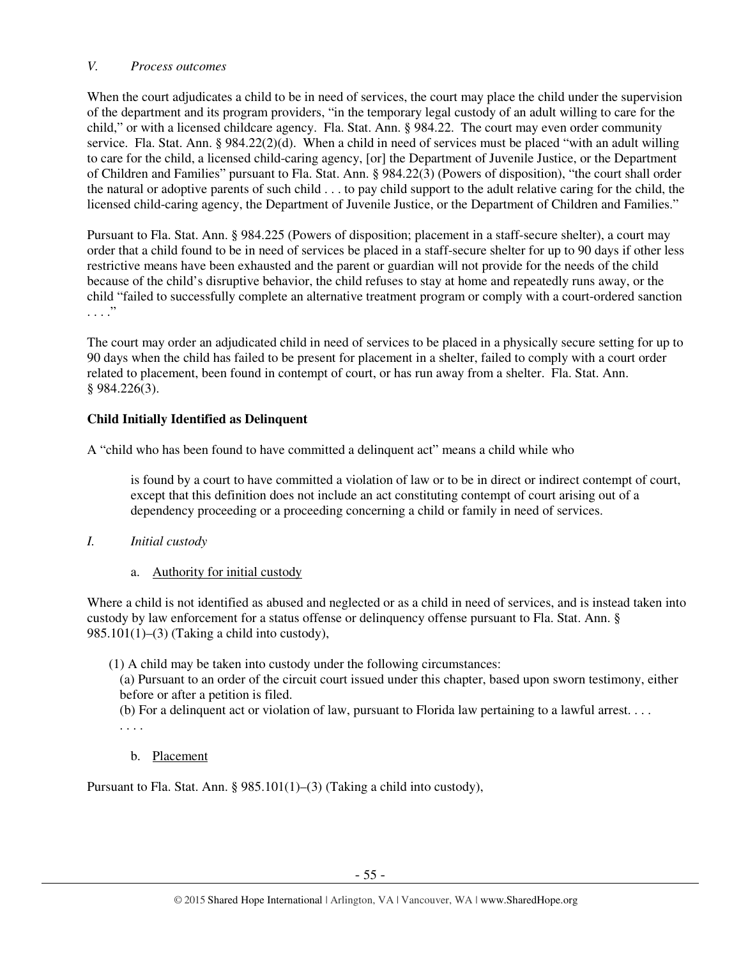## *V. Process outcomes*

When the court adjudicates a child to be in need of services, the court may place the child under the supervision of the department and its program providers, "in the temporary legal custody of an adult willing to care for the child," or with a licensed childcare agency. Fla. Stat. Ann. § 984.22. The court may even order community service. Fla. Stat. Ann. § 984.22(2)(d). When a child in need of services must be placed "with an adult willing to care for the child, a licensed child-caring agency, [or] the Department of Juvenile Justice, or the Department of Children and Families" pursuant to Fla. Stat. Ann. § 984.22(3) (Powers of disposition), "the court shall order the natural or adoptive parents of such child . . . to pay child support to the adult relative caring for the child, the licensed child-caring agency, the Department of Juvenile Justice, or the Department of Children and Families."

Pursuant to Fla. Stat. Ann. § 984.225 (Powers of disposition; placement in a staff-secure shelter), a court may order that a child found to be in need of services be placed in a staff-secure shelter for up to 90 days if other less restrictive means have been exhausted and the parent or guardian will not provide for the needs of the child because of the child's disruptive behavior, the child refuses to stay at home and repeatedly runs away, or the child "failed to successfully complete an alternative treatment program or comply with a court-ordered sanction  $\cdot$  . . .  $\cdot$ 

The court may order an adjudicated child in need of services to be placed in a physically secure setting for up to 90 days when the child has failed to be present for placement in a shelter, failed to comply with a court order related to placement, been found in contempt of court, or has run away from a shelter. Fla. Stat. Ann. § 984.226(3).

## **Child Initially Identified as Delinquent**

A "child who has been found to have committed a delinquent act" means a child while who

is found by a court to have committed a violation of law or to be in direct or indirect contempt of court, except that this definition does not include an act constituting contempt of court arising out of a dependency proceeding or a proceeding concerning a child or family in need of services.

- *I. Initial custody* 
	- a. Authority for initial custody

Where a child is not identified as abused and neglected or as a child in need of services, and is instead taken into custody by law enforcement for a status offense or delinquency offense pursuant to Fla. Stat. Ann. § 985.101(1)–(3) (Taking a child into custody),

- (1) A child may be taken into custody under the following circumstances:
	- (a) Pursuant to an order of the circuit court issued under this chapter, based upon sworn testimony, either before or after a petition is filed.
	- (b) For a delinquent act or violation of law, pursuant to Florida law pertaining to a lawful arrest. . . .
	- . . . .
		- b. Placement

Pursuant to Fla. Stat. Ann. § 985.101(1)–(3) (Taking a child into custody),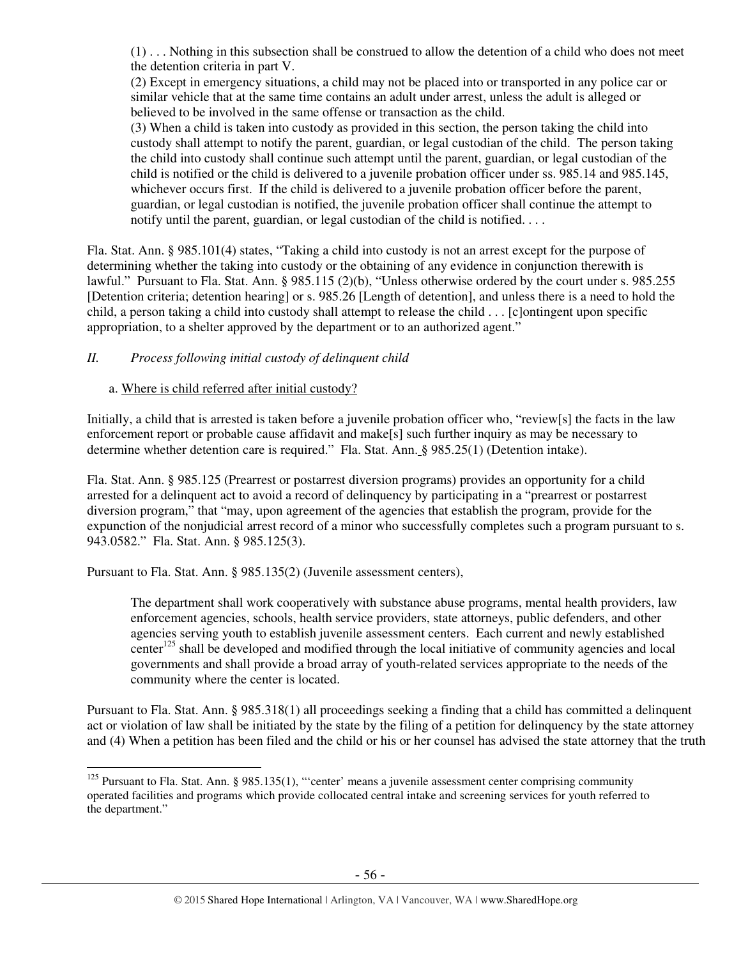(1) . . . Nothing in this subsection shall be construed to allow the detention of a child who does not meet the detention criteria in part V.

(2) Except in emergency situations, a child may not be placed into or transported in any police car or similar vehicle that at the same time contains an adult under arrest, unless the adult is alleged or believed to be involved in the same offense or transaction as the child.

(3) When a child is taken into custody as provided in this section, the person taking the child into custody shall attempt to notify the parent, guardian, or legal custodian of the child. The person taking the child into custody shall continue such attempt until the parent, guardian, or legal custodian of the child is notified or the child is delivered to a juvenile probation officer under ss. 985.14 and 985.145, whichever occurs first. If the child is delivered to a juvenile probation officer before the parent, guardian, or legal custodian is notified, the juvenile probation officer shall continue the attempt to notify until the parent, guardian, or legal custodian of the child is notified. . . .

Fla. Stat. Ann. § 985.101(4) states, "Taking a child into custody is not an arrest except for the purpose of determining whether the taking into custody or the obtaining of any evidence in conjunction therewith is lawful." Pursuant to Fla. Stat. Ann. § 985.115 (2)(b), "Unless otherwise ordered by the court under s. 985.255 [Detention criteria; detention hearing] or s. 985.26 [Length of detention], and unless there is a need to hold the child, a person taking a child into custody shall attempt to release the child . . . [c]ontingent upon specific appropriation, to a shelter approved by the department or to an authorized agent."

## *II. Process following initial custody of delinquent child*

# a. Where is child referred after initial custody?

 $\overline{a}$ 

Initially, a child that is arrested is taken before a juvenile probation officer who, "review[s] the facts in the law enforcement report or probable cause affidavit and make[s] such further inquiry as may be necessary to determine whether detention care is required." Fla. Stat. Ann. § 985.25(1) (Detention intake).

Fla. Stat. Ann. § 985.125 (Prearrest or postarrest diversion programs) provides an opportunity for a child arrested for a delinquent act to avoid a record of delinquency by participating in a "prearrest or postarrest diversion program," that "may, upon agreement of the agencies that establish the program, provide for the expunction of the nonjudicial arrest record of a minor who successfully completes such a program pursuant to s. 943.0582." Fla. Stat. Ann. § 985.125(3).

Pursuant to Fla. Stat. Ann. § 985.135(2) (Juvenile assessment centers),

The department shall work cooperatively with substance abuse programs, mental health providers, law enforcement agencies, schools, health service providers, state attorneys, public defenders, and other agencies serving youth to establish juvenile assessment centers. Each current and newly established center<sup>125</sup> shall be developed and modified through the local initiative of community agencies and local governments and shall provide a broad array of youth-related services appropriate to the needs of the community where the center is located.

Pursuant to Fla. Stat. Ann. § 985.318(1) all proceedings seeking a finding that a child has committed a delinquent act or violation of law shall be initiated by the state by the filing of a petition for delinquency by the state attorney and (4) When a petition has been filed and the child or his or her counsel has advised the state attorney that the truth

 $125$  Pursuant to Fla. Stat. Ann. § 985.135(1), "'center' means a juvenile assessment center comprising community operated facilities and programs which provide collocated central intake and screening services for youth referred to the department."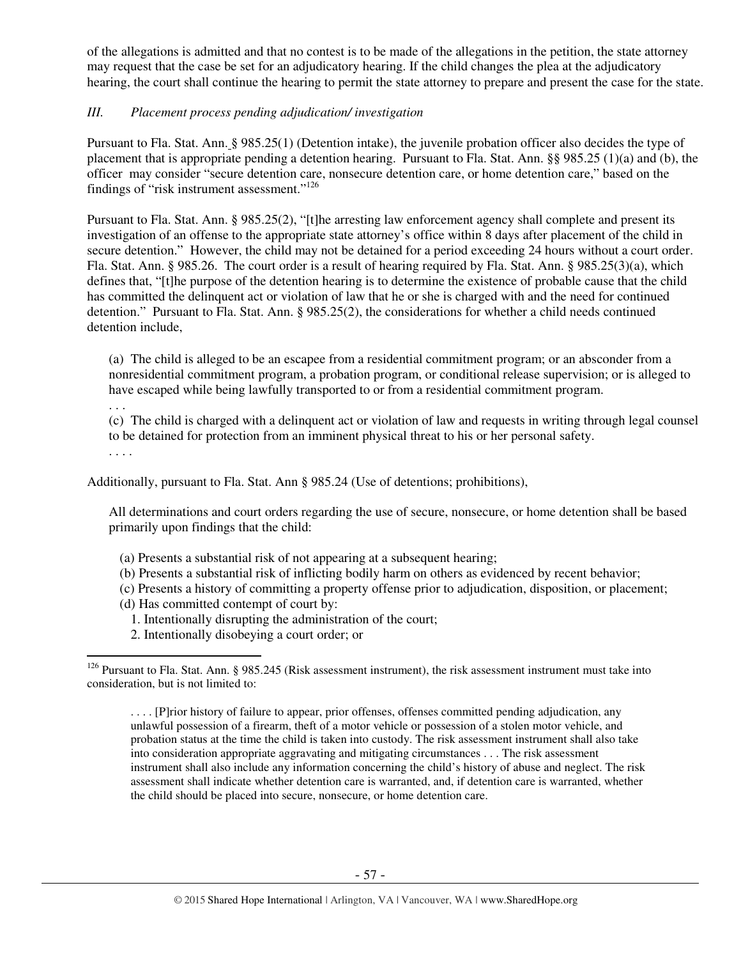of the allegations is admitted and that no contest is to be made of the allegations in the petition, the state attorney may request that the case be set for an adjudicatory hearing. If the child changes the plea at the adjudicatory hearing, the court shall continue the hearing to permit the state attorney to prepare and present the case for the state.

## *III. Placement process pending adjudication/ investigation*

Pursuant to Fla. Stat. Ann. § 985.25(1) (Detention intake), the juvenile probation officer also decides the type of placement that is appropriate pending a detention hearing. Pursuant to Fla. Stat. Ann. §§ 985.25 (1)(a) and (b), the officer may consider "secure detention care, nonsecure detention care, or home detention care," based on the findings of "risk instrument assessment."<sup>126</sup>

Pursuant to Fla. Stat. Ann. § 985.25(2), "[t]he arresting law enforcement agency shall complete and present its investigation of an offense to the appropriate state attorney's office within 8 days after placement of the child in secure detention." However, the child may not be detained for a period exceeding 24 hours without a court order. Fla. Stat. Ann. § 985.26. The court order is a result of hearing required by Fla. Stat. Ann. § 985.25(3)(a), which defines that, "[t]he purpose of the detention hearing is to determine the existence of probable cause that the child has committed the delinquent act or violation of law that he or she is charged with and the need for continued detention." Pursuant to Fla. Stat. Ann. § 985.25(2), the considerations for whether a child needs continued detention include,

(a) The child is alleged to be an escapee from a residential commitment program; or an absconder from a nonresidential commitment program, a probation program, or conditional release supervision; or is alleged to have escaped while being lawfully transported to or from a residential commitment program.

. . .

(c) The child is charged with a delinquent act or violation of law and requests in writing through legal counsel to be detained for protection from an imminent physical threat to his or her personal safety.

. . . .

Additionally, pursuant to Fla. Stat. Ann § 985.24 (Use of detentions; prohibitions),

All determinations and court orders regarding the use of secure, nonsecure, or home detention shall be based primarily upon findings that the child:

- (a) Presents a substantial risk of not appearing at a subsequent hearing;
- (b) Presents a substantial risk of inflicting bodily harm on others as evidenced by recent behavior;
- (c) Presents a history of committing a property offense prior to adjudication, disposition, or placement;
- (d) Has committed contempt of court by:
	- 1. Intentionally disrupting the administration of the court;
	- 2. Intentionally disobeying a court order; or

 $\overline{a}$  $126$  Pursuant to Fla. Stat. Ann. § 985.245 (Risk assessment instrument), the risk assessment instrument must take into consideration, but is not limited to:

<sup>. . . . [</sup>P]rior history of failure to appear, prior offenses, offenses committed pending adjudication, any unlawful possession of a firearm, theft of a motor vehicle or possession of a stolen motor vehicle, and probation status at the time the child is taken into custody. The risk assessment instrument shall also take into consideration appropriate aggravating and mitigating circumstances . . . The risk assessment instrument shall also include any information concerning the child's history of abuse and neglect. The risk assessment shall indicate whether detention care is warranted, and, if detention care is warranted, whether the child should be placed into secure, nonsecure, or home detention care.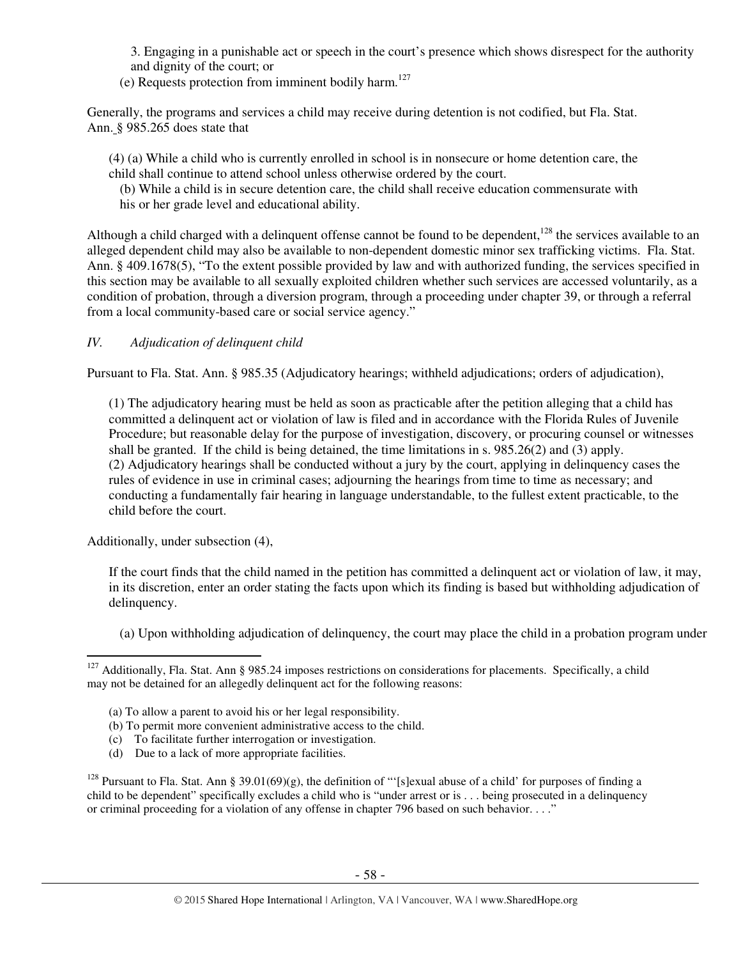3. Engaging in a punishable act or speech in the court's presence which shows disrespect for the authority and dignity of the court; or

(e) Requests protection from imminent bodily harm.<sup>127</sup>

Generally, the programs and services a child may receive during detention is not codified, but Fla. Stat. Ann. § 985.265 does state that

- (4) (a) While a child who is currently enrolled in school is in nonsecure or home detention care, the child shall continue to attend school unless otherwise ordered by the court.
	- (b) While a child is in secure detention care, the child shall receive education commensurate with his or her grade level and educational ability.

Although a child charged with a delinquent offense cannot be found to be dependent,<sup>128</sup> the services available to an alleged dependent child may also be available to non-dependent domestic minor sex trafficking victims. Fla. Stat. Ann. § 409.1678(5), "To the extent possible provided by law and with authorized funding, the services specified in this section may be available to all sexually exploited children whether such services are accessed voluntarily, as a condition of probation, through a diversion program, through a proceeding under chapter 39, or through a referral from a local community-based care or social service agency."

## *IV. Adjudication of delinquent child*

Pursuant to Fla. Stat. Ann. § 985.35 (Adjudicatory hearings; withheld adjudications; orders of adjudication),

(1) The adjudicatory hearing must be held as soon as practicable after the petition alleging that a child has committed a delinquent act or violation of law is filed and in accordance with the Florida Rules of Juvenile Procedure; but reasonable delay for the purpose of investigation, discovery, or procuring counsel or witnesses shall be granted. If the child is being detained, the time limitations in s. 985.26(2) and (3) apply. (2) Adjudicatory hearings shall be conducted without a jury by the court, applying in delinquency cases the rules of evidence in use in criminal cases; adjourning the hearings from time to time as necessary; and conducting a fundamentally fair hearing in language understandable, to the fullest extent practicable, to the child before the court.

Additionally, under subsection (4),

If the court finds that the child named in the petition has committed a delinquent act or violation of law, it may, in its discretion, enter an order stating the facts upon which its finding is based but withholding adjudication of delinquency.

(a) Upon withholding adjudication of delinquency, the court may place the child in a probation program under

- (a) To allow a parent to avoid his or her legal responsibility.
- (b) To permit more convenient administrative access to the child.
- (c) To facilitate further interrogation or investigation.
- (d) Due to a lack of more appropriate facilities.

<sup>128</sup> Pursuant to Fla. Stat. Ann § 39.01(69)(g), the definition of "'[s]exual abuse of a child' for purposes of finding a child to be dependent" specifically excludes a child who is "under arrest or is . . . being prosecuted in a delinquency or criminal proceeding for a violation of any offense in chapter 796 based on such behavior. . . ."

 $\overline{a}$  $127$  Additionally, Fla. Stat. Ann § 985.24 imposes restrictions on considerations for placements. Specifically, a child may not be detained for an allegedly delinquent act for the following reasons: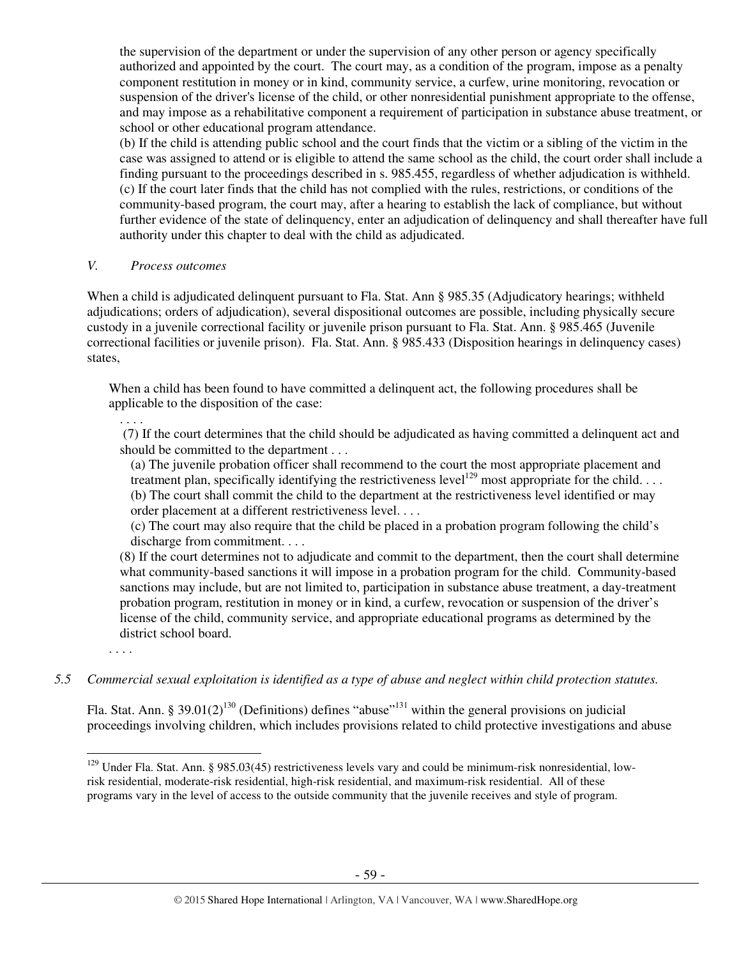the supervision of the department or under the supervision of any other person or agency specifically authorized and appointed by the court. The court may, as a condition of the program, impose as a penalty component restitution in money or in kind, community service, a curfew, urine monitoring, revocation or suspension of the driver's license of the child, or other nonresidential punishment appropriate to the offense, and may impose as a rehabilitative component a requirement of participation in substance abuse treatment, or school or other educational program attendance.

(b) If the child is attending public school and the court finds that the victim or a sibling of the victim in the case was assigned to attend or is eligible to attend the same school as the child, the court order shall include a finding pursuant to the proceedings described in s. 985.455, regardless of whether adjudication is withheld. (c) If the court later finds that the child has not complied with the rules, restrictions, or conditions of the community-based program, the court may, after a hearing to establish the lack of compliance, but without further evidence of the state of delinquency, enter an adjudication of delinquency and shall thereafter have full authority under this chapter to deal with the child as adjudicated.

*V. Process outcomes* 

When a child is adjudicated delinquent pursuant to Fla. Stat. Ann § 985.35 (Adjudicatory hearings; withheld adjudications; orders of adjudication), several dispositional outcomes are possible, including physically secure custody in a juvenile correctional facility or juvenile prison pursuant to Fla. Stat. Ann. § 985.465 (Juvenile correctional facilities or juvenile prison). Fla. Stat. Ann. § 985.433 (Disposition hearings in delinquency cases) states,

When a child has been found to have committed a delinquent act, the following procedures shall be applicable to the disposition of the case:

. . . .

 (7) If the court determines that the child should be adjudicated as having committed a delinquent act and should be committed to the department . . .

(a) The juvenile probation officer shall recommend to the court the most appropriate placement and treatment plan, specifically identifying the restrictiveness level<sup>129</sup> most appropriate for the child. . . . (b) The court shall commit the child to the department at the restrictiveness level identified or may order placement at a different restrictiveness level. . . .

(c) The court may also require that the child be placed in a probation program following the child's discharge from commitment. . . .

(8) If the court determines not to adjudicate and commit to the department, then the court shall determine what community-based sanctions it will impose in a probation program for the child. Community-based sanctions may include, but are not limited to, participation in substance abuse treatment, a day-treatment probation program, restitution in money or in kind, a curfew, revocation or suspension of the driver's license of the child, community service, and appropriate educational programs as determined by the district school board.

. . . .

 $\overline{a}$ 

*5.5 Commercial sexual exploitation is identified as a type of abuse and neglect within child protection statutes.* 

Fla. Stat. Ann. § 39.01(2)<sup>130</sup> (Definitions) defines "abuse"<sup>131</sup> within the general provisions on judicial proceedings involving children, which includes provisions related to child protective investigations and abuse

 $129$  Under Fla. Stat. Ann. § 985.03(45) restrictiveness levels vary and could be minimum-risk nonresidential, lowrisk residential, moderate-risk residential, high-risk residential, and maximum-risk residential. All of these programs vary in the level of access to the outside community that the juvenile receives and style of program.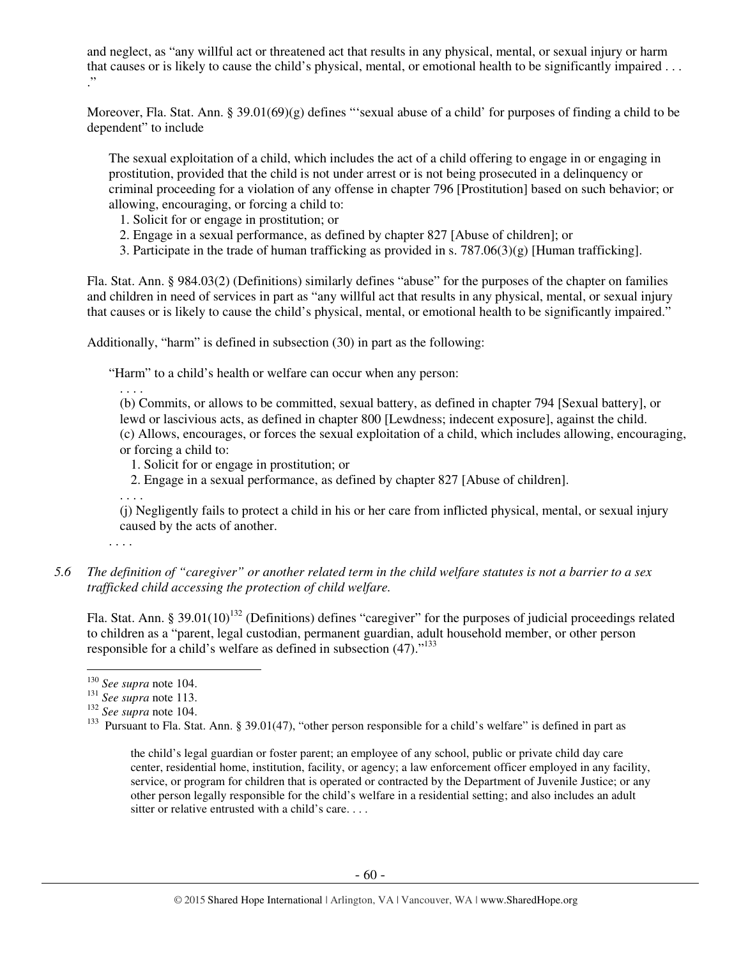and neglect, as "any willful act or threatened act that results in any physical, mental, or sexual injury or harm that causes or is likely to cause the child's physical, mental, or emotional health to be significantly impaired . . . ."

Moreover, Fla. Stat. Ann. § 39.01(69)(g) defines "'sexual abuse of a child' for purposes of finding a child to be dependent" to include

The sexual exploitation of a child, which includes the act of a child offering to engage in or engaging in prostitution, provided that the child is not under arrest or is not being prosecuted in a delinquency or criminal proceeding for a violation of any offense in chapter 796 [Prostitution] based on such behavior; or allowing, encouraging, or forcing a child to:

1. Solicit for or engage in prostitution; or

- 2. Engage in a sexual performance, as defined by chapter 827 [Abuse of children]; or
- 3. Participate in the trade of human trafficking as provided in s. 787.06(3)(g) [Human trafficking].

Fla. Stat. Ann. § 984.03(2) (Definitions) similarly defines "abuse" for the purposes of the chapter on families and children in need of services in part as "any willful act that results in any physical, mental, or sexual injury that causes or is likely to cause the child's physical, mental, or emotional health to be significantly impaired."

Additionally, "harm" is defined in subsection (30) in part as the following:

"Harm" to a child's health or welfare can occur when any person:

. . . .

(b) Commits, or allows to be committed, sexual battery, as defined in chapter 794 [Sexual battery], or lewd or lascivious acts, as defined in chapter 800 [Lewdness; indecent exposure], against the child. (c) Allows, encourages, or forces the sexual exploitation of a child, which includes allowing, encouraging, or forcing a child to:

1. Solicit for or engage in prostitution; or

2. Engage in a sexual performance, as defined by chapter 827 [Abuse of children].

(j) Negligently fails to protect a child in his or her care from inflicted physical, mental, or sexual injury caused by the acts of another.

. . . .

. . . .

*5.6 The definition of "caregiver" or another related term in the child welfare statutes is not a barrier to a sex trafficked child accessing the protection of child welfare.* 

Fla. Stat. Ann. § 39.01(10)<sup>132</sup> (Definitions) defines "caregiver" for the purposes of judicial proceedings related to children as a "parent, legal custodian, permanent guardian, adult household member, or other person responsible for a child's welfare as defined in subsection (47)."<sup>133</sup>

<sup>130</sup> *See supra* note 104.

<sup>131</sup> *See supra* note 113.

<sup>132</sup> *See supra* note 104.

<sup>&</sup>lt;sup>133</sup> Pursuant to Fla. Stat. Ann. § 39.01(47), "other person responsible for a child's welfare" is defined in part as

the child's legal guardian or foster parent; an employee of any school, public or private child day care center, residential home, institution, facility, or agency; a law enforcement officer employed in any facility, service, or program for children that is operated or contracted by the Department of Juvenile Justice; or any other person legally responsible for the child's welfare in a residential setting; and also includes an adult sitter or relative entrusted with a child's care....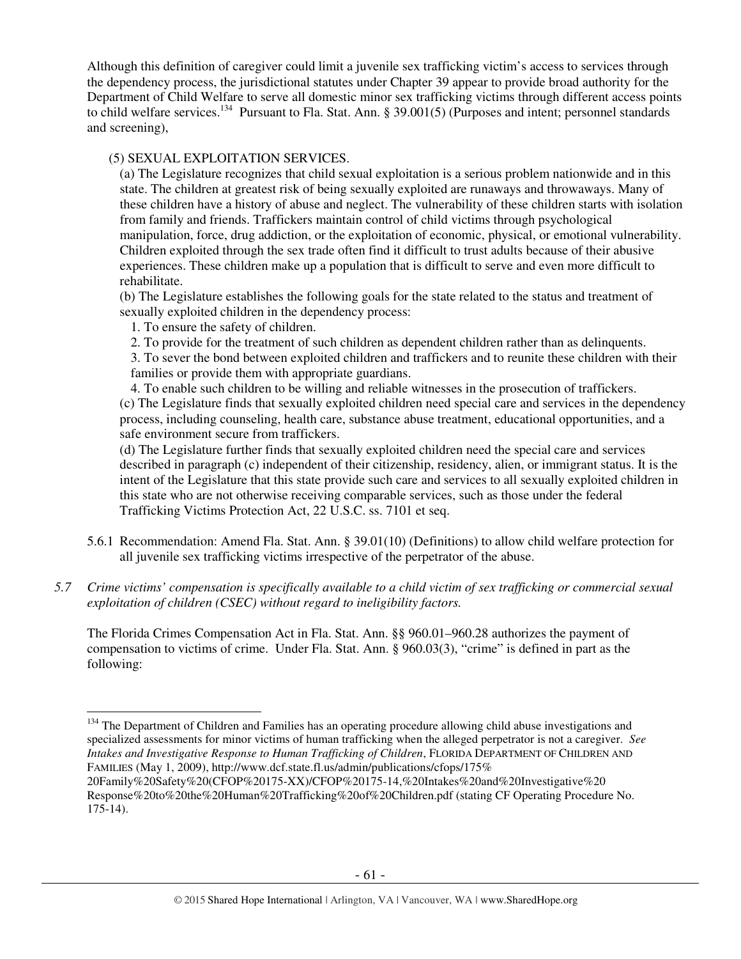Although this definition of caregiver could limit a juvenile sex trafficking victim's access to services through the dependency process, the jurisdictional statutes under Chapter 39 appear to provide broad authority for the Department of Child Welfare to serve all domestic minor sex trafficking victims through different access points to child welfare services.<sup>134</sup> Pursuant to Fla. Stat. Ann. § 39.001(5) (Purposes and intent; personnel standards and screening),

## (5) SEXUAL EXPLOITATION SERVICES.

(a) The Legislature recognizes that child sexual exploitation is a serious problem nationwide and in this state. The children at greatest risk of being sexually exploited are runaways and throwaways. Many of these children have a history of abuse and neglect. The vulnerability of these children starts with isolation from family and friends. Traffickers maintain control of child victims through psychological manipulation, force, drug addiction, or the exploitation of economic, physical, or emotional vulnerability. Children exploited through the sex trade often find it difficult to trust adults because of their abusive experiences. These children make up a population that is difficult to serve and even more difficult to rehabilitate.

(b) The Legislature establishes the following goals for the state related to the status and treatment of sexually exploited children in the dependency process:

1. To ensure the safety of children.

 $\overline{a}$ 

2. To provide for the treatment of such children as dependent children rather than as delinquents.

3. To sever the bond between exploited children and traffickers and to reunite these children with their families or provide them with appropriate guardians.

4. To enable such children to be willing and reliable witnesses in the prosecution of traffickers. (c) The Legislature finds that sexually exploited children need special care and services in the dependency process, including counseling, health care, substance abuse treatment, educational opportunities, and a safe environment secure from traffickers.

(d) The Legislature further finds that sexually exploited children need the special care and services described in paragraph (c) independent of their citizenship, residency, alien, or immigrant status. It is the intent of the Legislature that this state provide such care and services to all sexually exploited children in this state who are not otherwise receiving comparable services, such as those under the federal Trafficking Victims Protection Act, 22 U.S.C. ss. 7101 et seq.

- 5.6.1 Recommendation: Amend Fla. Stat. Ann. § 39.01(10) (Definitions) to allow child welfare protection for all juvenile sex trafficking victims irrespective of the perpetrator of the abuse.
- *5.7 Crime victims' compensation is specifically available to a child victim of sex trafficking or commercial sexual exploitation of children (CSEC) without regard to ineligibility factors.*

The Florida Crimes Compensation Act in Fla. Stat. Ann. §§ 960.01–960.28 authorizes the payment of compensation to victims of crime. Under Fla. Stat. Ann. § 960.03(3), "crime" is defined in part as the following:

<sup>&</sup>lt;sup>134</sup> The Department of Children and Families has an operating procedure allowing child abuse investigations and specialized assessments for minor victims of human trafficking when the alleged perpetrator is not a caregiver. *See Intakes and Investigative Response to Human Trafficking of Children*, FLORIDA DEPARTMENT OF CHILDREN AND FAMILIES (May 1, 2009), http://www.dcf.state.fl.us/admin/publications/cfops/175%

<sup>20</sup>Family%20Safety%20(CFOP%20175-XX)/CFOP%20175-14,%20Intakes%20and%20Investigative%20 Response%20to%20the%20Human%20Trafficking%20of%20Children.pdf (stating CF Operating Procedure No. 175-14).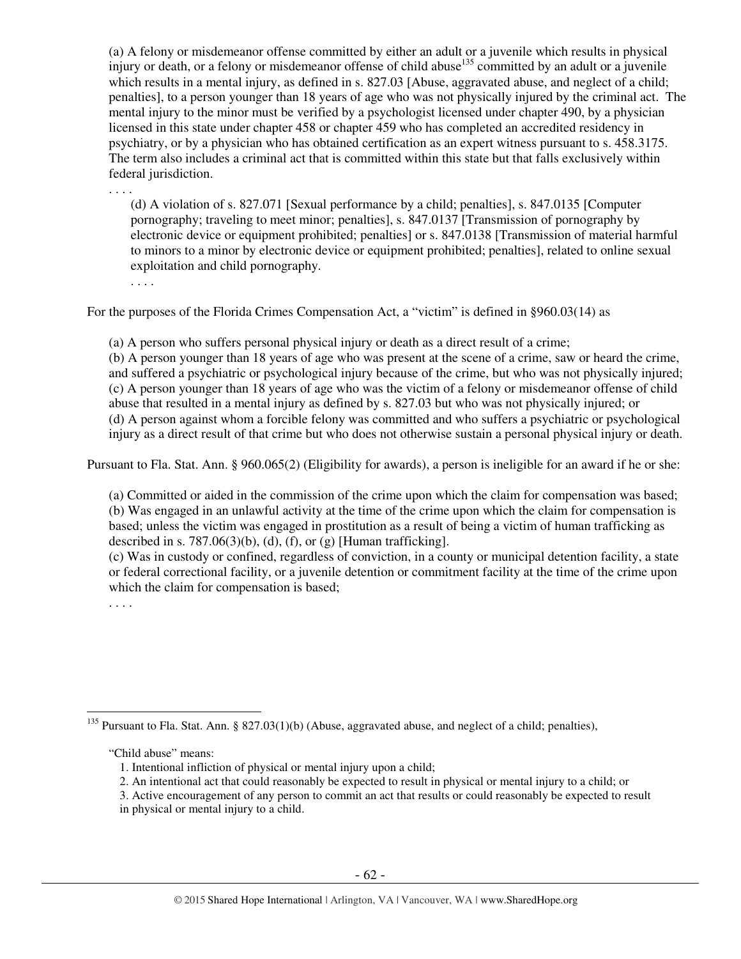(a) A felony or misdemeanor offense committed by either an adult or a juvenile which results in physical injury or death, or a felony or misdemeanor offense of child abuse<sup>135</sup> committed by an adult or a juvenile which results in a mental injury, as defined in s. 827.03 [Abuse, aggravated abuse, and neglect of a child; penalties], to a person younger than 18 years of age who was not physically injured by the criminal act. The mental injury to the minor must be verified by a psychologist licensed under chapter 490, by a physician licensed in this state under chapter 458 or chapter 459 who has completed an accredited residency in psychiatry, or by a physician who has obtained certification as an expert witness pursuant to s. 458.3175. The term also includes a criminal act that is committed within this state but that falls exclusively within federal jurisdiction.

. . . .

(d) A violation of s. 827.071 [Sexual performance by a child; penalties], s. 847.0135 [Computer pornography; traveling to meet minor; penalties], s. 847.0137 [Transmission of pornography by electronic device or equipment prohibited; penalties] or s. 847.0138 [Transmission of material harmful to minors to a minor by electronic device or equipment prohibited; penalties], related to online sexual exploitation and child pornography.

. . . .

For the purposes of the Florida Crimes Compensation Act, a "victim" is defined in §960.03(14) as

(a) A person who suffers personal physical injury or death as a direct result of a crime;

(b) A person younger than 18 years of age who was present at the scene of a crime, saw or heard the crime, and suffered a psychiatric or psychological injury because of the crime, but who was not physically injured; (c) A person younger than 18 years of age who was the victim of a felony or misdemeanor offense of child abuse that resulted in a mental injury as defined by s. 827.03 but who was not physically injured; or (d) A person against whom a forcible felony was committed and who suffers a psychiatric or psychological injury as a direct result of that crime but who does not otherwise sustain a personal physical injury or death.

Pursuant to Fla. Stat. Ann. § 960.065(2) (Eligibility for awards), a person is ineligible for an award if he or she:

(a) Committed or aided in the commission of the crime upon which the claim for compensation was based; (b) Was engaged in an unlawful activity at the time of the crime upon which the claim for compensation is based; unless the victim was engaged in prostitution as a result of being a victim of human trafficking as described in s. 787.06(3)(b), (d), (f), or (g) [Human trafficking].

(c) Was in custody or confined, regardless of conviction, in a county or municipal detention facility, a state or federal correctional facility, or a juvenile detention or commitment facility at the time of the crime upon which the claim for compensation is based;

. . . .

 $\overline{a}$ <sup>135</sup> Pursuant to Fla. Stat. Ann. § 827.03(1)(b) (Abuse, aggravated abuse, and neglect of a child; penalties),

<sup>&</sup>quot;Child abuse" means:

<sup>1.</sup> Intentional infliction of physical or mental injury upon a child;

<sup>2.</sup> An intentional act that could reasonably be expected to result in physical or mental injury to a child; or

<sup>3.</sup> Active encouragement of any person to commit an act that results or could reasonably be expected to result in physical or mental injury to a child.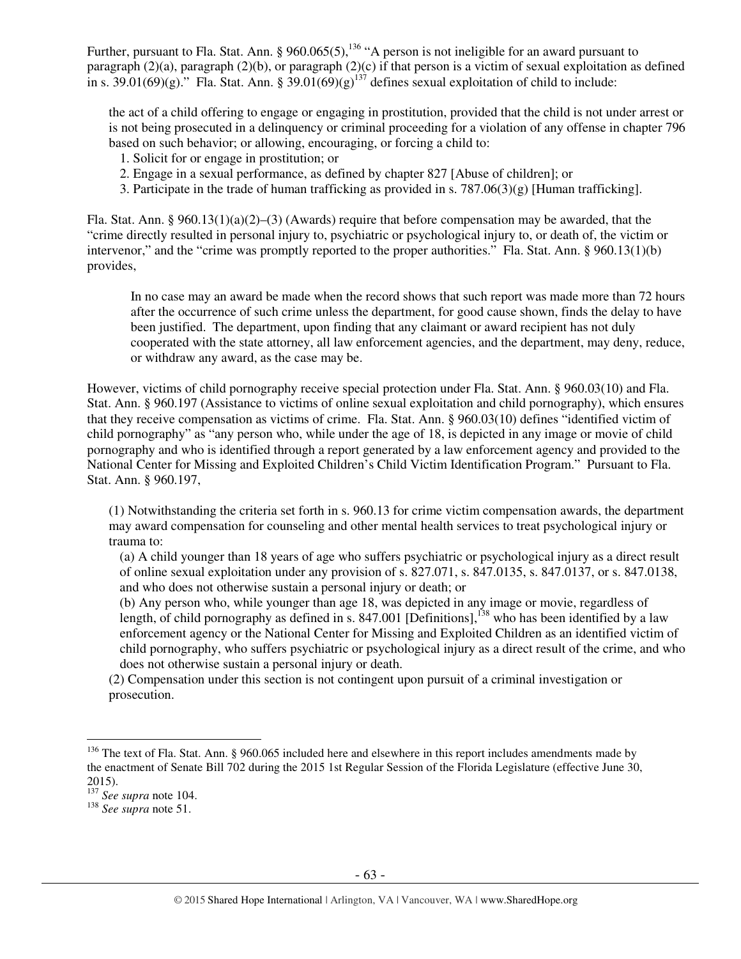Further, pursuant to Fla. Stat. Ann. § 960.065(5), <sup>136</sup> "A person is not ineligible for an award pursuant to paragraph (2)(a), paragraph (2)(b), or paragraph (2)(c) if that person is a victim of sexual exploitation as defined in s. 39.01(69)(g)." Fla. Stat. Ann. § 39.01(69)(g)<sup>137</sup> defines sexual exploitation of child to include:

the act of a child offering to engage or engaging in prostitution, provided that the child is not under arrest or is not being prosecuted in a delinquency or criminal proceeding for a violation of any offense in chapter 796 based on such behavior; or allowing, encouraging, or forcing a child to:

- 1. Solicit for or engage in prostitution; or
- 2. Engage in a sexual performance, as defined by chapter 827 [Abuse of children]; or
- 3. Participate in the trade of human trafficking as provided in s. 787.06(3)(g) [Human trafficking].

Fla. Stat. Ann. § 960.13(1)(a)(2)–(3) (Awards) require that before compensation may be awarded, that the "crime directly resulted in personal injury to, psychiatric or psychological injury to, or death of, the victim or intervenor," and the "crime was promptly reported to the proper authorities." Fla. Stat. Ann. § 960.13(1)(b) provides,

In no case may an award be made when the record shows that such report was made more than 72 hours after the occurrence of such crime unless the department, for good cause shown, finds the delay to have been justified. The department, upon finding that any claimant or award recipient has not duly cooperated with the state attorney, all law enforcement agencies, and the department, may deny, reduce, or withdraw any award, as the case may be.

However, victims of child pornography receive special protection under Fla. Stat. Ann. § 960.03(10) and Fla. Stat. Ann. § 960.197 (Assistance to victims of online sexual exploitation and child pornography), which ensures that they receive compensation as victims of crime. Fla. Stat. Ann. § 960.03(10) defines "identified victim of child pornography" as "any person who, while under the age of 18, is depicted in any image or movie of child pornography and who is identified through a report generated by a law enforcement agency and provided to the National Center for Missing and Exploited Children's Child Victim Identification Program." Pursuant to Fla. Stat. Ann. § 960.197,

(1) Notwithstanding the criteria set forth in s. 960.13 for crime victim compensation awards, the department may award compensation for counseling and other mental health services to treat psychological injury or trauma to:

(a) A child younger than 18 years of age who suffers psychiatric or psychological injury as a direct result of online sexual exploitation under any provision of s. 827.071, s. 847.0135, s. 847.0137, or s. 847.0138, and who does not otherwise sustain a personal injury or death; or

(b) Any person who, while younger than age 18, was depicted in any image or movie, regardless of length, of child pornography as defined in s. 847.001 [Definitions],  $^{138}$  who has been identified by a law enforcement agency or the National Center for Missing and Exploited Children as an identified victim of child pornography, who suffers psychiatric or psychological injury as a direct result of the crime, and who does not otherwise sustain a personal injury or death.

(2) Compensation under this section is not contingent upon pursuit of a criminal investigation or prosecution.

 $136$  The text of Fla. Stat. Ann. § 960.065 included here and elsewhere in this report includes amendments made by the enactment of Senate Bill 702 during the 2015 1st Regular Session of the Florida Legislature (effective June 30, 2015).

<sup>137</sup> *See supra* note 104.

<sup>138</sup> *See supra* note 51.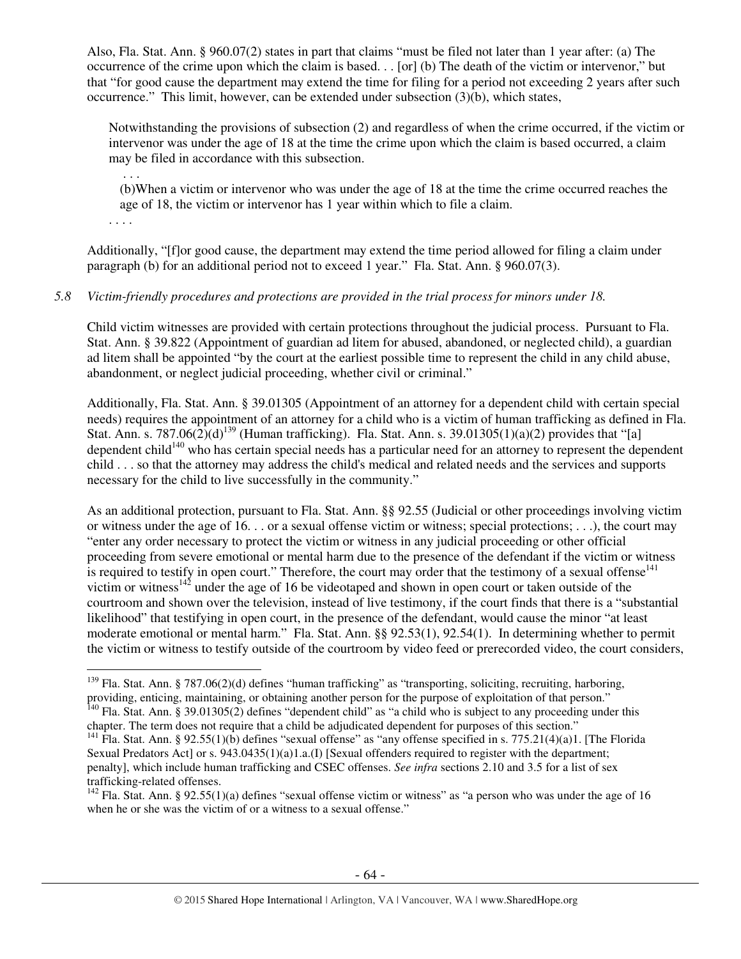Also, Fla. Stat. Ann. § 960.07(2) states in part that claims "must be filed not later than 1 year after: (a) The occurrence of the crime upon which the claim is based. . . [or] (b) The death of the victim or intervenor," but that "for good cause the department may extend the time for filing for a period not exceeding 2 years after such occurrence." This limit, however, can be extended under subsection (3)(b), which states,

Notwithstanding the provisions of subsection (2) and regardless of when the crime occurred, if the victim or intervenor was under the age of 18 at the time the crime upon which the claim is based occurred, a claim may be filed in accordance with this subsection.

(b)When a victim or intervenor who was under the age of 18 at the time the crime occurred reaches the age of 18, the victim or intervenor has 1 year within which to file a claim.

. . . .

. . .

Additionally, "[f]or good cause, the department may extend the time period allowed for filing a claim under paragraph (b) for an additional period not to exceed 1 year." Fla. Stat. Ann. § 960.07(3).

# *5.8 Victim-friendly procedures and protections are provided in the trial process for minors under 18.*

Child victim witnesses are provided with certain protections throughout the judicial process. Pursuant to Fla. Stat. Ann. § 39.822 (Appointment of guardian ad litem for abused, abandoned, or neglected child), a guardian ad litem shall be appointed "by the court at the earliest possible time to represent the child in any child abuse, abandonment, or neglect judicial proceeding, whether civil or criminal."

Additionally, Fla. Stat. Ann. § 39.01305 (Appointment of an attorney for a dependent child with certain special needs) requires the appointment of an attorney for a child who is a victim of human trafficking as defined in Fla. Stat. Ann. s. 787.06 $(2)(d)^{139}$  (Human trafficking). Fla. Stat. Ann. s. 39.01305(1)(a)(2) provides that "[a] dependent child<sup>140</sup> who has certain special needs has a particular need for an attorney to represent the dependent child . . . so that the attorney may address the child's medical and related needs and the services and supports necessary for the child to live successfully in the community."

As an additional protection, pursuant to Fla. Stat. Ann. §§ 92.55 (Judicial or other proceedings involving victim or witness under the age of 16. . . or a sexual offense victim or witness; special protections; . . .), the court may "enter any order necessary to protect the victim or witness in any judicial proceeding or other official proceeding from severe emotional or mental harm due to the presence of the defendant if the victim or witness is required to testify in open court." Therefore, the court may order that the testimony of a sexual offense<sup> $141$ </sup> victim or witness<sup>142</sup> under the age of 16 be videotaped and shown in open court or taken outside of the courtroom and shown over the television, instead of live testimony, if the court finds that there is a "substantial likelihood" that testifying in open court, in the presence of the defendant, would cause the minor "at least moderate emotional or mental harm." Fla. Stat. Ann. §§ 92.53(1), 92.54(1). In determining whether to permit the victim or witness to testify outside of the courtroom by video feed or prerecorded video, the court considers,

 $\overline{a}$  $139$  Fla. Stat. Ann. § 787.06(2)(d) defines "human trafficking" as "transporting, soliciting, recruiting, harboring, providing, enticing, maintaining, or obtaining another person for the purpose of exploitation of that person."

 $140$  Fla. Stat. Ann. § 39.01305(2) defines "dependent child" as "a child who is subject to any proceeding under this chapter. The term does not require that a child be adjudicated dependent for purposes of this section."

<sup>&</sup>lt;sup>141</sup> Fla. Stat. Ann. § 92.55(1)(b) defines "sexual offense" as "any offense specified in s. 775.21(4)(a)1. [The Florida Sexual Predators Act] or s. 943.0435(1)(a)1.a.(I) [Sexual offenders required to register with the department; penalty], which include human trafficking and CSEC offenses. *See infra* sections 2.10 and 3.5 for a list of sex trafficking-related offenses.

<sup>&</sup>lt;sup>142</sup> Fla. Stat. Ann. § 92.55(1)(a) defines "sexual offense victim or witness" as "a person who was under the age of 16 when he or she was the victim of or a witness to a sexual offense."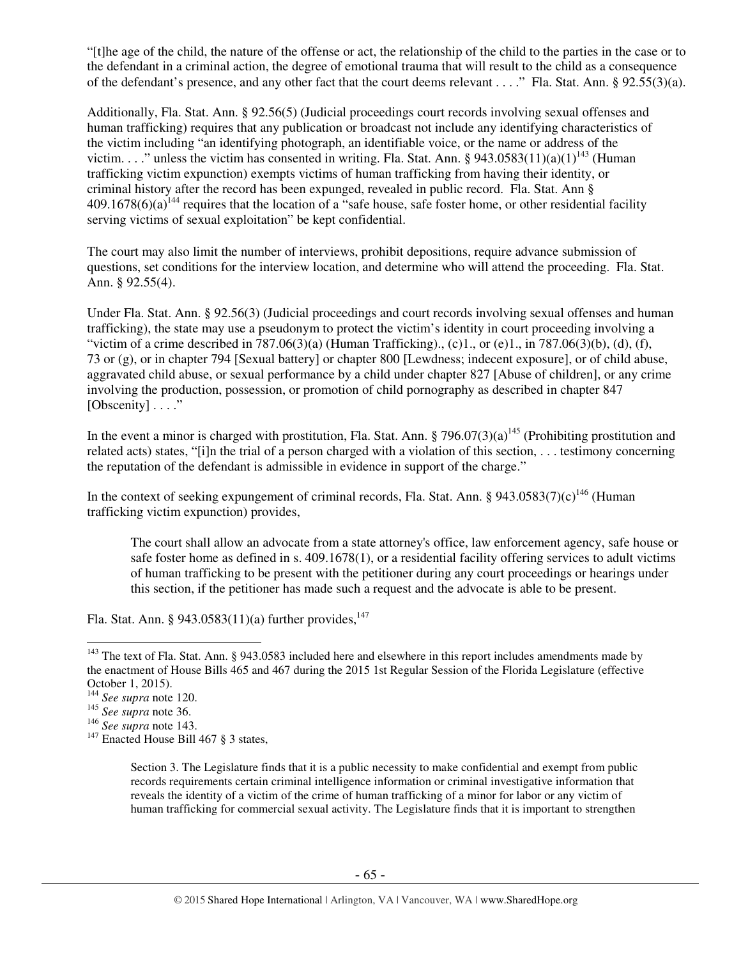"[t]he age of the child, the nature of the offense or act, the relationship of the child to the parties in the case or to the defendant in a criminal action, the degree of emotional trauma that will result to the child as a consequence of the defendant's presence, and any other fact that the court deems relevant . . . ." Fla. Stat. Ann. § 92.55(3)(a).

Additionally, Fla. Stat. Ann. § 92.56(5) (Judicial proceedings court records involving sexual offenses and human trafficking) requires that any publication or broadcast not include any identifying characteristics of the victim including "an identifying photograph, an identifiable voice, or the name or address of the victim. . . ." unless the victim has consented in writing. Fla. Stat. Ann. § 943.0583(11)(a)(1)<sup>143</sup> (Human trafficking victim expunction) exempts victims of human trafficking from having their identity, or criminal history after the record has been expunged, revealed in public record. Fla. Stat. Ann §  $409.1678(6)(a)^{144}$  requires that the location of a "safe house, safe foster home, or other residential facility serving victims of sexual exploitation" be kept confidential.

The court may also limit the number of interviews, prohibit depositions, require advance submission of questions, set conditions for the interview location, and determine who will attend the proceeding. Fla. Stat. Ann. § 92.55(4).

Under Fla. Stat. Ann. § 92.56(3) (Judicial proceedings and court records involving sexual offenses and human trafficking), the state may use a pseudonym to protect the victim's identity in court proceeding involving a "victim of a crime described in 787.06(3)(a) (Human Trafficking)., (c)1., or (e)1., in 787.06(3)(b), (d), (f), 73 or (g), or in chapter 794 [Sexual battery] or chapter 800 [Lewdness; indecent exposure], or of child abuse, aggravated child abuse, or sexual performance by a child under chapter 827 [Abuse of children], or any crime involving the production, possession, or promotion of child pornography as described in chapter 847  $[Observation] \ldots$ "

In the event a minor is charged with prostitution, Fla. Stat. Ann. § 796.07(3)(a)<sup>145</sup> (Prohibiting prostitution and related acts) states, "[i]n the trial of a person charged with a violation of this section, . . . testimony concerning the reputation of the defendant is admissible in evidence in support of the charge."

In the context of seeking expungement of criminal records, Fla. Stat. Ann. § 943.0583(7)(c)<sup>146</sup> (Human trafficking victim expunction) provides,

The court shall allow an advocate from a state attorney's office, law enforcement agency, safe house or safe foster home as defined in s. 409.1678(1), or a residential facility offering services to adult victims of human trafficking to be present with the petitioner during any court proceedings or hearings under this section, if the petitioner has made such a request and the advocate is able to be present.

Fla. Stat. Ann. § 943.0583(11)(a) further provides, $^{147}$ 

 $\overline{a}$ <sup>143</sup> The text of Fla. Stat. Ann. § 943.0583 included here and elsewhere in this report includes amendments made by the enactment of House Bills 465 and 467 during the 2015 1st Regular Session of the Florida Legislature (effective October 1, 2015).

<sup>144</sup> *See supra* note 120.

<sup>145</sup> *See supra* note 36.

<sup>146</sup> *See supra* note 143.

 $147$  Enacted House Bill 467 § 3 states,

Section 3. The Legislature finds that it is a public necessity to make confidential and exempt from public records requirements certain criminal intelligence information or criminal investigative information that reveals the identity of a victim of the crime of human trafficking of a minor for labor or any victim of human trafficking for commercial sexual activity. The Legislature finds that it is important to strengthen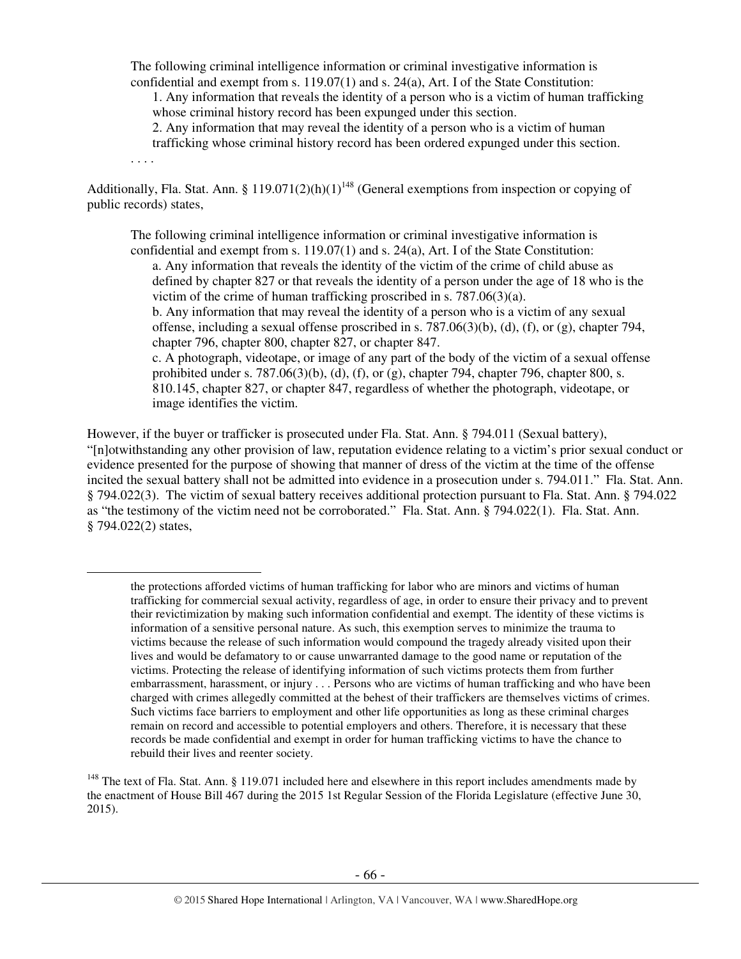The following criminal intelligence information or criminal investigative information is confidential and exempt from s. 119.07(1) and s. 24(a), Art. I of the State Constitution:

1. Any information that reveals the identity of a person who is a victim of human trafficking whose criminal history record has been expunged under this section.

2. Any information that may reveal the identity of a person who is a victim of human trafficking whose criminal history record has been ordered expunged under this section.

. . . .

 $\overline{a}$ 

Additionally, Fla. Stat. Ann. § 119.071(2)(h)(1)<sup>148</sup> (General exemptions from inspection or copying of public records) states,

The following criminal intelligence information or criminal investigative information is confidential and exempt from s.  $119.07(1)$  and s.  $24(a)$ , Art. I of the State Constitution:

a. Any information that reveals the identity of the victim of the crime of child abuse as defined by chapter 827 or that reveals the identity of a person under the age of 18 who is the victim of the crime of human trafficking proscribed in s. 787.06(3)(a).

b. Any information that may reveal the identity of a person who is a victim of any sexual offense, including a sexual offense proscribed in s. 787.06(3)(b), (d), (f), or (g), chapter 794, chapter 796, chapter 800, chapter 827, or chapter 847.

c. A photograph, videotape, or image of any part of the body of the victim of a sexual offense prohibited under s. 787.06(3)(b), (d), (f), or (g), chapter 794, chapter 796, chapter 800, s. 810.145, chapter 827, or chapter 847, regardless of whether the photograph, videotape, or image identifies the victim.

However, if the buyer or trafficker is prosecuted under Fla. Stat. Ann. § 794.011 (Sexual battery), "[n]otwithstanding any other provision of law, reputation evidence relating to a victim's prior sexual conduct or evidence presented for the purpose of showing that manner of dress of the victim at the time of the offense incited the sexual battery shall not be admitted into evidence in a prosecution under s. 794.011." Fla. Stat. Ann. § 794.022(3). The victim of sexual battery receives additional protection pursuant to Fla. Stat. Ann. § 794.022 as "the testimony of the victim need not be corroborated." Fla. Stat. Ann. § 794.022(1). Fla. Stat. Ann. § 794.022(2) states,

the protections afforded victims of human trafficking for labor who are minors and victims of human trafficking for commercial sexual activity, regardless of age, in order to ensure their privacy and to prevent their revictimization by making such information confidential and exempt. The identity of these victims is information of a sensitive personal nature. As such, this exemption serves to minimize the trauma to victims because the release of such information would compound the tragedy already visited upon their lives and would be defamatory to or cause unwarranted damage to the good name or reputation of the victims. Protecting the release of identifying information of such victims protects them from further embarrassment, harassment, or injury . . . Persons who are victims of human trafficking and who have been charged with crimes allegedly committed at the behest of their traffickers are themselves victims of crimes. Such victims face barriers to employment and other life opportunities as long as these criminal charges remain on record and accessible to potential employers and others. Therefore, it is necessary that these records be made confidential and exempt in order for human trafficking victims to have the chance to rebuild their lives and reenter society.

<sup>&</sup>lt;sup>148</sup> The text of Fla. Stat. Ann. § 119.071 included here and elsewhere in this report includes amendments made by the enactment of House Bill 467 during the 2015 1st Regular Session of the Florida Legislature (effective June 30, 2015).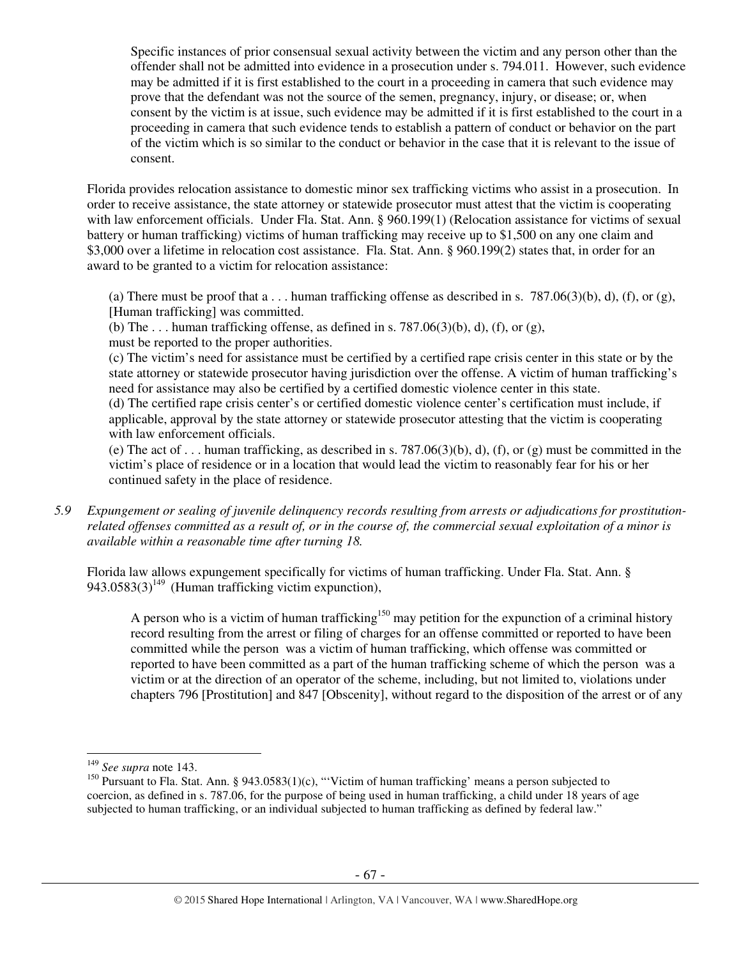Specific instances of prior consensual sexual activity between the victim and any person other than the offender shall not be admitted into evidence in a prosecution under s. 794.011. However, such evidence may be admitted if it is first established to the court in a proceeding in camera that such evidence may prove that the defendant was not the source of the semen, pregnancy, injury, or disease; or, when consent by the victim is at issue, such evidence may be admitted if it is first established to the court in a proceeding in camera that such evidence tends to establish a pattern of conduct or behavior on the part of the victim which is so similar to the conduct or behavior in the case that it is relevant to the issue of consent.

Florida provides relocation assistance to domestic minor sex trafficking victims who assist in a prosecution. In order to receive assistance, the state attorney or statewide prosecutor must attest that the victim is cooperating with law enforcement officials. Under Fla. Stat. Ann. § 960.199(1) (Relocation assistance for victims of sexual battery or human trafficking) victims of human trafficking may receive up to \$1,500 on any one claim and \$3,000 over a lifetime in relocation cost assistance. Fla. Stat. Ann. § 960.199(2) states that, in order for an award to be granted to a victim for relocation assistance:

(a) There must be proof that a . . . human trafficking offense as described in s. 787.06(3)(b), d), (f), or (g), [Human trafficking] was committed.

(b) The ... human trafficking offense, as defined in s.  $787.06(3)(b)$ , d), (f), or (g),

must be reported to the proper authorities.

(c) The victim's need for assistance must be certified by a certified rape crisis center in this state or by the state attorney or statewide prosecutor having jurisdiction over the offense. A victim of human trafficking's need for assistance may also be certified by a certified domestic violence center in this state.

(d) The certified rape crisis center's or certified domestic violence center's certification must include, if applicable, approval by the state attorney or statewide prosecutor attesting that the victim is cooperating with law enforcement officials.

(e) The act of ... human trafficking, as described in s. 787.06(3)(b), d), (f), or (g) must be committed in the victim's place of residence or in a location that would lead the victim to reasonably fear for his or her continued safety in the place of residence.

*5.9 Expungement or sealing of juvenile delinquency records resulting from arrests or adjudications for prostitutionrelated offenses committed as a result of, or in the course of, the commercial sexual exploitation of a minor is available within a reasonable time after turning 18.* 

Florida law allows expungement specifically for victims of human trafficking. Under Fla. Stat. Ann. § 943.0583 $(3)$ <sup>149</sup> (Human trafficking victim expunction),

A person who is a victim of human trafficking<sup>150</sup> may petition for the expunction of a criminal history record resulting from the arrest or filing of charges for an offense committed or reported to have been committed while the person was a victim of human trafficking, which offense was committed or reported to have been committed as a part of the human trafficking scheme of which the person was a victim or at the direction of an operator of the scheme, including, but not limited to, violations under chapters 796 [Prostitution] and 847 [Obscenity], without regard to the disposition of the arrest or of any

<sup>149</sup> *See supra* note 143.

<sup>&</sup>lt;sup>150</sup> Pursuant to Fla. Stat. Ann. § 943.0583(1)(c), "Victim of human trafficking' means a person subjected to coercion, as defined in s. 787.06, for the purpose of being used in human trafficking, a child under 18 years of age subjected to human trafficking, or an individual subjected to human trafficking as defined by federal law."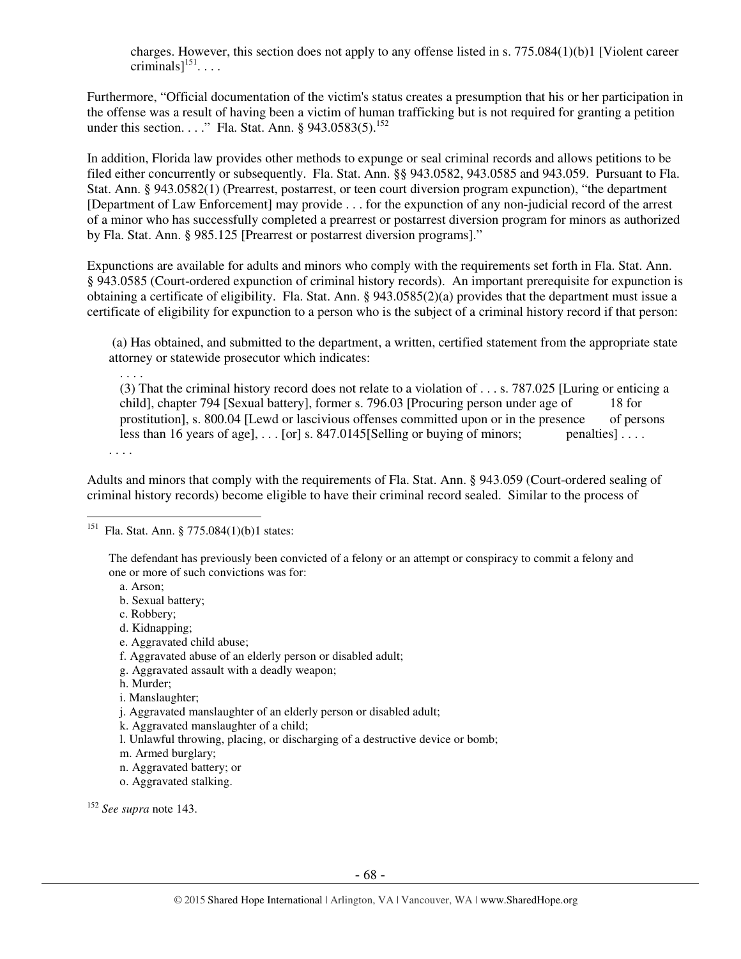charges. However, this section does not apply to any offense listed in s. 775.084(1)(b)1 [Violent career criminals] $151$ ...

Furthermore, "Official documentation of the victim's status creates a presumption that his or her participation in the offense was a result of having been a victim of human trafficking but is not required for granting a petition under this section. . . ." Fla. Stat. Ann.  $\S$  943.0583(5).<sup>152</sup>

In addition, Florida law provides other methods to expunge or seal criminal records and allows petitions to be filed either concurrently or subsequently. Fla. Stat. Ann. §§ 943.0582, 943.0585 and 943.059. Pursuant to Fla. Stat. Ann. § 943.0582(1) (Prearrest, postarrest, or teen court diversion program expunction), "the department [Department of Law Enforcement] may provide . . . for the expunction of any non-judicial record of the arrest of a minor who has successfully completed a prearrest or postarrest diversion program for minors as authorized by Fla. Stat. Ann. § 985.125 [Prearrest or postarrest diversion programs]."

Expunctions are available for adults and minors who comply with the requirements set forth in Fla. Stat. Ann. § 943.0585 (Court-ordered expunction of criminal history records). An important prerequisite for expunction is obtaining a certificate of eligibility. Fla. Stat. Ann. § 943.0585(2)(a) provides that the department must issue a certificate of eligibility for expunction to a person who is the subject of a criminal history record if that person:

 (a) Has obtained, and submitted to the department, a written, certified statement from the appropriate state attorney or statewide prosecutor which indicates:

(3) That the criminal history record does not relate to a violation of . . . s. 787.025 [Luring or enticing a child], chapter 794 [Sexual battery], former s. 796.03 [Procuring person under age of 18 for prostitution], s. 800.04 [Lewd or lascivious offenses committed upon or in the presence of persons less than 16 years of age],  $\ldots$  [or] s. 847.0145[Selling or buying of minors; penalties]  $\ldots$ . . . .

Adults and minors that comply with the requirements of Fla. Stat. Ann. § 943.059 (Court-ordered sealing of criminal history records) become eligible to have their criminal record sealed. Similar to the process of

The defendant has previously been convicted of a felony or an attempt or conspiracy to commit a felony and one or more of such convictions was for:

a. Arson;

. . . .

 $\overline{a}$ 

- b. Sexual battery;
- c. Robbery;
- d. Kidnapping;
- e. Aggravated child abuse;
- f. Aggravated abuse of an elderly person or disabled adult;
- g. Aggravated assault with a deadly weapon;
- h. Murder;
- i. Manslaughter;
- j. Aggravated manslaughter of an elderly person or disabled adult;
- k. Aggravated manslaughter of a child;
- l. Unlawful throwing, placing, or discharging of a destructive device or bomb;
- m. Armed burglary;
- n. Aggravated battery; or
- o. Aggravated stalking.

<sup>152</sup> *See supra* note 143.

<sup>&</sup>lt;sup>151</sup> Fla. Stat. Ann. § 775.084(1)(b)1 states: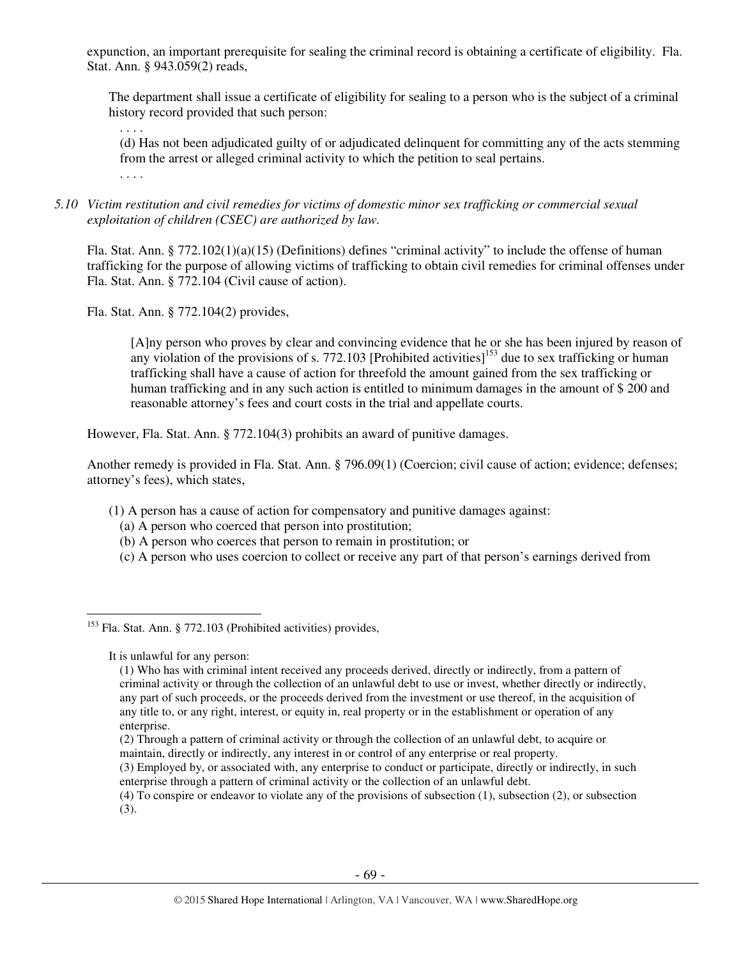expunction, an important prerequisite for sealing the criminal record is obtaining a certificate of eligibility. Fla. Stat. Ann. § 943.059(2) reads,

The department shall issue a certificate of eligibility for sealing to a person who is the subject of a criminal history record provided that such person:

(d) Has not been adjudicated guilty of or adjudicated delinquent for committing any of the acts stemming from the arrest or alleged criminal activity to which the petition to seal pertains. . . . .

*5.10 Victim restitution and civil remedies for victims of domestic minor sex trafficking or commercial sexual exploitation of children (CSEC) are authorized by law.* 

Fla. Stat. Ann. § 772.102(1)(a)(15) (Definitions) defines "criminal activity" to include the offense of human trafficking for the purpose of allowing victims of trafficking to obtain civil remedies for criminal offenses under Fla. Stat. Ann. § 772.104 (Civil cause of action).

Fla. Stat. Ann. § 772.104(2) provides,

. . . .

[A]ny person who proves by clear and convincing evidence that he or she has been injured by reason of any violation of the provisions of s. 772.103 [Prohibited activities]<sup>153</sup> due to sex trafficking or human trafficking shall have a cause of action for threefold the amount gained from the sex trafficking or human trafficking and in any such action is entitled to minimum damages in the amount of \$ 200 and reasonable attorney's fees and court costs in the trial and appellate courts.

However, Fla. Stat. Ann. § 772.104(3) prohibits an award of punitive damages.

Another remedy is provided in Fla. Stat. Ann. § 796.09(1) (Coercion; civil cause of action; evidence; defenses; attorney's fees), which states,

- (1) A person has a cause of action for compensatory and punitive damages against:
	- (a) A person who coerced that person into prostitution;
	- (b) A person who coerces that person to remain in prostitution; or
	- (c) A person who uses coercion to collect or receive any part of that person's earnings derived from

- (2) Through a pattern of criminal activity or through the collection of an unlawful debt, to acquire or maintain, directly or indirectly, any interest in or control of any enterprise or real property.
- (3) Employed by, or associated with, any enterprise to conduct or participate, directly or indirectly, in such enterprise through a pattern of criminal activity or the collection of an unlawful debt.

<sup>&</sup>lt;sup>153</sup> Fla. Stat. Ann. § 772.103 (Prohibited activities) provides,

It is unlawful for any person:

<sup>(1)</sup> Who has with criminal intent received any proceeds derived, directly or indirectly, from a pattern of criminal activity or through the collection of an unlawful debt to use or invest, whether directly or indirectly, any part of such proceeds, or the proceeds derived from the investment or use thereof, in the acquisition of any title to, or any right, interest, or equity in, real property or in the establishment or operation of any enterprise.

<sup>(4)</sup> To conspire or endeavor to violate any of the provisions of subsection (1), subsection (2), or subsection (3).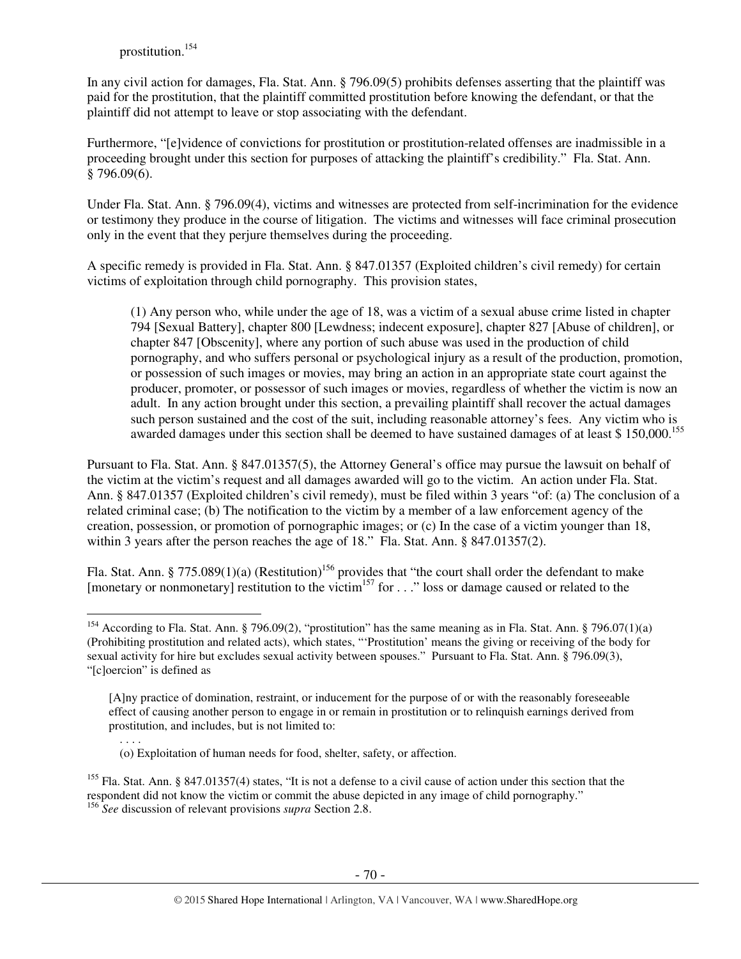prostitution.<sup>154</sup>

In any civil action for damages, Fla. Stat. Ann. § 796.09(5) prohibits defenses asserting that the plaintiff was paid for the prostitution, that the plaintiff committed prostitution before knowing the defendant, or that the plaintiff did not attempt to leave or stop associating with the defendant.

Furthermore, "[e]vidence of convictions for prostitution or prostitution-related offenses are inadmissible in a proceeding brought under this section for purposes of attacking the plaintiff's credibility." Fla. Stat. Ann. § 796.09(6).

Under Fla. Stat. Ann. § 796.09(4), victims and witnesses are protected from self-incrimination for the evidence or testimony they produce in the course of litigation. The victims and witnesses will face criminal prosecution only in the event that they perjure themselves during the proceeding.

A specific remedy is provided in Fla. Stat. Ann. § 847.01357 (Exploited children's civil remedy) for certain victims of exploitation through child pornography. This provision states,

(1) Any person who, while under the age of 18, was a victim of a sexual abuse crime listed in chapter 794 [Sexual Battery], chapter 800 [Lewdness; indecent exposure], chapter 827 [Abuse of children], or chapter 847 [Obscenity], where any portion of such abuse was used in the production of child pornography, and who suffers personal or psychological injury as a result of the production, promotion, or possession of such images or movies, may bring an action in an appropriate state court against the producer, promoter, or possessor of such images or movies, regardless of whether the victim is now an adult. In any action brought under this section, a prevailing plaintiff shall recover the actual damages such person sustained and the cost of the suit, including reasonable attorney's fees. Any victim who is awarded damages under this section shall be deemed to have sustained damages of at least \$150,000.<sup>155</sup>

Pursuant to Fla. Stat. Ann. § 847.01357(5), the Attorney General's office may pursue the lawsuit on behalf of the victim at the victim's request and all damages awarded will go to the victim. An action under Fla. Stat. Ann. § 847.01357 (Exploited children's civil remedy), must be filed within 3 years "of: (a) The conclusion of a related criminal case; (b) The notification to the victim by a member of a law enforcement agency of the creation, possession, or promotion of pornographic images; or (c) In the case of a victim younger than 18, within 3 years after the person reaches the age of 18." Fla. Stat. Ann. § 847.01357(2).

Fla. Stat. Ann. § 775.089(1)(a) (Restitution)<sup>156</sup> provides that "the court shall order the defendant to make [monetary or nonmonetary] restitution to the victim<sup>157</sup> for  $\dots$ " loss or damage caused or related to the

 $\overline{a}$ <sup>154</sup> According to Fla. Stat. Ann. § 796.09(2), "prostitution" has the same meaning as in Fla. Stat. Ann. § 796.07(1)(a) (Prohibiting prostitution and related acts), which states, "'Prostitution' means the giving or receiving of the body for sexual activity for hire but excludes sexual activity between spouses." Pursuant to Fla. Stat. Ann. § 796.09(3), "[c]oercion" is defined as

<sup>[</sup>A]ny practice of domination, restraint, or inducement for the purpose of or with the reasonably foreseeable effect of causing another person to engage in or remain in prostitution or to relinquish earnings derived from prostitution, and includes, but is not limited to:

<sup>. . . .</sup>  (o) Exploitation of human needs for food, shelter, safety, or affection.

<sup>&</sup>lt;sup>155</sup> Fla. Stat. Ann. § 847.01357(4) states, "It is not a defense to a civil cause of action under this section that the respondent did not know the victim or commit the abuse depicted in any image of child pornography." <sup>156</sup> *See* discussion of relevant provisions *supra* Section 2.8.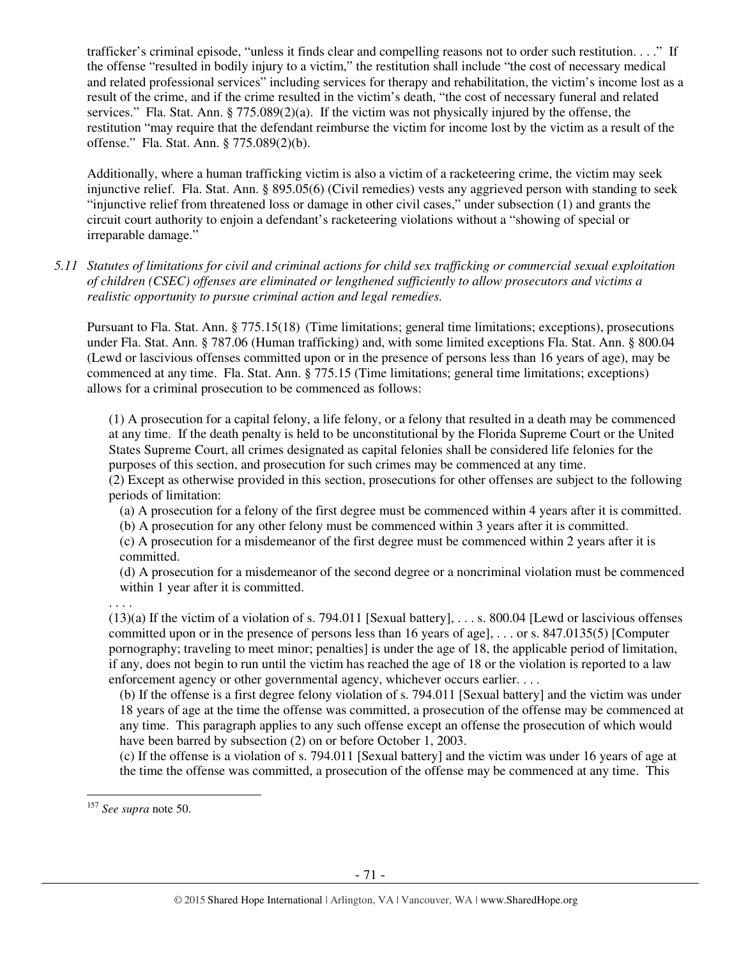trafficker's criminal episode, "unless it finds clear and compelling reasons not to order such restitution. . . ." If the offense "resulted in bodily injury to a victim," the restitution shall include "the cost of necessary medical and related professional services" including services for therapy and rehabilitation, the victim's income lost as a result of the crime, and if the crime resulted in the victim's death, "the cost of necessary funeral and related services." Fla. Stat. Ann. § 775.089(2)(a). If the victim was not physically injured by the offense, the restitution "may require that the defendant reimburse the victim for income lost by the victim as a result of the offense." Fla. Stat. Ann. § 775.089(2)(b).

Additionally, where a human trafficking victim is also a victim of a racketeering crime, the victim may seek injunctive relief. Fla. Stat. Ann. § 895.05(6) (Civil remedies) vests any aggrieved person with standing to seek "injunctive relief from threatened loss or damage in other civil cases," under subsection (1) and grants the circuit court authority to enjoin a defendant's racketeering violations without a "showing of special or irreparable damage."

*5.11 Statutes of limitations for civil and criminal actions for child sex trafficking or commercial sexual exploitation of children (CSEC) offenses are eliminated or lengthened sufficiently to allow prosecutors and victims a realistic opportunity to pursue criminal action and legal remedies.* 

Pursuant to Fla. Stat. Ann. § 775.15(18) (Time limitations; general time limitations; exceptions), prosecutions under Fla. Stat. Ann. § 787.06 (Human trafficking) and, with some limited exceptions Fla. Stat. Ann. § 800.04 (Lewd or lascivious offenses committed upon or in the presence of persons less than 16 years of age), may be commenced at any time. Fla. Stat. Ann. § 775.15 (Time limitations; general time limitations; exceptions) allows for a criminal prosecution to be commenced as follows:

(1) A prosecution for a capital felony, a life felony, or a felony that resulted in a death may be commenced at any time. If the death penalty is held to be unconstitutional by the Florida Supreme Court or the United States Supreme Court, all crimes designated as capital felonies shall be considered life felonies for the purposes of this section, and prosecution for such crimes may be commenced at any time. (2) Except as otherwise provided in this section, prosecutions for other offenses are subject to the following periods of limitation:

(a) A prosecution for a felony of the first degree must be commenced within 4 years after it is committed.

(b) A prosecution for any other felony must be commenced within 3 years after it is committed.

(c) A prosecution for a misdemeanor of the first degree must be commenced within 2 years after it is committed.

(d) A prosecution for a misdemeanor of the second degree or a noncriminal violation must be commenced within 1 year after it is committed.

. . . .

(13)(a) If the victim of a violation of s. 794.011 [Sexual battery], . . . s. 800.04 [Lewd or lascivious offenses committed upon or in the presence of persons less than 16 years of age],  $\dots$  or s. 847.0135(5) [Computer pornography; traveling to meet minor; penalties] is under the age of 18, the applicable period of limitation, if any, does not begin to run until the victim has reached the age of 18 or the violation is reported to a law enforcement agency or other governmental agency, whichever occurs earlier. . . .

(b) If the offense is a first degree felony violation of s. 794.011 [Sexual battery] and the victim was under 18 years of age at the time the offense was committed, a prosecution of the offense may be commenced at any time. This paragraph applies to any such offense except an offense the prosecution of which would have been barred by subsection (2) on or before October 1, 2003.

(c) If the offense is a violation of s. 794.011 [Sexual battery] and the victim was under 16 years of age at the time the offense was committed, a prosecution of the offense may be commenced at any time. This

<sup>157</sup> *See supra* note 50.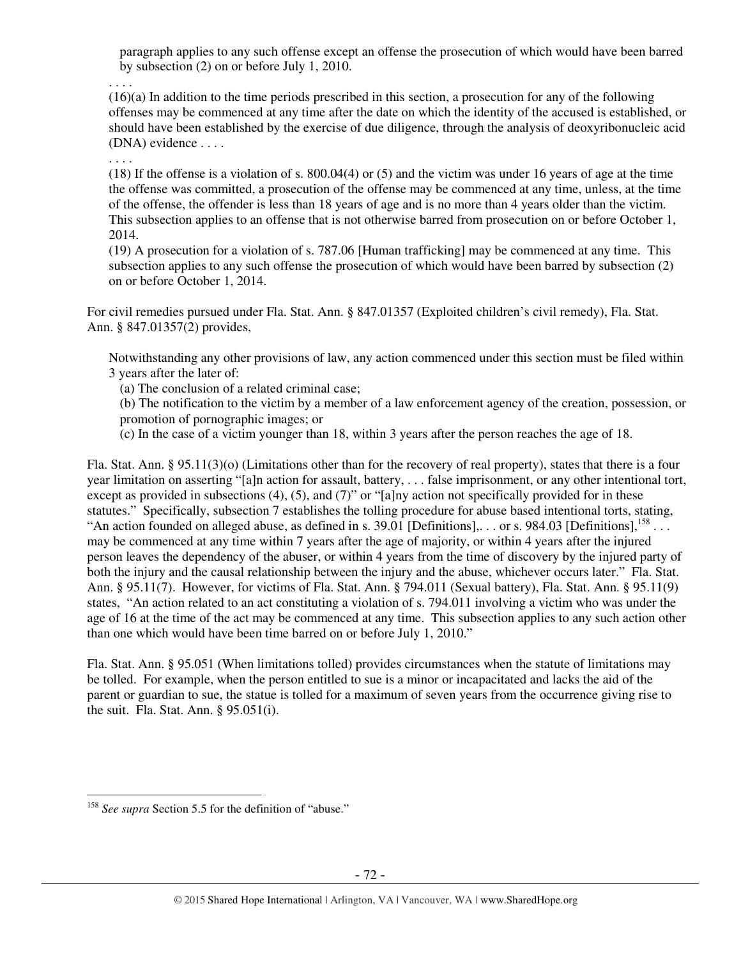paragraph applies to any such offense except an offense the prosecution of which would have been barred by subsection (2) on or before July 1, 2010.

. . . .

(16)(a) In addition to the time periods prescribed in this section, a prosecution for any of the following offenses may be commenced at any time after the date on which the identity of the accused is established, or should have been established by the exercise of due diligence, through the analysis of deoxyribonucleic acid (DNA) evidence . . . .

. . . .

(18) If the offense is a violation of s. 800.04(4) or (5) and the victim was under 16 years of age at the time the offense was committed, a prosecution of the offense may be commenced at any time, unless, at the time of the offense, the offender is less than 18 years of age and is no more than 4 years older than the victim. This subsection applies to an offense that is not otherwise barred from prosecution on or before October 1, 2014.

(19) A prosecution for a violation of s. 787.06 [Human trafficking] may be commenced at any time. This subsection applies to any such offense the prosecution of which would have been barred by subsection (2) on or before October 1, 2014.

For civil remedies pursued under Fla. Stat. Ann. § 847.01357 (Exploited children's civil remedy), Fla. Stat. Ann. § 847.01357(2) provides,

Notwithstanding any other provisions of law, any action commenced under this section must be filed within 3 years after the later of:

(a) The conclusion of a related criminal case;

(b) The notification to the victim by a member of a law enforcement agency of the creation, possession, or promotion of pornographic images; or

(c) In the case of a victim younger than 18, within 3 years after the person reaches the age of 18.

Fla. Stat. Ann. § 95.11(3)(o) (Limitations other than for the recovery of real property), states that there is a four year limitation on asserting "[a]n action for assault, battery, . . . false imprisonment, or any other intentional tort, except as provided in subsections  $(4)$ ,  $(5)$ , and  $(7)$ " or "[a]ny action not specifically provided for in these statutes." Specifically, subsection 7 establishes the tolling procedure for abuse based intentional torts, stating, "An action founded on alleged abuse, as defined in s. 39.01 [Definitions],... or s. 984.03 [Definitions],  $^{158}$ ... may be commenced at any time within 7 years after the age of majority, or within 4 years after the injured person leaves the dependency of the abuser, or within 4 years from the time of discovery by the injured party of both the injury and the causal relationship between the injury and the abuse, whichever occurs later." Fla. Stat. Ann. § 95.11(7). However, for victims of Fla. Stat. Ann. § 794.011 (Sexual battery), Fla. Stat. Ann. § 95.11(9) states, "An action related to an act constituting a violation of s. 794.011 involving a victim who was under the age of 16 at the time of the act may be commenced at any time. This subsection applies to any such action other than one which would have been time barred on or before July 1, 2010."

Fla. Stat. Ann. § 95.051 (When limitations tolled) provides circumstances when the statute of limitations may be tolled. For example, when the person entitled to sue is a minor or incapacitated and lacks the aid of the parent or guardian to sue, the statue is tolled for a maximum of seven years from the occurrence giving rise to the suit. Fla. Stat. Ann. § 95.051(i).

 $\overline{a}$ <sup>158</sup> *See supra* Section 5.5 for the definition of "abuse."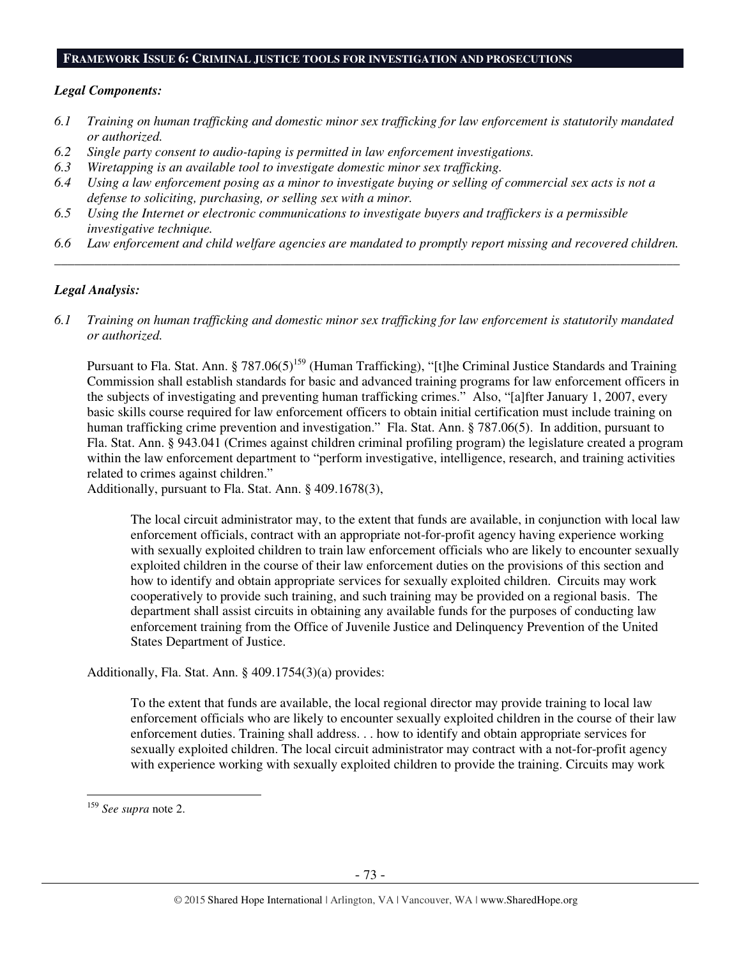#### **FRAMEWORK ISSUE 6: CRIMINAL JUSTICE TOOLS FOR INVESTIGATION AND PROSECUTIONS**

#### *Legal Components:*

- *6.1 Training on human trafficking and domestic minor sex trafficking for law enforcement is statutorily mandated or authorized.*
- *6.2 Single party consent to audio-taping is permitted in law enforcement investigations.*
- *6.3 Wiretapping is an available tool to investigate domestic minor sex trafficking.*
- *6.4 Using a law enforcement posing as a minor to investigate buying or selling of commercial sex acts is not a defense to soliciting, purchasing, or selling sex with a minor.*
- *6.5 Using the Internet or electronic communications to investigate buyers and traffickers is a permissible investigative technique.*
- *6.6 Law enforcement and child welfare agencies are mandated to promptly report missing and recovered children. \_\_\_\_\_\_\_\_\_\_\_\_\_\_\_\_\_\_\_\_\_\_\_\_\_\_\_\_\_\_\_\_\_\_\_\_\_\_\_\_\_\_\_\_\_\_\_\_\_\_\_\_\_\_\_\_\_\_\_\_\_\_\_\_\_\_\_\_\_\_\_\_\_\_\_\_\_\_\_\_\_\_\_\_\_\_\_\_\_\_\_\_\_\_*

# *Legal Analysis:*

*6.1 Training on human trafficking and domestic minor sex trafficking for law enforcement is statutorily mandated or authorized.* 

Pursuant to Fla. Stat. Ann. § 787.06(5)<sup>159</sup> (Human Trafficking), "[t]he Criminal Justice Standards and Training Commission shall establish standards for basic and advanced training programs for law enforcement officers in the subjects of investigating and preventing human trafficking crimes." Also, "[a]fter January 1, 2007, every basic skills course required for law enforcement officers to obtain initial certification must include training on human trafficking crime prevention and investigation." Fla. Stat. Ann. § 787.06(5). In addition, pursuant to Fla. Stat. Ann. § 943.041 (Crimes against children criminal profiling program) the legislature created a program within the law enforcement department to "perform investigative, intelligence, research, and training activities related to crimes against children."

Additionally, pursuant to Fla. Stat. Ann. § 409.1678(3),

The local circuit administrator may, to the extent that funds are available, in conjunction with local law enforcement officials, contract with an appropriate not-for-profit agency having experience working with sexually exploited children to train law enforcement officials who are likely to encounter sexually exploited children in the course of their law enforcement duties on the provisions of this section and how to identify and obtain appropriate services for sexually exploited children. Circuits may work cooperatively to provide such training, and such training may be provided on a regional basis. The department shall assist circuits in obtaining any available funds for the purposes of conducting law enforcement training from the Office of Juvenile Justice and Delinquency Prevention of the United States Department of Justice.

Additionally, Fla. Stat. Ann. § 409.1754(3)(a) provides:

To the extent that funds are available, the local regional director may provide training to local law enforcement officials who are likely to encounter sexually exploited children in the course of their law enforcement duties. Training shall address. . . how to identify and obtain appropriate services for sexually exploited children. The local circuit administrator may contract with a not-for-profit agency with experience working with sexually exploited children to provide the training. Circuits may work

 $\overline{a}$ <sup>159</sup> *See supra* note 2.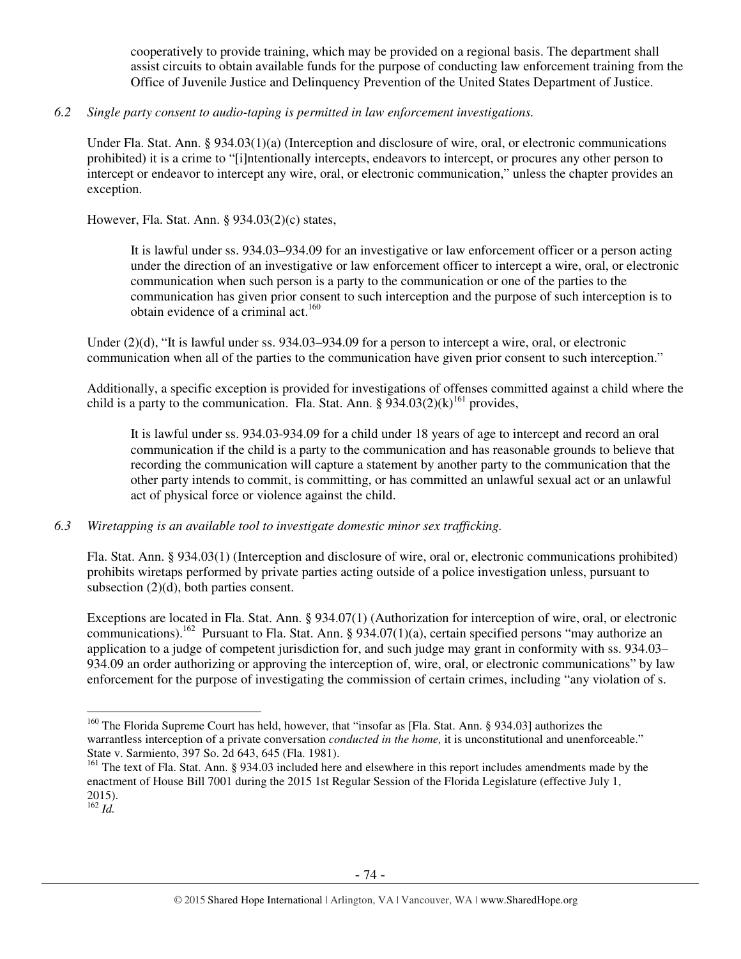cooperatively to provide training, which may be provided on a regional basis. The department shall assist circuits to obtain available funds for the purpose of conducting law enforcement training from the Office of Juvenile Justice and Delinquency Prevention of the United States Department of Justice.

## *6.2 Single party consent to audio-taping is permitted in law enforcement investigations.*

Under Fla. Stat. Ann. § 934.03(1)(a) (Interception and disclosure of wire, oral, or electronic communications prohibited) it is a crime to "[i]ntentionally intercepts, endeavors to intercept, or procures any other person to intercept or endeavor to intercept any wire, oral, or electronic communication," unless the chapter provides an exception.

However, Fla. Stat. Ann. § 934.03(2)(c) states,

It is lawful under ss. 934.03–934.09 for an investigative or law enforcement officer or a person acting under the direction of an investigative or law enforcement officer to intercept a wire, oral, or electronic communication when such person is a party to the communication or one of the parties to the communication has given prior consent to such interception and the purpose of such interception is to obtain evidence of a criminal act.<sup>160</sup>

Under (2)(d), "It is lawful under ss. 934.03–934.09 for a person to intercept a wire, oral, or electronic communication when all of the parties to the communication have given prior consent to such interception."

Additionally, a specific exception is provided for investigations of offenses committed against a child where the child is a party to the communication. Fla. Stat. Ann.  $\S$  934.03(2)(k)<sup>161</sup> provides,

It is lawful under ss. 934.03-934.09 for a child under 18 years of age to intercept and record an oral communication if the child is a party to the communication and has reasonable grounds to believe that recording the communication will capture a statement by another party to the communication that the other party intends to commit, is committing, or has committed an unlawful sexual act or an unlawful act of physical force or violence against the child.

# *6.3 Wiretapping is an available tool to investigate domestic minor sex trafficking.*

Fla. Stat. Ann. § 934.03(1) (Interception and disclosure of wire, oral or, electronic communications prohibited) prohibits wiretaps performed by private parties acting outside of a police investigation unless, pursuant to subsection (2)(d), both parties consent.

Exceptions are located in Fla. Stat. Ann. § 934.07(1) (Authorization for interception of wire, oral, or electronic communications).<sup>162</sup> Pursuant to Fla. Stat. Ann. § 934.07(1)(a), certain specified persons "may authorize an application to a judge of competent jurisdiction for, and such judge may grant in conformity with ss. 934.03– 934.09 an order authorizing or approving the interception of, wire, oral, or electronic communications" by law enforcement for the purpose of investigating the commission of certain crimes, including "any violation of s.

 $\overline{a}$ <sup>160</sup> The Florida Supreme Court has held, however, that "insofar as [Fla. Stat. Ann. § 934.03] authorizes the warrantless interception of a private conversation *conducted in the home*, it is unconstitutional and unenforceable." State v. Sarmiento, 397 So. 2d 643, 645 (Fla. 1981).

<sup>&</sup>lt;sup>161</sup> The text of Fla. Stat. Ann. § 934.03 included here and elsewhere in this report includes amendments made by the enactment of House Bill 7001 during the 2015 1st Regular Session of the Florida Legislature (effective July 1, 2015).

 $^{162}$  *Id.*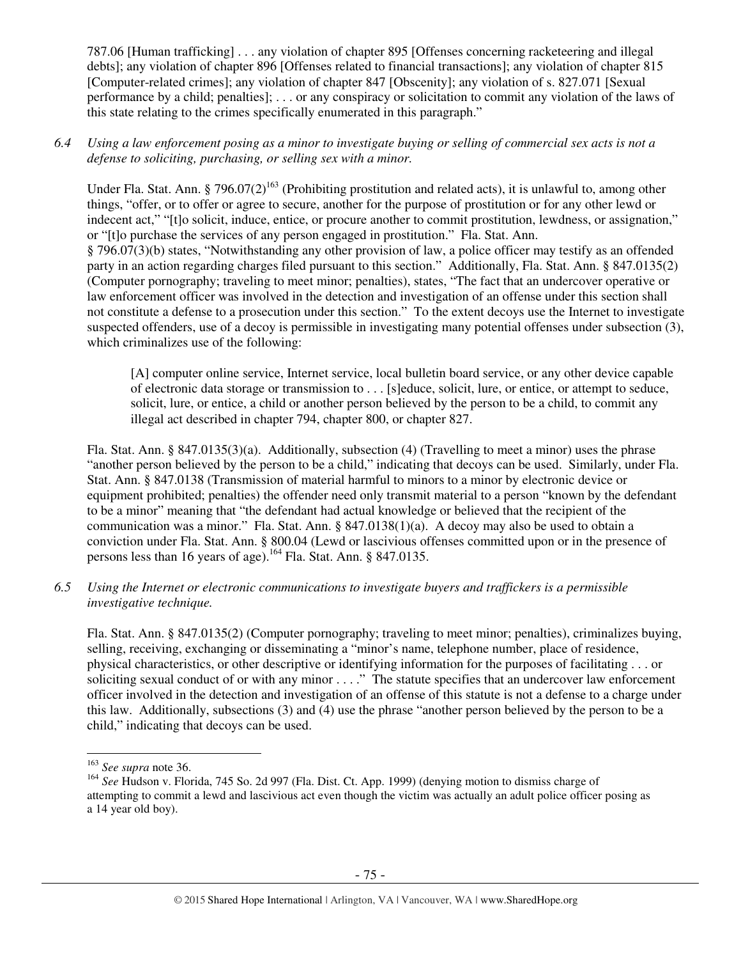787.06 [Human trafficking] . . . any violation of chapter 895 [Offenses concerning racketeering and illegal debts]; any violation of chapter 896 [Offenses related to financial transactions]; any violation of chapter 815 [Computer-related crimes]; any violation of chapter 847 [Obscenity]; any violation of s. 827.071 [Sexual performance by a child; penalties]; . . . or any conspiracy or solicitation to commit any violation of the laws of this state relating to the crimes specifically enumerated in this paragraph."

*6.4 Using a law enforcement posing as a minor to investigate buying or selling of commercial sex acts is not a defense to soliciting, purchasing, or selling sex with a minor.* 

Under Fla. Stat. Ann. § 796.07(2)<sup>163</sup> (Prohibiting prostitution and related acts), it is unlawful to, among other things, "offer, or to offer or agree to secure, another for the purpose of prostitution or for any other lewd or indecent act," "[t]o solicit, induce, entice, or procure another to commit prostitution, lewdness, or assignation," or "[t]o purchase the services of any person engaged in prostitution." Fla. Stat. Ann. § 796.07(3)(b) states, "Notwithstanding any other provision of law, a police officer may testify as an offended party in an action regarding charges filed pursuant to this section." Additionally, Fla. Stat. Ann. § 847.0135(2) (Computer pornography; traveling to meet minor; penalties), states, "The fact that an undercover operative or law enforcement officer was involved in the detection and investigation of an offense under this section shall not constitute a defense to a prosecution under this section." To the extent decoys use the Internet to investigate suspected offenders, use of a decoy is permissible in investigating many potential offenses under subsection (3), which criminalizes use of the following:

[A] computer online service, Internet service, local bulletin board service, or any other device capable of electronic data storage or transmission to . . . [s]educe, solicit, lure, or entice, or attempt to seduce, solicit, lure, or entice, a child or another person believed by the person to be a child, to commit any illegal act described in chapter 794, chapter 800, or chapter 827.

 Fla. Stat. Ann. § 847.0135(3)(a). Additionally, subsection (4) (Travelling to meet a minor) uses the phrase "another person believed by the person to be a child," indicating that decoys can be used. Similarly, under Fla. Stat. Ann. § 847.0138 (Transmission of material harmful to minors to a minor by electronic device or equipment prohibited; penalties) the offender need only transmit material to a person "known by the defendant to be a minor" meaning that "the defendant had actual knowledge or believed that the recipient of the communication was a minor." Fla. Stat. Ann. § 847.0138(1)(a). A decoy may also be used to obtain a conviction under Fla. Stat. Ann. § 800.04 (Lewd or lascivious offenses committed upon or in the presence of persons less than 16 years of age).<sup>164</sup> Fla. Stat. Ann. § 847.0135.

*6.5 Using the Internet or electronic communications to investigate buyers and traffickers is a permissible investigative technique.* 

Fla. Stat. Ann. § 847.0135(2) (Computer pornography; traveling to meet minor; penalties), criminalizes buying, selling, receiving, exchanging or disseminating a "minor's name, telephone number, place of residence, physical characteristics, or other descriptive or identifying information for the purposes of facilitating . . . or soliciting sexual conduct of or with any minor . . . ." The statute specifies that an undercover law enforcement officer involved in the detection and investigation of an offense of this statute is not a defense to a charge under this law. Additionally, subsections (3) and (4) use the phrase "another person believed by the person to be a child," indicating that decoys can be used.

 $\overline{a}$ 

<sup>163</sup> *See supra* note 36.

<sup>164</sup> *See* Hudson v. Florida, 745 So. 2d 997 (Fla. Dist. Ct. App. 1999) (denying motion to dismiss charge of attempting to commit a lewd and lascivious act even though the victim was actually an adult police officer posing as a 14 year old boy).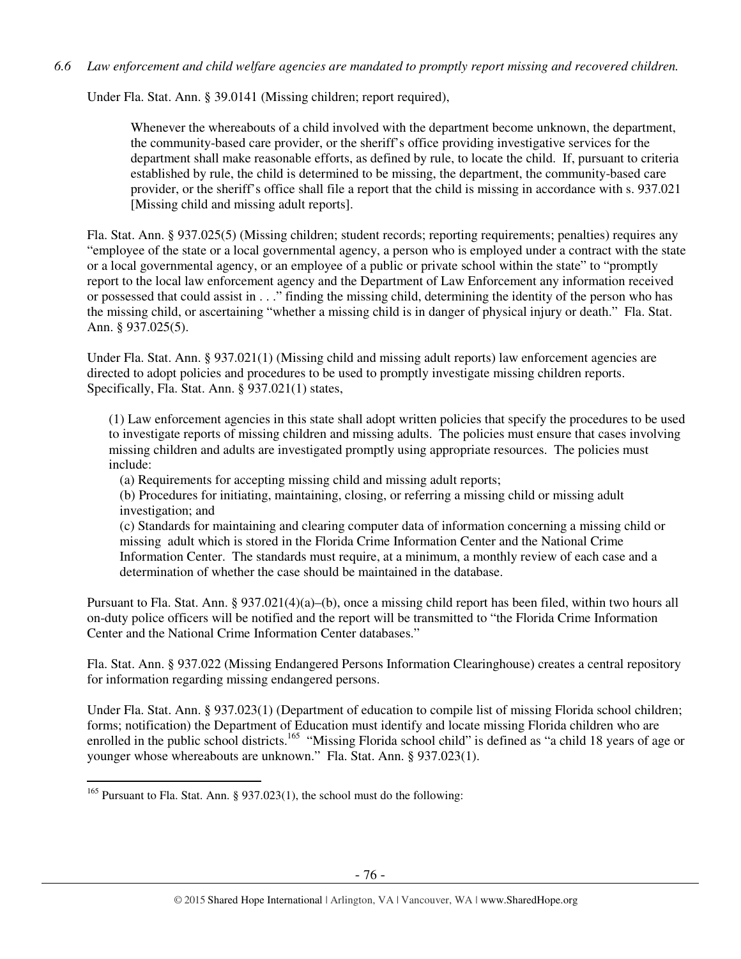## *6.6 Law enforcement and child welfare agencies are mandated to promptly report missing and recovered children.*

Under Fla. Stat. Ann. § 39.0141 (Missing children; report required),

Whenever the whereabouts of a child involved with the department become unknown, the department, the community-based care provider, or the sheriff's office providing investigative services for the department shall make reasonable efforts, as defined by rule, to locate the child. If, pursuant to criteria established by rule, the child is determined to be missing, the department, the community-based care provider, or the sheriff's office shall file a report that the child is missing in accordance with s. 937.021 [Missing child and missing adult reports].

Fla. Stat. Ann. § 937.025(5) (Missing children; student records; reporting requirements; penalties) requires any "employee of the state or a local governmental agency, a person who is employed under a contract with the state or a local governmental agency, or an employee of a public or private school within the state" to "promptly report to the local law enforcement agency and the Department of Law Enforcement any information received or possessed that could assist in . . ." finding the missing child, determining the identity of the person who has the missing child, or ascertaining "whether a missing child is in danger of physical injury or death." Fla. Stat. Ann. § 937.025(5).

Under Fla. Stat. Ann. § 937.021(1) (Missing child and missing adult reports) law enforcement agencies are directed to adopt policies and procedures to be used to promptly investigate missing children reports. Specifically, Fla. Stat. Ann. § 937.021(1) states,

(1) Law enforcement agencies in this state shall adopt written policies that specify the procedures to be used to investigate reports of missing children and missing adults. The policies must ensure that cases involving missing children and adults are investigated promptly using appropriate resources. The policies must include:

(a) Requirements for accepting missing child and missing adult reports;

(b) Procedures for initiating, maintaining, closing, or referring a missing child or missing adult investigation; and

(c) Standards for maintaining and clearing computer data of information concerning a missing child or missing adult which is stored in the Florida Crime Information Center and the National Crime Information Center. The standards must require, at a minimum, a monthly review of each case and a determination of whether the case should be maintained in the database.

Pursuant to Fla. Stat. Ann. § 937.021(4)(a)–(b), once a missing child report has been filed, within two hours all on-duty police officers will be notified and the report will be transmitted to "the Florida Crime Information Center and the National Crime Information Center databases."

Fla. Stat. Ann. § 937.022 (Missing Endangered Persons Information Clearinghouse) creates a central repository for information regarding missing endangered persons.

Under Fla. Stat. Ann. § 937.023(1) (Department of education to compile list of missing Florida school children; forms; notification) the Department of Education must identify and locate missing Florida children who are enrolled in the public school districts.<sup>165</sup> "Missing Florida school child" is defined as "a child 18 years of age or younger whose whereabouts are unknown." Fla. Stat. Ann. § 937.023(1).

 $\overline{a}$ <sup>165</sup> Pursuant to Fla. Stat. Ann. § 937.023(1), the school must do the following: